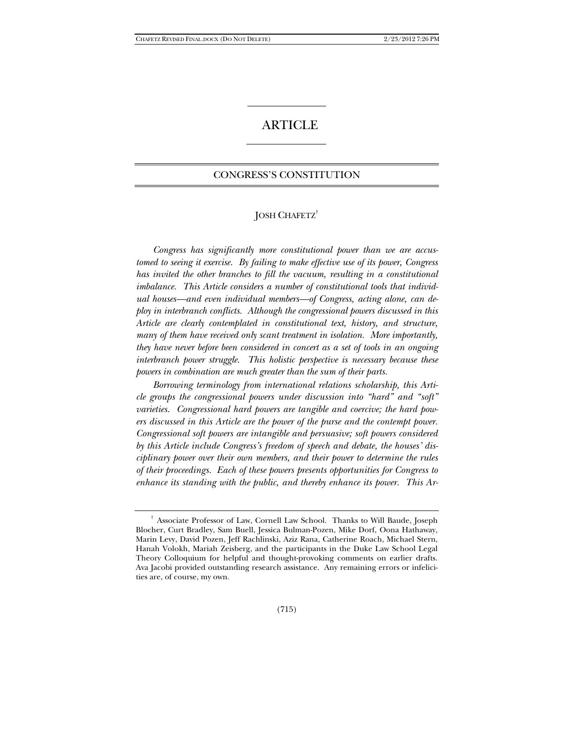# **ARTICLE**

# CONGRESS'S CONSTITUTION

## JOSH CHAFETZ†

 *Congress has significantly more constitutional power than we are accustomed to seeing it exercise. By failing to make effective use of its power, Congress has invited the other branches to fill the vacuum, resulting in a constitutional imbalance. This Article considers a number of constitutional tools that individual houses—and even individual members—of Congress, acting alone, can deploy in interbranch conflicts. Although the congressional powers discussed in this Article are clearly contemplated in constitutional text, history, and structure, many of them have received only scant treatment in isolation. More importantly, they have never before been considered in concert as a set of tools in an ongoing interbranch power struggle. This holistic perspective is necessary because these powers in combination are much greater than the sum of their parts.*

*Borrowing terminology from international relations scholarship, this Article groups the congressional powers under discussion into "hard" and "soft" varieties. Congressional hard powers are tangible and coercive; the hard powers discussed in this Article are the power of the purse and the contempt power. Congressional soft powers are intangible and persuasive; soft powers considered by this Article include Congress's freedom of speech and debate, the houses' disciplinary power over their own members, and their power to determine the rules of their proceedings. Each of these powers presents opportunities for Congress to enhance its standing with the public, and thereby enhance its power. This Ar-*

<sup>†</sup> Associate Professor of Law, Cornell Law School. Thanks to Will Baude, Joseph Blocher, Curt Bradley, Sam Buell, Jessica Bulman-Pozen, Mike Dorf, Oona Hathaway, Marin Levy, David Pozen, Jeff Rachlinski, Aziz Rana, Catherine Roach, Michael Stern, Hanah Volokh, Mariah Zeisberg, and the participants in the Duke Law School Legal Theory Colloquium for helpful and thought-provoking comments on earlier drafts. Ava Jacobi provided outstanding research assistance. Any remaining errors or infelicities are, of course, my own.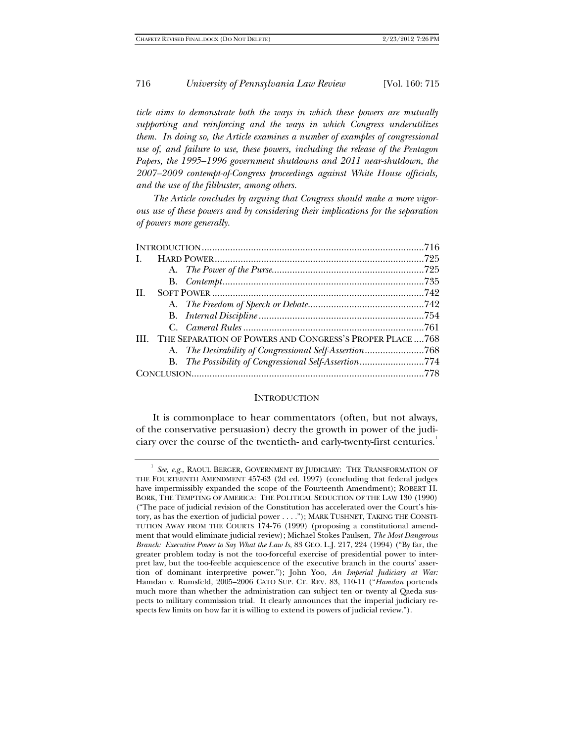*ticle aims to demonstrate both the ways in which these powers are mutually supporting and reinforcing and the ways in which Congress underutilizes them. In doing so, the Article examines a number of examples of congressional use of, and failure to use, these powers, including the release of the Pentagon*  Papers, the 1995–1996 government shutdowns and 2011 near-shutdown, the *2007–2009 contempt-of-Congress proceedings against White House officials, and the use of the filibuster, among others.*

*The Article concludes by arguing that Congress should make a more vigorous use of these powers and by considering their implications for the separation of powers more generally.* 

| $\mathbf{I}$ |  |                                                           |  |
|--------------|--|-----------------------------------------------------------|--|
|              |  |                                                           |  |
|              |  |                                                           |  |
| H.           |  |                                                           |  |
|              |  |                                                           |  |
|              |  |                                                           |  |
|              |  |                                                           |  |
| <b>III</b>   |  | THE SEPARATION OF POWERS AND CONGRESS'S PROPER PLACE  768 |  |
|              |  | A. The Desirability of Congressional Self-Assertion768    |  |
|              |  | B. The Possibility of Congressional Self-Assertion774     |  |
|              |  |                                                           |  |

#### **INTRODUCTION**

It is commonplace to hear commentators (often, but not always, of the conservative persuasion) decry the growth in power of the judiciary over the course of the twentieth- and early-twenty-first centuries.<sup>1</sup>

See, e.g., RAOUL BERGER, GOVERNMENT BY JUDICIARY: THE TRANSFORMATION OF THE FOURTEENTH AMENDMENT 457-63 (2d ed. 1997) (concluding that federal judges have impermissibly expanded the scope of the Fourteenth Amendment); ROBERT H. BORK, THE TEMPTING OF AMERICA: THE POLITICAL SEDUCTION OF THE LAW 130 (1990) ("The pace of judicial revision of the Constitution has accelerated over the Court's history, as has the exertion of judicial power . . . ."); MARK TUSHNET, TAKING THE CONSTI-TUTION AWAY FROM THE COURTS 174-76 (1999) (proposing a constitutional amendment that would eliminate judicial review); Michael Stokes Paulsen, *The Most Dangerous Branch: Executive Power to Say What the Law Is*, 83 GEO. L.J. 217, 224 (1994) ("By far, the greater problem today is not the too-forceful exercise of presidential power to interpret law, but the too-feeble acquiescence of the executive branch in the courts' assertion of dominant interpretive power."); John Yoo, *An Imperial Judiciary at War:*  Hamdan v. Rumsfeld, 2005–2006 CATO SUP. CT. REV. 83, 110-11 ("*Hamdan* portends much more than whether the administration can subject ten or twenty al Qaeda suspects to military commission trial. It clearly announces that the imperial judiciary respects few limits on how far it is willing to extend its powers of judicial review.").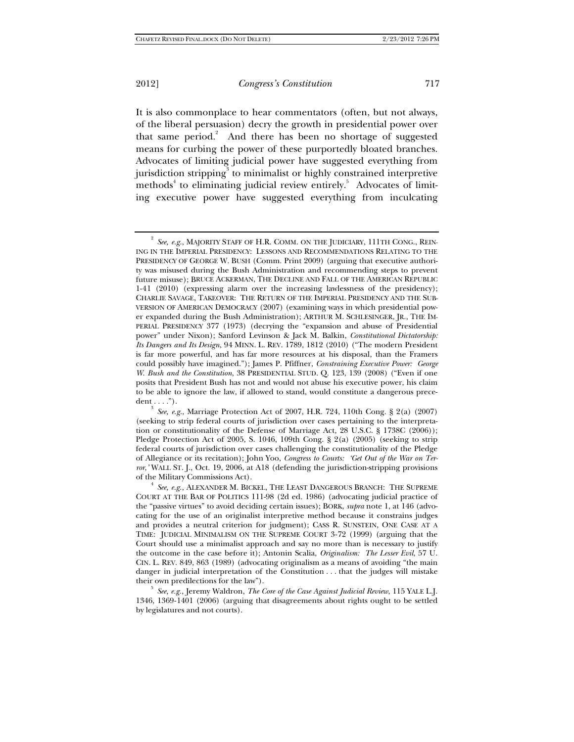It is also commonplace to hear commentators (often, but not always, of the liberal persuasion) decry the growth in presidential power over that same period. $2$  And there has been no shortage of suggested means for curbing the power of these purportedly bloated branches. Advocates of limiting judicial power have suggested everything from jurisdiction stripping $^3$  to minimalist or highly constrained interpretive methods<sup>4</sup> to eliminating judicial review entirely.<sup>5</sup> Advocates of limiting executive power have suggested everything from inculcating

1346, 1369-1401 (2006) (arguing that disagreements about rights ought to be settled by legislatures and not courts).

<sup>2</sup> *See, e.g.*, MAJORITY STAFF OF H.R. COMM. ON THE JUDICIARY, 111TH CONG., REIN-ING IN THE IMPERIAL PRESIDENCY: LESSONS AND RECOMMENDATIONS RELATING TO THE PRESIDENCY OF GEORGE W. BUSH (Comm. Print 2009) (arguing that executive authority was misused during the Bush Administration and recommending steps to prevent future misuse); BRUCE ACKERMAN, THE DECLINE AND FALL OF THE AMERICAN REPUBLIC 1-41 (2010) (expressing alarm over the increasing lawlessness of the presidency); CHARLIE SAVAGE, TAKEOVER: THE RETURN OF THE IMPERIAL PRESIDENCY AND THE SUB-VERSION OF AMERICAN DEMOCRACY (2007) (examining ways in which presidential power expanded during the Bush Administration); ARTHUR M. SCHLESINGER, JR., THE IM-PERIAL PRESIDENCY 377 (1973) (decrying the "expansion and abuse of Presidential power" under Nixon); Sanford Levinson & Jack M. Balkin, *Constitutional Dictatorship: Its Dangers and Its Design*, 94 MINN. L. REV. 1789, 1812 (2010) ("The modern President is far more powerful, and has far more resources at his disposal, than the Framers could possibly have imagined."); James P. Pfiffner, *Constraining Executive Power: George W. Bush and the Constitution*, 38 PRESIDENTIAL STUD. Q. 123, 139 (2008) ("Even if one posits that President Bush has not and would not abuse his executive power, his claim to be able to ignore the law, if allowed to stand, would constitute a dangerous precedent  $\dots$ .").

*See, e.g.*, Marriage Protection Act of 2007, H.R. 724, 110th Cong. § 2(a) (2007) (seeking to strip federal courts of jurisdiction over cases pertaining to the interpretation or constitutionality of the Defense of Marriage Act, 28 U.S.C. § 1738C (2006)); Pledge Protection Act of 2005, S. 1046, 109th Cong. § 2(a) (2005) (seeking to strip federal courts of jurisdiction over cases challenging the constitutionality of the Pledge of Allegiance or its recitation); John Yoo, *Congress to Courts: 'Get Out of the War on Terror*,*'* WALL ST. J., Oct. 19, 2006, at A18 (defending the jurisdiction-stripping provisions of the Military Commissions Act). 4

*See, e.g.*, ALEXANDER M. BICKEL, THE LEAST DANGEROUS BRANCH: THE SUPREME COURT AT THE BAR OF POLITICS 111-98 (2d ed. 1986) (advocating judicial practice of the "passive virtues" to avoid deciding certain issues); BORK, *supra* note 1, at 146 (advocating for the use of an originalist interpretive method because it constrains judges and provides a neutral criterion for judgment); CASS R. SUNSTEIN, ONE CASE AT A TIME: JUDICIAL MINIMALISM ON THE SUPREME COURT 3-72 (1999) (arguing that the Court should use a minimalist approach and say no more than is necessary to justify the outcome in the case before it); Antonin Scalia, *Originalism: The Lesser Evil*, 57 U. CIN. L. REV. 849, 863 (1989) (advocating originalism as a means of avoiding "the main danger in judicial interpretation of the Constitution . . . that the judges will mistake their own predilections for the law"). 5 *See, e.g.*, Jeremy Waldron, *The Core of the Case Against Judicial Review*, 115 YALE L.J.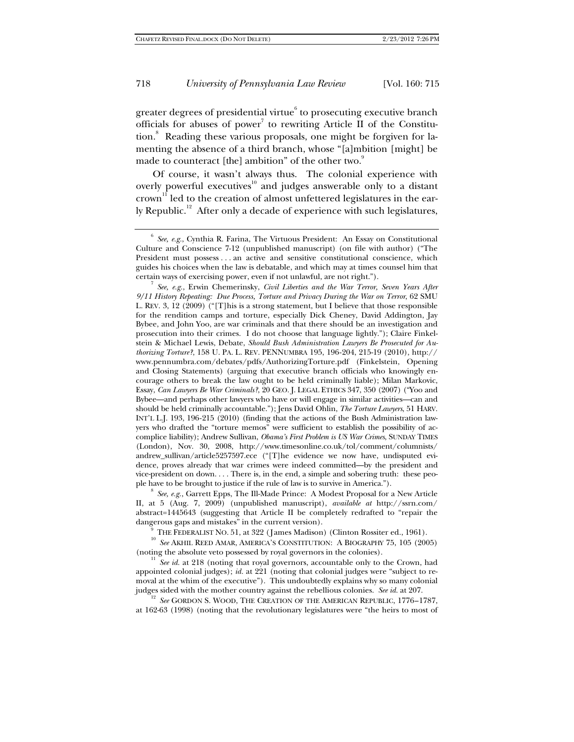greater degrees of presidential virtue $^{\rm 6}$  to prosecuting executive branch officials for abuses of power<sup>7</sup> to rewriting Article II of the Constitution.<sup>8</sup> Reading these various proposals, one might be forgiven for lamenting the absence of a third branch, whose "[a]mbition [might] be made to counteract [the] ambition" of the other two. $9$ 

Of course, it wasn't always thus. The colonial experience with overly powerful executives<sup>10</sup> and judges answerable only to a distant  $crown<sup>11</sup>$  led to the creation of almost unfettered legislatures in the early Republic.<sup>12</sup> After only a decade of experience with such legislatures,

*See, e.g.*, Erwin Chemerinsky, *Civil Liberties and the War Terror, Seven Years After 9/11 History Repeating: Due Process, Torture and Privacy During the War on Terror*, 62 SMU L. REV. 3, 12 (2009) ("[T]his is a strong statement, but I believe that those responsible for the rendition camps and torture, especially Dick Cheney, David Addington, Jay Bybee, and John Yoo, are war criminals and that there should be an investigation and prosecution into their crimes. I do not choose that language lightly."); Claire Finkelstein & Michael Lewis, Debate, *Should Bush Administration Lawyers Be Prosecuted for Authorizing Torture?*, 158 U. PA. L. REV. PENNUMBRA 195, 196-204, 215-19 (2010), http:// www.pennumbra.com/debates/pdfs/AuthorizingTorture.pdf (Finkelstein, Opening and Closing Statements) (arguing that executive branch officials who knowingly encourage others to break the law ought to be held criminally liable); Milan Markovic, Essay, *Can Lawyers Be War Criminals?*, 20 GEO. J. LEGAL ETHICS 347, 350 (2007) ("Yoo and Bybee—and perhaps other lawyers who have or will engage in similar activities—can and should be held criminally accountable."); Jens David Ohlin, *The Torture Lawyers*, 51 HARV. INT'L L.J. 193, 196-215 (2010) (finding that the actions of the Bush Administration lawyers who drafted the "torture memos" were sufficient to establish the possibility of accomplice liability); Andrew Sullivan, *Obama's First Problem is US War Crimes*, SUNDAY TIMES (London), Nov. 30, 2008, http://www.timesonline.co.uk/tol/comment/columnists/ andrew\_sullivan/article5257597.ece ("[T]he evidence we now have, undisputed evidence, proves already that war crimes were indeed committed—by the president and vice-president on down. . . . There is, in the end, a simple and sobering truth: these people have to be brought to justice if the rule of law is to survive in America.").

*See, e.g.*, Garrett Epps, The Ill-Made Prince: A Modest Proposal for a New Article II, at 5 (Aug. 7, 2009) (unpublished manuscript), *available at* http://ssrn.com/ abstract=1445643 (suggesting that Article II be completely redrafted to "repair the

dangerous gaps and mistakes" in the current version). <sup>9</sup> THE FEDERALIST NO. 51, at 322 (James Madison) (Clinton Rossiter ed., 1961). <sup>10</sup> *See* AKHIL REED AMAR, AMERICA'S CONSTITUTION: A BIOGRAPHY 75, 105 (2005)

(noting the absolute veto possessed by royal governors in the colonies). 11 *See id.* at 218 (noting that royal governors, accountable only to the Crown, had appointed colonial judges); *id.* at 221 (noting that colonial judges were "subject to removal at the whim of the executive"). This undoubtedly explains why so many colonial judges sided with the mother country against the rebellious colonies. See id. at 207.

<sup>12</sup> See GORDON S. WOOD, THE CREATION OF THE AMERICAN REPUBLIC, 1776–1787, at 162-63 (1998) (noting that the revolutionary legislatures were "the heirs to most of

<sup>6</sup> *See, e.g.*, Cynthia R. Farina, The Virtuous President: An Essay on Constitutional Culture and Conscience 7-12 (unpublished manuscript) (on file with author) ("The President must possess . . . an active and sensitive constitutional conscience, which guides his choices when the law is debatable, and which may at times counsel him that certain ways of exercising power, even if not unlawful, are not right.").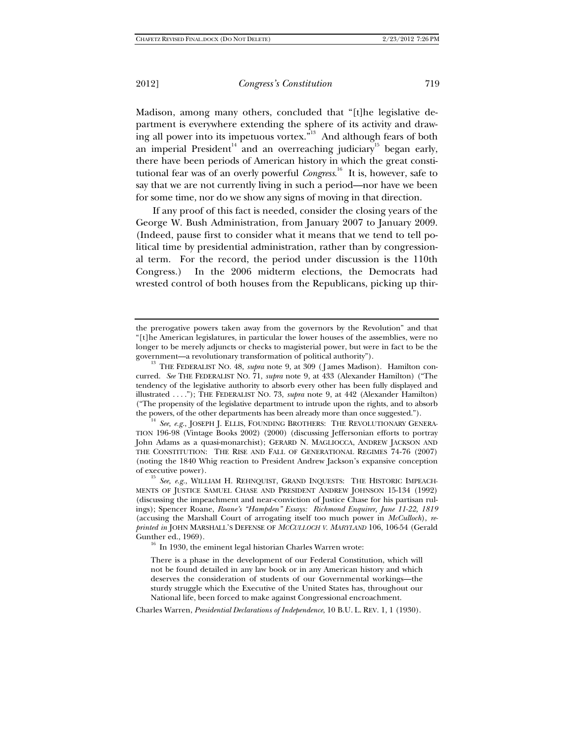Madison, among many others, concluded that "[t]he legislative department is everywhere extending the sphere of its activity and drawing all power into its impetuous vortex."<sup>13</sup> And although fears of both an imperial President<sup>14</sup> and an overreaching judiciary<sup>15</sup> began early, there have been periods of American history in which the great constitutional fear was of an overly powerful *Congress*. 16 It is, however, safe to say that we are not currently living in such a period—nor have we been for some time, nor do we show any signs of moving in that direction.

If any proof of this fact is needed, consider the closing years of the George W. Bush Administration, from January 2007 to January 2009. (Indeed, pause first to consider what it means that we tend to tell political time by presidential administration, rather than by congressional term. For the record, the period under discussion is the 110th Congress.) In the 2006 midterm elections, the Democrats had wrested control of both houses from the Republicans, picking up thir-

There is a phase in the development of our Federal Constitution, which will not be found detailed in any law book or in any American history and which deserves the consideration of students of our Governmental workings—the sturdy struggle which the Executive of the United States has, throughout our National life, been forced to make against Congressional encroachment.

Charles Warren, *Presidential Declarations of Independence*, 10 B.U. L. REV. 1, 1 (1930).

the prerogative powers taken away from the governors by the Revolution" and that "[t]he American legislatures, in particular the lower houses of the assemblies, were no longer to be merely adjuncts or checks to magisterial power, but were in fact to be the government—a revolutionary transformation of political authority").<br><sup>13</sup> THE FEDERALIST NO. 48, *supra* note 9, at 309 (James Madison). Hamilton con-

curred. *See* THE FEDERALIST NO. 71, *supra* note 9, at 433 (Alexander Hamilton) ("The tendency of the legislative authority to absorb every other has been fully displayed and illustrated . . . ."); THE FEDERALIST NO. 73, *supra* note 9, at 442 (Alexander Hamilton) ("The propensity of the legislative department to intrude upon the rights, and to absorb

the powers, of the other departments has been already more than once suggested.").<br><sup>14</sup> *See, e.g.*, JOSEPH J. ELLIS, FOUNDING BROTHERS: THE REVOLUTIONARY GENERA-TION 196-98 (Vintage Books 2002) (2000) (discussing Jeffersonian efforts to portray John Adams as a quasi-monarchist); GERARD N. MAGLIOCCA, ANDREW JACKSON AND THE CONSTITUTION: THE RISE AND FALL OF GENERATIONAL REGIMES 74-76 (2007) (noting the 1840 Whig reaction to President Andrew Jackson's expansive conception

of executive power). 15 *See, e.g.*, WILLIAM H. REHNQUIST, GRAND INQUESTS: THE HISTORIC IMPEACH-MENTS OF JUSTICE SAMUEL CHASE AND PRESIDENT ANDREW JOHNSON 15-134 (1992) (discussing the impeachment and near-conviction of Justice Chase for his partisan rulings); Spencer Roane, *Roane's "Hampden" Essays: Richmond Enquirer, June 11-22, 1819* (accusing the Marshall Court of arrogating itself too much power in *McCulloch*), *reprinted in* JOHN MARSHALL'S DEFENSE OF *MCCULLOCH V. MARYLAND* 106, 106-54 (Gerald Gunther ed., 1969). 16 In 1930, the eminent legal historian Charles Warren wrote: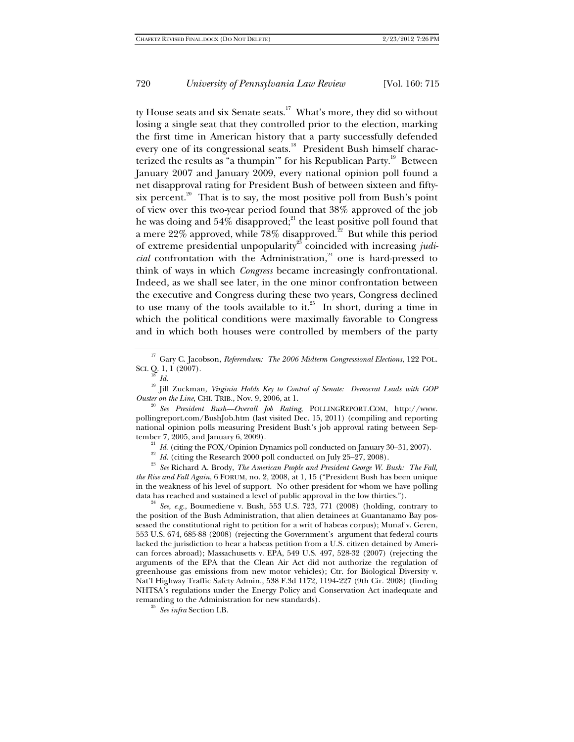ty House seats and six Senate seats.<sup>17</sup> What's more, they did so without losing a single seat that they controlled prior to the election, marking the first time in American history that a party successfully defended every one of its congressional seats.<sup>18</sup> President Bush himself characterized the results as "a thumpin'" for his Republican Party.<sup>19</sup> Between January 2007 and January 2009, every national opinion poll found a net disapproval rating for President Bush of between sixteen and fiftysix percent.<sup>20</sup> That is to say, the most positive poll from Bush's point of view over this two-year period found that 38% approved of the job he was doing and  $54\%$  disapproved;<sup>21</sup> the least positive poll found that a mere 22% approved, while  $78\%$  disapproved.<sup>22</sup> But while this period of extreme presidential unpopularity<sup>23</sup> coincided with increasing *judicial* confrontation with the Administration,<sup>24</sup> one is hard-pressed to think of ways in which *Congress* became increasingly confrontational. Indeed, as we shall see later, in the one minor confrontation between the executive and Congress during these two years, Congress declined to use many of the tools available to it.<sup>25</sup> In short, during a time in which the political conditions were maximally favorable to Congress and in which both houses were controlled by members of the party

<sup>17</sup> Gary C. Jacobson, *Referendum: The 2006 Midterm Congressional Elections*, 122 POL. SCI. Q. 1, 1 (2007).

<sup>18</sup> *Id.*<br><sup>19</sup> Jill Zuckman, *Virginia Holds Key to Control of Senate: Democrat Leads with GOP Ouster on the Line*, CHI. TRIB., Nov. 9, 2006, at 1. 20 *See President Bush—Overall Job Rating*, POLLINGREPORT.COM, http://www.

pollingreport.com/BushJob.htm (last visited Dec. 15, 2011) (compiling and reporting national opinion polls measuring President Bush's job approval rating between Sep-

<sup>21</sup> *Id.* (citing the FOX/Opinion Dynamics poll conducted on January 30–31, 2007).<br><sup>22</sup> *Id.* (citing the Research 2000 poll conducted on July 25–27, 2008).<br><sup>23</sup> *See* Richard A. Brody, *The American People and President the Rise and Fall Again*, 6 FORUM, no. 2, 2008, at 1, 15 ("President Bush has been unique in the weakness of his level of support. No other president for whom we have polling data has reached and sustained a level of public approval in the low thirties.").

 $\frac{24}{1}$  *See, e.g.*, Boumediene v. Bush, 553 U.S. 723, 771 (2008) (holding, contrary to the position of the Bush Administration, that alien detainees at Guantanamo Bay possessed the constitutional right to petition for a writ of habeas corpus); Munaf v. Geren, 553 U.S. 674, 685-88 (2008) (rejecting the Government's argument that federal courts lacked the jurisdiction to hear a habeas petition from a U.S. citizen detained by American forces abroad); Massachusetts v. EPA, 549 U.S. 497, 528-32 (2007) (rejecting the arguments of the EPA that the Clean Air Act did not authorize the regulation of greenhouse gas emissions from new motor vehicles); Ctr. for Biological Diversity v. Nat'l Highway Traffic Safety Admin., 538 F.3d 1172, 1194-227 (9th Cir. 2008) (finding NHTSA's regulations under the Energy Policy and Conservation Act inadequate and remanding to the Administration for new standards). 25 *See infra* Section I.B.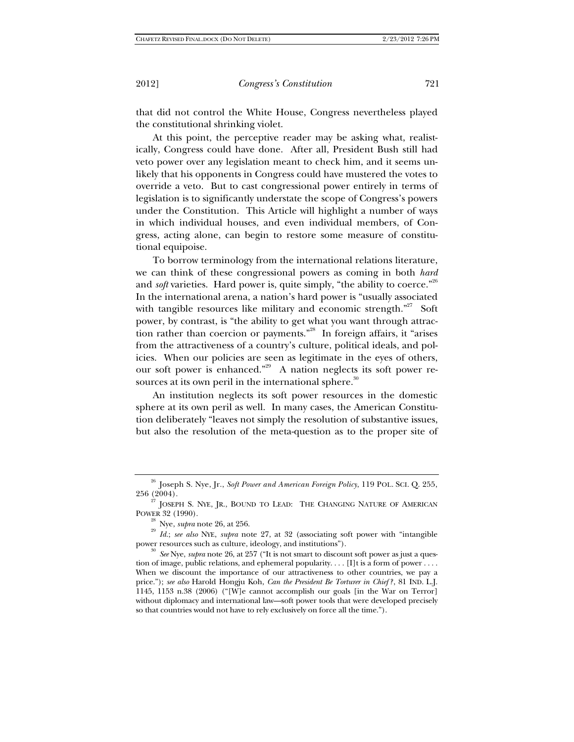that did not control the White House, Congress nevertheless played the constitutional shrinking violet.

At this point, the perceptive reader may be asking what, realistically, Congress could have done. After all, President Bush still had veto power over any legislation meant to check him, and it seems unlikely that his opponents in Congress could have mustered the votes to override a veto. But to cast congressional power entirely in terms of legislation is to significantly understate the scope of Congress's powers under the Constitution. This Article will highlight a number of ways in which individual houses, and even individual members, of Congress, acting alone, can begin to restore some measure of constitutional equipoise.

To borrow terminology from the international relations literature, we can think of these congressional powers as coming in both *hard* and *soft* varieties. Hard power is, quite simply, "the ability to coerce."  $^{26}$ In the international arena, a nation's hard power is "usually associated with tangible resources like military and economic strength."<sup>27</sup> Soft power, by contrast, is "the ability to get what you want through attraction rather than coercion or payments."28 In foreign affairs, it "arises from the attractiveness of a country's culture, political ideals, and policies. When our policies are seen as legitimate in the eyes of others, our soft power is enhanced."29 A nation neglects its soft power resources at its own peril in the international sphere.<sup>30</sup>

An institution neglects its soft power resources in the domestic sphere at its own peril as well. In many cases, the American Constitution deliberately "leaves not simply the resolution of substantive issues, but also the resolution of the meta-question as to the proper site of

<sup>30</sup> See Nye, *supra* note 26, at 257 ("It is not smart to discount soft power as just a question of image, public relations, and ephemeral popularity.  $\dots$  [I]t is a form of power  $\dots$ . When we discount the importance of our attractiveness to other countries, we pay a price."); *see also* Harold Hongju Koh, *Can the President Be Torturer in Chief?* , 81 IND. L.J. 1145, 1153 n.38 (2006) ("[W]e cannot accomplish our goals [in the War on Terror] without diplomacy and international law—soft power tools that were developed precisely so that countries would not have to rely exclusively on force all the time.").

<sup>26</sup> Joseph S. Nye, Jr., *Soft Power and American Foreign Policy*, 119 POL. SCI. Q. 255,

<sup>256 (2004).&</sup>lt;br><sup>27</sup> JOSEPH S. NYE, JR., BOUND TO LEAD: THE CHANGING NATURE OF AMERICAN

POWER 32 (1990).<br><sup>28</sup> Nye, *supra* note 26, at 256.<br><sup>29</sup> *Id.*; *see also* NYE, *supra* note 27, at 32 (associating soft power with "intangible<br>power resources such as culture, ideology, and institutions").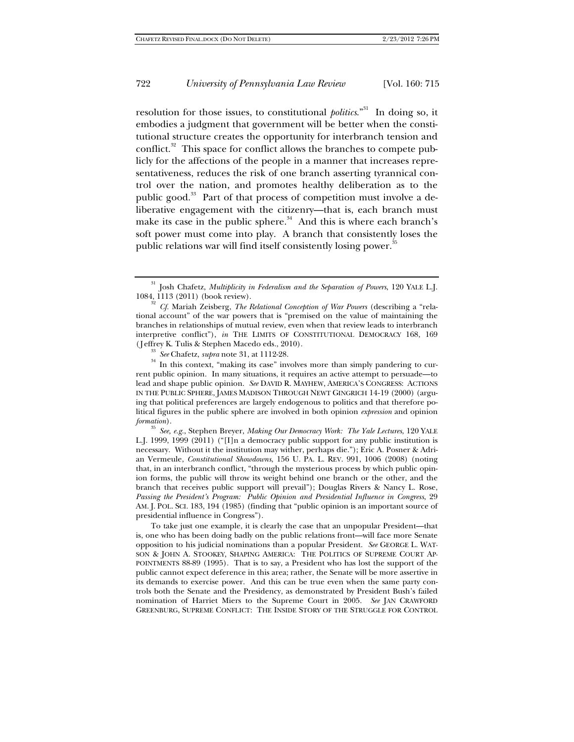resolution for those issues, to constitutional *politics*."31 In doing so, it embodies a judgment that government will be better when the constitutional structure creates the opportunity for interbranch tension and conflict.<sup>32</sup> This space for conflict allows the branches to compete publicly for the affections of the people in a manner that increases representativeness, reduces the risk of one branch asserting tyrannical control over the nation, and promotes healthy deliberation as to the public good.<sup>33</sup> Part of that process of competition must involve a deliberative engagement with the citizenry—that is, each branch must make its case in the public sphere. $34$  And this is where each branch's soft power must come into play. A branch that consistently loses the public relations war will find itself consistently losing power.<sup>3</sup>

<sup>33</sup> *See* Chafetz, *supra* note 31, at 1112-28. **34** In this context, "making its case" involves more than simply pandering to current public opinion. In many situations, it requires an active attempt to persuade—to lead and shape public opinion. *See* DAVID R. MAYHEW, AMERICA'S CONGRESS: ACTIONS IN THE PUBLIC SPHERE, JAMES MADISON THROUGH NEWT GINGRICH 14-19 (2000) (arguing that political preferences are largely endogenous to politics and that therefore political figures in the public sphere are involved in both opinion *expression* and opinion

*formation*). 35 *See, e.g.*, Stephen Breyer, *Making Our Democracy Work: The Yale Lectures*, 120 YALE L.J. 1999, 1999 (2011) ("[I]n a democracy public support for any public institution is necessary. Without it the institution may wither, perhaps die."); Eric A. Posner & Adrian Vermeule, *Constitutional Showdowns*, 156 U. PA. L. REV. 991, 1006 (2008) (noting that, in an interbranch conflict, "through the mysterious process by which public opinion forms, the public will throw its weight behind one branch or the other, and the branch that receives public support will prevail"); Douglas Rivers & Nancy L. Rose, *Passing the President's Program: Public Opinion and Presidential Influence in Congress*, 29 AM. J. POL. SCI. 183, 194 (1985) (finding that "public opinion is an important source of presidential influence in Congress").

 To take just one example, it is clearly the case that an unpopular President—that is, one who has been doing badly on the public relations front—will face more Senate opposition to his judicial nominations than a popular President. *See* GEORGE L. WAT-SON & JOHN A. STOOKEY, SHAPING AMERICA: THE POLITICS OF SUPREME COURT AP-POINTMENTS 88-89 (1995). That is to say, a President who has lost the support of the public cannot expect deference in this area; rather, the Senate will be more assertive in its demands to exercise power. And this can be true even when the same party controls both the Senate and the Presidency, as demonstrated by President Bush's failed nomination of Harriet Miers to the Supreme Court in 2005. *See* JAN CRAWFORD GREENBURG, SUPREME CONFLICT: THE INSIDE STORY OF THE STRUGGLE FOR CONTROL

<sup>&</sup>lt;sup>31</sup> Josh Chafetz, *Multiplicity in Federalism and the Separation of Powers*, 120 YALE L.J. 1084, 1113 (2011) (book review).

<sup>1084, 1113 (2011) (</sup>book review). 32 *Cf.* Mariah Zeisberg, *The Relational Conception of War Powers* (describing a "relational account" of the war powers that is "premised on the value of maintaining the branches in relationships of mutual review, even when that review leads to interbranch interpretive conflict"), *in* THE LIMITS OF CONSTITUTIONAL DEMOCRACY 168, 169 (Jeffrey K. Tulis & Stephen Macedo eds., 2010).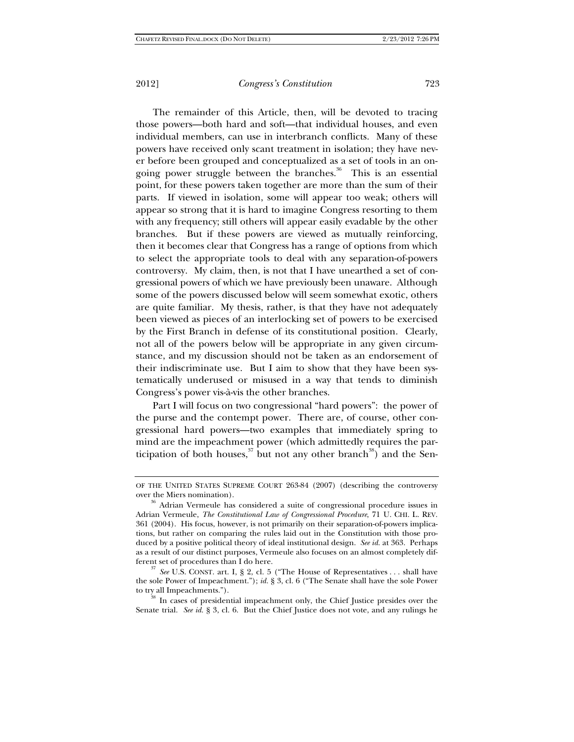The remainder of this Article, then, will be devoted to tracing those powers—both hard and soft—that individual houses, and even individual members, can use in interbranch conflicts. Many of these powers have received only scant treatment in isolation; they have never before been grouped and conceptualized as a set of tools in an ongoing power struggle between the branches.<sup>36</sup> This is an essential point, for these powers taken together are more than the sum of their parts. If viewed in isolation, some will appear too weak; others will appear so strong that it is hard to imagine Congress resorting to them with any frequency; still others will appear easily evadable by the other branches. But if these powers are viewed as mutually reinforcing, then it becomes clear that Congress has a range of options from which to select the appropriate tools to deal with any separation-of-powers controversy. My claim, then, is not that I have unearthed a set of congressional powers of which we have previously been unaware. Although some of the powers discussed below will seem somewhat exotic, others are quite familiar. My thesis, rather, is that they have not adequately been viewed as pieces of an interlocking set of powers to be exercised by the First Branch in defense of its constitutional position. Clearly, not all of the powers below will be appropriate in any given circumstance, and my discussion should not be taken as an endorsement of their indiscriminate use. But I aim to show that they have been systematically underused or misused in a way that tends to diminish Congress's power vis-à-vis the other branches.

Part I will focus on two congressional "hard powers": the power of the purse and the contempt power. There are, of course, other congressional hard powers—two examples that immediately spring to mind are the impeachment power (which admittedly requires the participation of both houses,  $37$  but not any other branch<sup>38</sup>) and the Sen-

<sup>37</sup> See U.S. CONST. art. I, § 2, cl. 5 ("The House of Representatives . . . shall have the sole Power of Impeachment."); *id.* § 3, cl. 6 ("The Senate shall have the sole Power to try all Impeachments.").<br><sup>38</sup> In cases of presidential impeachment only, the Chief Justice presides over the

Senate trial. *See id.* § 3, cl. 6. But the Chief Justice does not vote, and any rulings he

OF THE UNITED STATES SUPREME COURT 263-84 (2007) (describing the controversy over the Miers nomination).<br><sup>36</sup> Adrian Vermeule has considered a suite of congressional procedure issues in

Adrian Vermeule, *The Constitutional Law of Congressional Procedure*, 71 U. CHI. L. REV. 361 (2004). His focus, however, is not primarily on their separation-of-powers implications, but rather on comparing the rules laid out in the Constitution with those produced by a positive political theory of ideal institutional design. *See id.* at 363. Perhaps as a result of our distinct purposes, Vermeule also focuses on an almost completely dif-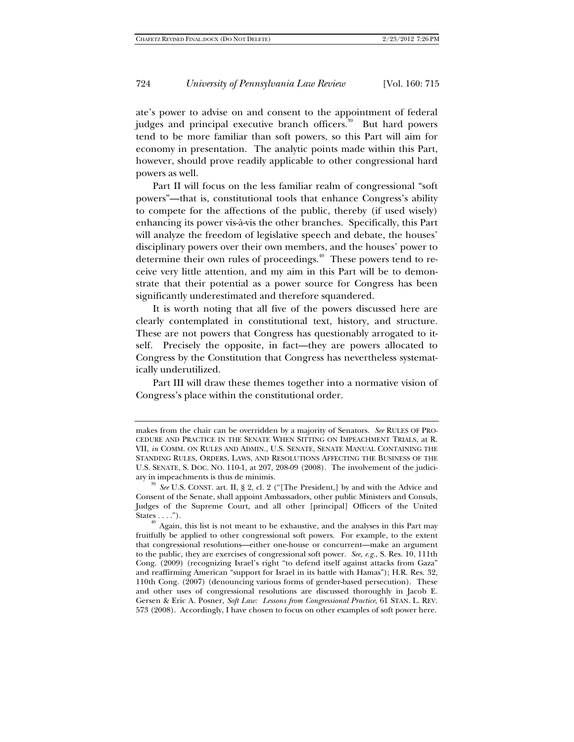ate's power to advise on and consent to the appointment of federal judges and principal executive branch officers.<sup>39</sup> But hard powers tend to be more familiar than soft powers, so this Part will aim for economy in presentation. The analytic points made within this Part, however, should prove readily applicable to other congressional hard powers as well.

Part II will focus on the less familiar realm of congressional "soft powers"—that is, constitutional tools that enhance Congress's ability to compete for the affections of the public, thereby (if used wisely) enhancing its power vis-à-vis the other branches. Specifically, this Part will analyze the freedom of legislative speech and debate, the houses' disciplinary powers over their own members, and the houses' power to determine their own rules of proceedings.<sup>40</sup> These powers tend to receive very little attention, and my aim in this Part will be to demonstrate that their potential as a power source for Congress has been significantly underestimated and therefore squandered.

It is worth noting that all five of the powers discussed here are clearly contemplated in constitutional text, history, and structure. These are not powers that Congress has questionably arrogated to itself. Precisely the opposite, in fact—they are powers allocated to Congress by the Constitution that Congress has nevertheless systematically underutilized.

Part III will draw these themes together into a normative vision of Congress's place within the constitutional order.

makes from the chair can be overridden by a majority of Senators. *See* RULES OF PRO-CEDURE AND PRACTICE IN THE SENATE WHEN SITTING ON IMPEACHMENT TRIALS, at R. VII, *in* COMM. ON RULES AND ADMIN., U.S. SENATE, SENATE MANUAL CONTAINING THE STANDING RULES, ORDERS, LAWS, AND RESOLUTIONS AFFECTING THE BUSINESS OF THE U.S. SENATE, S. DOC. NO. 110-1, at 207, 208-09 (2008). The involvement of the judiciary in impeachments is thus de minimis. 39 *See* U.S. CONST. art. II, § 2, cl. 2 ("[The President,] by and with the Advice and

Consent of the Senate, shall appoint Ambassadors, other public Ministers and Consuls, Judges of the Supreme Court, and all other [principal] Officers of the United

 $^{40}$  Again, this list is not meant to be exhaustive, and the analyses in this Part may fruitfully be applied to other congressional soft powers. For example, to the extent that congressional resolutions—either one-house or concurrent—make an argument to the public, they are exercises of congressional soft power. *See, e.g.*, S. Res. 10, 111th Cong. (2009) (recognizing Israel's right "to defend itself against attacks from Gaza" and reaffirming American "support for Israel in its battle with Hamas"); H.R. Res. 32, 110th Cong. (2007) (denouncing various forms of gender-based persecution). These and other uses of congressional resolutions are discussed thoroughly in Jacob E. Gersen & Eric A. Posner, *Soft Law: Lessons from Congressional Practice*, 61 STAN. L. REV. 573 (2008). Accordingly, I have chosen to focus on other examples of soft power here.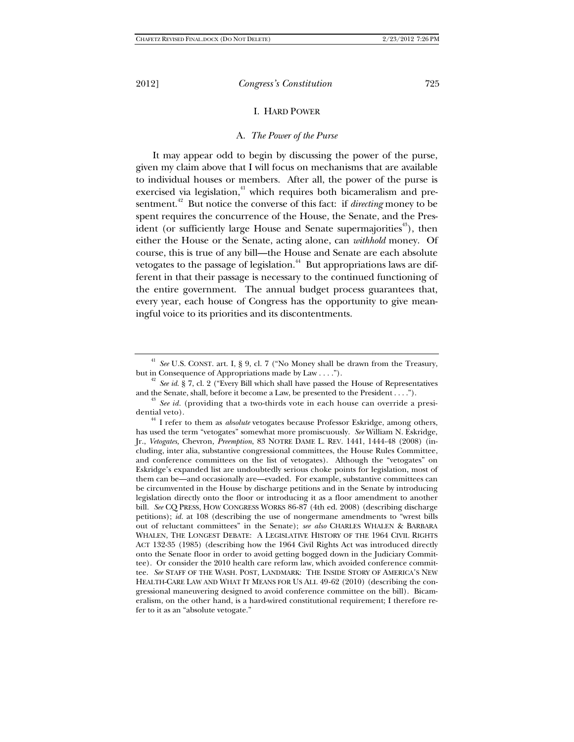#### I. HARD POWER

#### A. *The Power of the Purse*

It may appear odd to begin by discussing the power of the purse, given my claim above that I will focus on mechanisms that are available to individual houses or members. After all, the power of the purse is exercised via legislation, $4$ <sup>1</sup> which requires both bicameralism and presentment.<sup>42</sup> But notice the converse of this fact: if *directing* money to be spent requires the concurrence of the House, the Senate, and the President (or sufficiently large House and Senate supermajorities<sup> $43$ </sup>), then either the House or the Senate, acting alone, can *withhold* money. Of course, this is true of any bill—the House and Senate are each absolute vetogates to the passage of legislation.<sup>44</sup> But appropriations laws are different in that their passage is necessary to the continued functioning of the entire government. The annual budget process guarantees that, every year, each house of Congress has the opportunity to give meaningful voice to its priorities and its discontentments.

<sup>&</sup>lt;sup>41</sup> See U.S. CONST. art. I, § 9, cl. 7 ("No Money shall be drawn from the Treasury,

but in Consequence of Appropriations made by Law . . . .").<br><sup>42</sup> *See id.* § 7, cl. 2 ("Every Bill which shall have passed the House of Representatives and the Senate, shall, before it become a Law, be presented to the President . . . ."). 43 *See id.* (providing that a two-thirds vote in each house can override a presi-

dential veto). 44 I refer to them as *absolute* vetogates because Professor Eskridge, among others, has used the term "vetogates" somewhat more promiscuously. *See* William N. Eskridge, Jr., *Vetogates,* Chevron*, Preemption*, 83 NOTRE DAME L. REV. 1441, 1444-48 (2008) (including, inter alia, substantive congressional committees, the House Rules Committee, and conference committees on the list of vetogates). Although the "vetogates" on Eskridge's expanded list are undoubtedly serious choke points for legislation, most of them can be—and occasionally are—evaded. For example, substantive committees can be circumvented in the House by discharge petitions and in the Senate by introducing legislation directly onto the floor or introducing it as a floor amendment to another bill. *See* CQ PRESS, HOW CONGRESS WORKS 86-87 (4th ed. 2008) (describing discharge petitions); *id.* at 108 (describing the use of nongermane amendments to "wrest bills out of reluctant committees" in the Senate); *see also* CHARLES WHALEN & BARBARA WHALEN, THE LONGEST DEBATE: A LEGISLATIVE HISTORY OF THE 1964 CIVIL RIGHTS ACT 132-35 (1985) (describing how the 1964 Civil Rights Act was introduced directly onto the Senate floor in order to avoid getting bogged down in the Judiciary Committee). Or consider the 2010 health care reform law, which avoided conference committee. *See* STAFF OF THE WASH. POST, LANDMARK: THE INSIDE STORY OF AMERICA'S NEW HEALTH-CARE LAW AND WHAT IT MEANS FOR US ALL 49-62 (2010) (describing the congressional maneuvering designed to avoid conference committee on the bill). Bicameralism, on the other hand, is a hard-wired constitutional requirement; I therefore refer to it as an "absolute vetogate."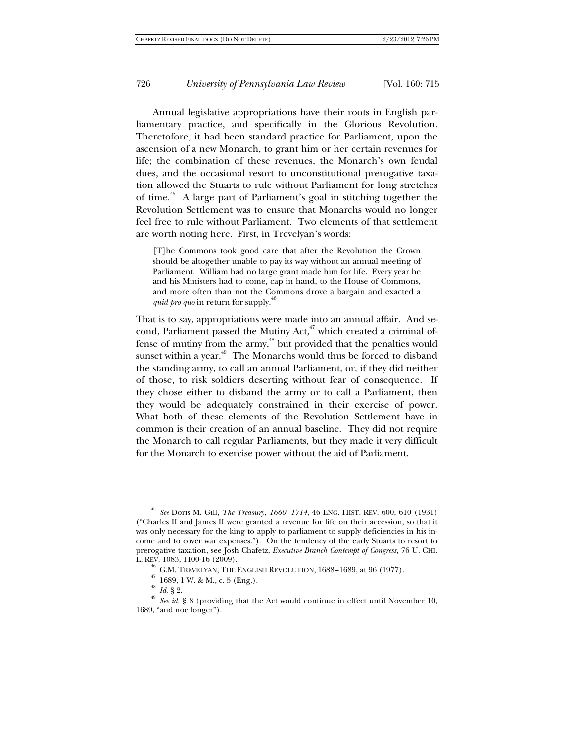Annual legislative appropriations have their roots in English parliamentary practice, and specifically in the Glorious Revolution. Theretofore, it had been standard practice for Parliament, upon the ascension of a new Monarch, to grant him or her certain revenues for life; the combination of these revenues, the Monarch's own feudal dues, and the occasional resort to unconstitutional prerogative taxation allowed the Stuarts to rule without Parliament for long stretches of time.<sup>45</sup> A large part of Parliament's goal in stitching together the Revolution Settlement was to ensure that Monarchs would no longer feel free to rule without Parliament. Two elements of that settlement are worth noting here. First, in Trevelyan's words:

[T]he Commons took good care that after the Revolution the Crown should be altogether unable to pay its way without an annual meeting of Parliament. William had no large grant made him for life. Every year he and his Ministers had to come, cap in hand, to the House of Commons, and more often than not the Commons drove a bargain and exacted a *quid pro quo* in return for supply.<sup>46</sup>

That is to say, appropriations were made into an annual affair. And second, Parliament passed the Mutiny Act,<sup>47</sup> which created a criminal offense of mutiny from the  $army<sub>1</sub><sup>48</sup>$  but provided that the penalties would sunset within a year.<sup>49</sup> The Monarchs would thus be forced to disband the standing army, to call an annual Parliament, or, if they did neither of those, to risk soldiers deserting without fear of consequence. If they chose either to disband the army or to call a Parliament, then they would be adequately constrained in their exercise of power. What both of these elements of the Revolution Settlement have in common is their creation of an annual baseline. They did not require the Monarch to call regular Parliaments, but they made it very difficult for the Monarch to exercise power without the aid of Parliament.

<sup>45</sup> *See* Doris M. Gill, *The Treasury, 1660–1714*, 46 ENG. HIST. REV. 600, 610 (1931) ("Charles II and James II were granted a revenue for life on their accession, so that it was only necessary for the king to apply to parliament to supply deficiencies in his income and to cover war expenses."). On the tendency of the early Stuarts to resort to prerogative taxation, see Josh Chafetz, *Executive Branch Contempt of Congress*, 76 U. CHI.

<sup>&</sup>lt;sup>46</sup> G.M. TREVELYAN, THE ENGLISH REVOLUTION, 1688–1689, at 96 (1977).<br><sup>47</sup> 1689, 1 W. & M., c. 5 (Eng.).<br><sup>48</sup> *Id*. § 2.<br><sup>49</sup> *See id.* § 8 (providing that the Act would continue in effect until November 10,<br><sup>49</sup> *See id.* 1689, "and noe longer").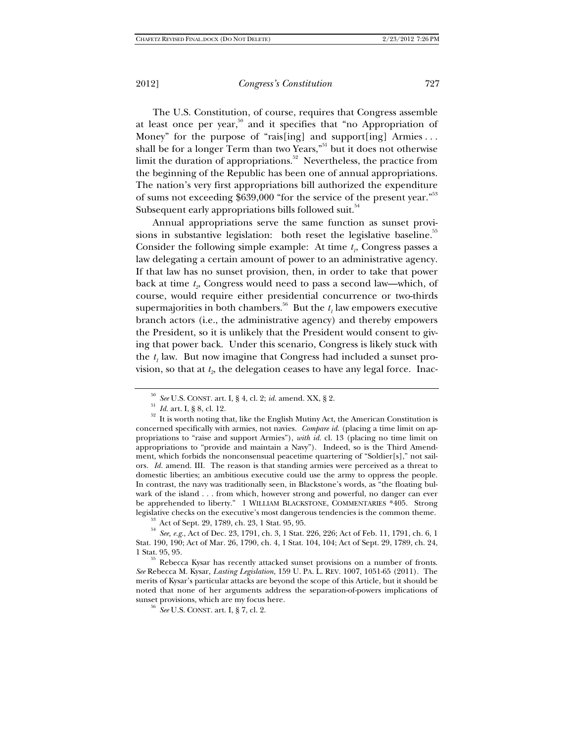The U.S. Constitution, of course, requires that Congress assemble at least once per year, $50$  and it specifies that "no Appropriation of Money" for the purpose of "rais[ing] and support[ing] Armies . . . shall be for a longer Term than two Years,"<sup>51</sup> but it does not otherwise limit the duration of appropriations.<sup>52</sup> Nevertheless, the practice from the beginning of the Republic has been one of annual appropriations. The nation's very first appropriations bill authorized the expenditure of sums not exceeding \$639,000 "for the service of the present year."<sup>53</sup> Subsequent early appropriations bills followed suit.<sup>54</sup>

Annual appropriations serve the same function as sunset provisions in substantive legislation: both reset the legislative baseline.<sup>55</sup> Consider the following simple example: At time  $t<sub>i</sub>$ , Congress passes a law delegating a certain amount of power to an administrative agency. If that law has no sunset provision, then, in order to take that power back at time  $t<sub>2</sub>$ . Congress would need to pass a second law—which, of course, would require either presidential concurrence or two-thirds supermajorities in both chambers.<sup>56</sup> But the  $t_1$  law empowers executive branch actors (i.e., the administrative agency) and thereby empowers the President, so it is unlikely that the President would consent to giving that power back. Under this scenario, Congress is likely stuck with the  $t_1$  law. But now imagine that Congress had included a sunset provision, so that at  $t<sub>2</sub>$ , the delegation ceases to have any legal force. Inac-

<sup>&</sup>lt;sup>50</sup> *See* U.S. CONST. art. I, § 4, cl. 2; *id.* amend. XX, § 2.<br><sup>51</sup> *Id.* art. I, § 8, cl. 12.<br><sup>52</sup> It is worth noting that, like the English Mutiny Act, the American Constitution is concerned specifically with armies, not navies. *Compare id.* (placing a time limit on appropriations to "raise and support Armies"), *with id.* cl. 13 (placing no time limit on appropriations to "provide and maintain a Navy"). Indeed, so is the Third Amendment, which forbids the nonconsensual peacetime quartering of "Soldier[s]," not sailors. *Id.* amend. III. The reason is that standing armies were perceived as a threat to domestic liberties; an ambitious executive could use the army to oppress the people. In contrast, the navy was traditionally seen, in Blackstone's words, as "the floating bulwark of the island . . . from which, however strong and powerful, no danger can ever be apprehended to liberty." 1 WILLIAM BLACKSTONE, COMMENTARIES \*405. Strong legislative checks on the executive's most dangerous tendencies is the common theme.

<sup>&</sup>lt;sup>35</sup> Act of Sept. 29, 1789, ch. 23, 1 Stat. 95, 95.<br><sup>54</sup> See, e.g., Act of Dec. 23, 1791, ch. 3, 1 Stat. 226, 226; Act of Feb. 11, 1791, ch. 6, 1 Stat. 190, 190; Act of Mar. 26, 1790, ch. 4, 1 Stat. 104, 104; Act of Sept. 29, 1789, ch. 24,

<sup>1</sup> Stat. 95, 95.  $^{55}$  Rebecca Kysar has recently attacked sunset provisions on a number of fronts. *See* Rebecca M. Kysar, *Lasting Legislation*, 159 U. PA. L. REV. 1007, 1051-65 (2011). The merits of Kysar's particular attacks are beyond the scope of this Article, but it should be noted that none of her arguments address the separation-of-powers implications of

<sup>&</sup>lt;sup>56</sup> See U.S. CONST. art. I, § 7, cl. 2.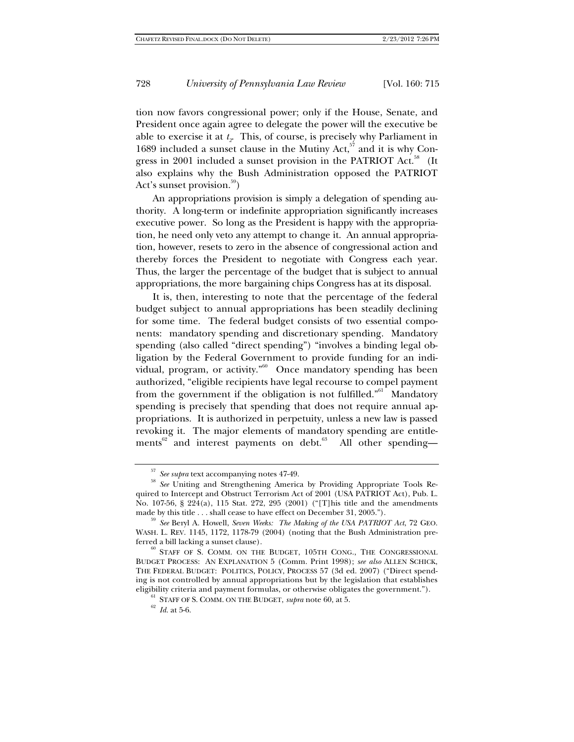tion now favors congressional power; only if the House, Senate, and President once again agree to delegate the power will the executive be able to exercise it at  $t<sub>2</sub>$ . This, of course, is precisely why Parliament in 1689 included a sunset clause in the Mutiny  $Act$ ,  $5\frac{1}{7}$  and it is why Congress in 2001 included a sunset provision in the PATRIOT Act.<sup>58</sup> (It also explains why the Bush Administration opposed the PATRIOT Act's sunset provision.<sup>59</sup>)

An appropriations provision is simply a delegation of spending authority. A long-term or indefinite appropriation significantly increases executive power. So long as the President is happy with the appropriation, he need only veto any attempt to change it. An annual appropriation, however, resets to zero in the absence of congressional action and thereby forces the President to negotiate with Congress each year. Thus, the larger the percentage of the budget that is subject to annual appropriations, the more bargaining chips Congress has at its disposal.

It is, then, interesting to note that the percentage of the federal budget subject to annual appropriations has been steadily declining for some time. The federal budget consists of two essential components: mandatory spending and discretionary spending. Mandatory spending (also called "direct spending") "involves a binding legal obligation by the Federal Government to provide funding for an individual, program, or activity."60 Once mandatory spending has been authorized, "eligible recipients have legal recourse to compel payment from the government if the obligation is not fulfilled."<sup>61</sup> Mandatory spending is precisely that spending that does not require annual appropriations. It is authorized in perpetuity, unless a new law is passed revoking it. The major elements of mandatory spending are entitlements<sup>62</sup> and interest payments on debt.<sup>63</sup> All other spending—

<sup>57</sup> *See supra* text accompanying notes 47-49. 58 *See* Uniting and Strengthening America by Providing Appropriate Tools Required to Intercept and Obstruct Terrorism Act of 2001 (USA PATRIOT Act), Pub. L. No. 107-56, §  $224(a)$ , 115 Stat. 272, 295 (2001) ("[T]his title and the amendments made by this title ... shall cease to have effect on December 31, 2005.").

<sup>&</sup>lt;sup>59</sup> See Beryl A. Howell, Seven Weeks: The Making of the USA PATRIOT Act, 72 GEO. WASH. L. REV. 1145, 1172, 1178-79 (2004) (noting that the Bush Administration preferred a bill lacking a sunset clause).<br><sup>60</sup> STAFF OF S. COMM. ON THE BUDGET, 105TH CONG., THE CONGRESSIONAL

BUDGET PROCESS: AN EXPLANATION 5 (Comm. Print 1998); *see also* ALLEN SCHICK, THE FEDERAL BUDGET: POLITICS, POLICY, PROCESS 57 (3d ed. 2007) ("Direct spending is not controlled by annual appropriations but by the legislation that establishes eligibility criteria and payment formulas, or otherwise obligates the government.").<br><sup>61</sup> STAFF OF S. COMM. ON THE BUDGET, *supra* note 60, at 5. <sup>62</sup> *Id.* at 5-6.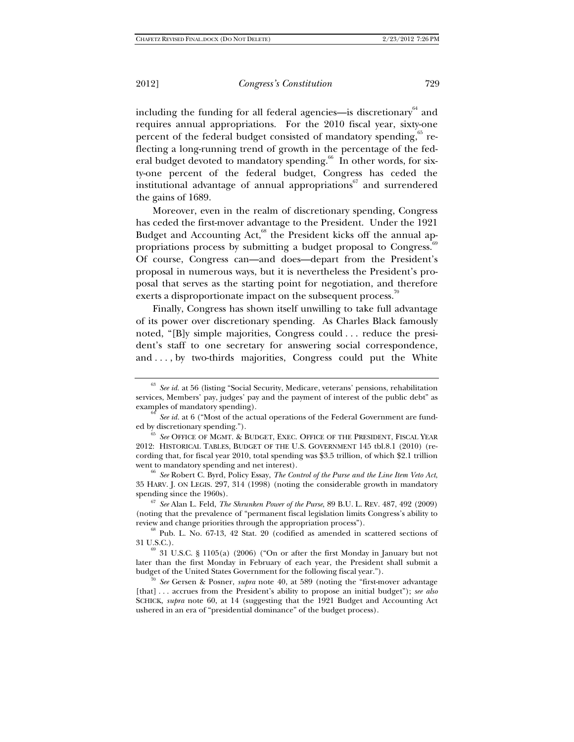including the funding for all federal agencies—is discretionary $64$  and requires annual appropriations. For the 2010 fiscal year, sixty-one percent of the federal budget consisted of mandatory spending,<sup>65</sup> reflecting a long-running trend of growth in the percentage of the federal budget devoted to mandatory spending.<sup>66</sup> In other words, for sixty-one percent of the federal budget, Congress has ceded the institutional advantage of annual appropriations $67$  and surrendered the gains of 1689.

Moreover, even in the realm of discretionary spending, Congress has ceded the first-mover advantage to the President. Under the 1921 Budget and Accounting Act, $^{68}$  the President kicks off the annual appropriations process by submitting a budget proposal to Congress. $69$ Of course, Congress can—and does—depart from the President's proposal in numerous ways, but it is nevertheless the President's proposal that serves as the starting point for negotiation, and therefore exerts a disproportionate impact on the subsequent process.<sup>70</sup>

Finally, Congress has shown itself unwilling to take full advantage of its power over discretionary spending. As Charles Black famously noted, "[B]y simple majorities, Congress could . . . reduce the president's staff to one secretary for answering social correspondence, and . . . , by two-thirds majorities, Congress could put the White

(noting that the prevalence of "permanent fiscal legislation limits Congress's ability to review and change priorities through the appropriation process"). 68 Pub. L. No. 67-13, 42 Stat. 20 (codified as amended in scattered sections of

31 U.S.C.).  $^{69}$  31 U.S.C. § 1105(a) (2006) ("On or after the first Monday in January but not later than the first Monday in February of each year, the President shall submit a budget of the United States Government for the following fiscal year."). 70 *See* Gersen & Posner, *supra* note 40, at 589 (noting the "first-mover advantage

[that] . . . accrues from the President's ability to propose an initial budget"); *see also* SCHICK, *supra* note 60, at 14 (suggesting that the 1921 Budget and Accounting Act ushered in an era of "presidential dominance" of the budget process).

<sup>63</sup> *See id.* at 56 (listing "Social Security, Medicare, veterans' pensions, rehabilitation services, Members' pay, judges' pay and the payment of interest of the public debt" as examples of mandatory spending).

<sup>&</sup>lt;sup>64</sup> *See id.* at 6 ("Most of the actual operations of the Federal Government are funded by discretionary spending.").

<sup>&</sup>lt;sup>65</sup> See OFFICE OF MGMT. & BUDGET, EXEC. OFFICE OF THE PRESIDENT, FISCAL YEAR 2012: HISTORICAL TABLES, BUDGET OF THE U.S. GOVERNMENT 145 tbl.8.1 (2010) (recording that, for fiscal year 2010, total spending was \$3.5 trillion, of which \$2.1 trillion

<sup>&</sup>lt;sup>66</sup> See Robert C. Byrd, Policy Essay, *The Control of the Purse and the Line Item Veto Act*, 35 HARV. J. ON LEGIS. 297, 314 (1998) (noting the considerable growth in mandatory spending since the 1960s). 67 *See* Alan L. Feld, *The Shrunken Power of the Purse*, 89 B.U. L. REV. 487, 492 (2009)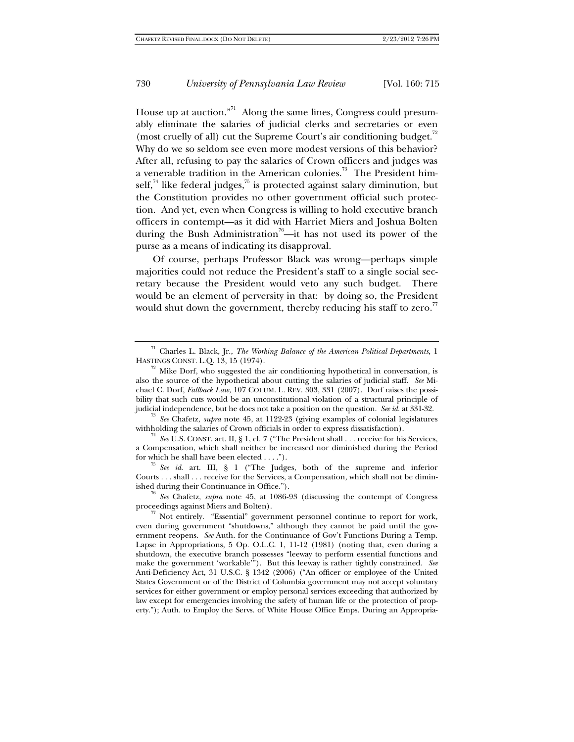House up at auction."<sup>71</sup> Along the same lines, Congress could presumably eliminate the salaries of judicial clerks and secretaries or even (most cruelly of all) cut the Supreme Court's air conditioning budget.<sup>72</sup> Why do we so seldom see even more modest versions of this behavior? After all, refusing to pay the salaries of Crown officers and judges was a venerable tradition in the American colonies.<sup>73</sup> The President himself, $74$  like federal judges, $75$  is protected against salary diminution, but the Constitution provides no other government official such protection. And yet, even when Congress is willing to hold executive branch officers in contempt—as it did with Harriet Miers and Joshua Bolten during the Bush Administration<sup>76</sup>—it has not used its power of the purse as a means of indicating its disapproval.

Of course, perhaps Professor Black was wrong—perhaps simple majorities could not reduce the President's staff to a single social secretary because the President would veto any such budget. There would be an element of perversity in that: by doing so, the President would shut down the government, thereby reducing his staff to zero. $^{77}$ 

<sup>73</sup> See Chafetz, *supra* note 45, at 1122-23 (giving examples of colonial legislatures withholding the salaries of Crown officials in order to express dissatisfaction).

<sup>74</sup> *See* U.S. CONST. art. II, § 1, cl. 7 ("The President shall . . . receive for his Services, a Compensation, which shall neither be increased nor diminished during the Period for which he shall have been elected  $\dots$ .

 $\frac{75}{3}$  *See id.* art. III, § 1 ("The Judges, both of the supreme and inferior Courts . . . shall . . . receive for the Services, a Compensation, which shall not be dimin-

ished during their Continuance in Office.").<br><sup>76</sup> *See* Chafetz, *supra* note 45, at 1086-93 (discussing the contempt of Congress proceedings against Miers and Bolten).

 $\frac{77}{10}$  Not entirely. "Essential" government personnel continue to report for work, even during government "shutdowns," although they cannot be paid until the government reopens. *See* Auth. for the Continuance of Gov't Functions During a Temp. Lapse in Appropriations, 5 Op. O.L.C. 1, 11-12 (1981) (noting that, even during a shutdown, the executive branch possesses "leeway to perform essential functions and make the government 'workable'"). But this leeway is rather tightly constrained. *See* Anti-Deficiency Act, 31 U.S.C. § 1342 (2006) ("An officer or employee of the United States Government or of the District of Columbia government may not accept voluntary services for either government or employ personal services exceeding that authorized by law except for emergencies involving the safety of human life or the protection of property."); Auth. to Employ the Servs. of White House Office Emps. During an Appropria-

<sup>71</sup> Charles L. Black, Jr., *The Working Balance of the American Political Departments*, 1

 $\frac{72}{12}$  Mike Dorf, who suggested the air conditioning hypothetical in conversation, is also the source of the hypothetical about cutting the salaries of judicial staff. *See* Michael C. Dorf, *Fallback Law*, 107 COLUM. L. REV. 303, 331 (2007). Dorf raises the possibility that such cuts would be an unconstitutional violation of a structural principle of judicial independence, but he does not take a position on the question. *See id.* at 331-32.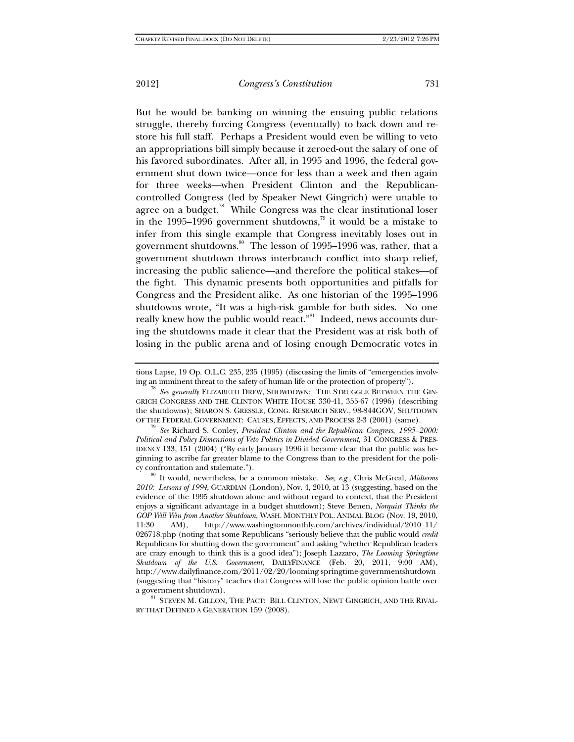But he would be banking on winning the ensuing public relations struggle, thereby forcing Congress (eventually) to back down and restore his full staff. Perhaps a President would even be willing to veto an appropriations bill simply because it zeroed-out the salary of one of his favored subordinates. After all, in 1995 and 1996, the federal government shut down twice—once for less than a week and then again for three weeks—when President Clinton and the Republicancontrolled Congress (led by Speaker Newt Gingrich) were unable to agree on a budget.<sup>78</sup> While Congress was the clear institutional loser in the 1995–1996 government shutdowns,<sup>79</sup> it would be a mistake to infer from this single example that Congress inevitably loses out in government shutdowns.<sup>80</sup> The lesson of 1995–1996 was, rather, that a government shutdown throws interbranch conflict into sharp relief, increasing the public salience—and therefore the political stakes—of the fight. This dynamic presents both opportunities and pitfalls for Congress and the President alike. As one historian of the 1995–1996 shutdowns wrote, "It was a high-risk gamble for both sides. No one really knew how the public would react."<sup>81</sup> Indeed, news accounts during the shutdowns made it clear that the President was at risk both of losing in the public arena and of losing enough Democratic votes in

tions Lapse, 19 Op. O.L.C. 235, 235 (1995) (discussing the limits of "emergencies involving an imminent threat to the safety of human life or the protection of property"). 78 *See generally* ELIZABETH DREW, SHOWDOWN: THE STRUGGLE BETWEEN THE GIN-

GRICH CONGRESS AND THE CLINTON WHITE HOUSE 330-41, 355-67 (1996) (describing the shutdowns); SHARON S. GRESSLE, CONG. RESEARCH SERV., 98-844GOV, SHUTDOWN OF THE FEDERAL GOVERNMENT: CAUSES, EFFECTS, AND PROCESS 2-3 (2001) (same).

<sup>79</sup> See Richard S. Conley, President Clinton and the Republican Congress, 1995–2000: *Political and Policy Dimensions of Veto Politics in Divided Government*, 31 CONGRESS & PRES-IDENCY 133, 151 (2004) ("By early January 1996 it became clear that the public was beginning to ascribe far greater blame to the Congress than to the president for the poli-

cy confrontation and stalemate."). 80 It would, nevertheless, be a common mistake. *See, e.g.*, Chris McGreal, *Midterms 2010: Lessons of 1994*, GUARDIAN (London), Nov. 4, 2010, at 13 (suggesting, based on the evidence of the 1995 shutdown alone and without regard to context, that the President enjoys a significant advantage in a budget shutdown); Steve Benen, *Norquist Thinks the GOP Will Win from Another Shutdown*, WASH. MONTHLY POL. ANIMAL BLOG (Nov. 19, 2010, 11:30 AM), http://www.washingtonmonthly.com/archives/individual/2010\_11/ 026718.php (noting that some Republicans "seriously believe that the public would *credit* Republicans for shutting down the government" and asking "whether Republican leaders are crazy enough to think this is a good idea"); Joseph Lazzaro, *The Looming Springtime Shutdown of the U.S. Government*, DAILYFINANCE (Feb. 20, 2011, 9:00 AM), http://www.dailyfinance.com/2011/02/20/looming-springtime-governmentshutdown (suggesting that "history" teaches that Congress will lose the public opinion battle over

a government shutdown).<br><sup>81</sup> STEVEN M. GILLON, THE PACT: BILL CLINTON, NEWT GINGRICH, AND THE RIVAL-RY THAT DEFINED A GENERATION 159 (2008).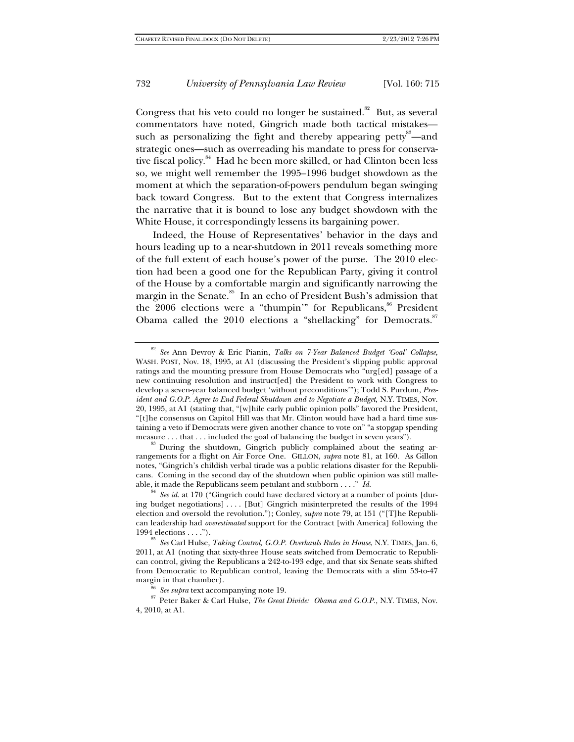Congress that his veto could no longer be sustained. $82$  But, as several commentators have noted, Gingrich made both tactical mistakes such as personalizing the fight and thereby appearing petty<sup>83</sup>—and strategic ones—such as overreading his mandate to press for conservative fiscal policy.<sup>84</sup> Had he been more skilled, or had Clinton been less so, we might well remember the 1995–1996 budget showdown as the moment at which the separation-of-powers pendulum began swinging back toward Congress. But to the extent that Congress internalizes the narrative that it is bound to lose any budget showdown with the White House, it correspondingly lessens its bargaining power.

Indeed, the House of Representatives' behavior in the days and hours leading up to a near-shutdown in 2011 reveals something more of the full extent of each house's power of the purse. The 2010 election had been a good one for the Republican Party, giving it control of the House by a comfortable margin and significantly narrowing the margin in the Senate.<sup>85</sup> In an echo of President Bush's admission that the  $2006$  elections were a "thumpin" for Republicans,  $86$  President Obama called the 2010 elections a "shellacking" for Democrats.<sup>87</sup>

 $^{83}$  During the shutdown, Gingrich publicly complained about the seating arrangements for a flight on Air Force One. GILLON, *supra* note 81, at 160. As Gillon notes, "Gingrich's childish verbal tirade was a public relations disaster for the Republicans. Coming in the second day of the shutdown when public opinion was still malleable, it made the Republicans seem petulant and stubborn . . . ." *Id.*

<sup>84</sup> *See id.* at 170 ("Gingrich could have declared victory at a number of points [during budget negotiations .... [But] Gingrich misinterpreted the results of the 1994 election and oversold the revolution."); Conley, *supra* note 79, at 151 ("[T]he Republican leadership had *overestimated* support for the Contract [with America] following the

margin in that chamber).<br><sup>86</sup> *See supra* text accompanying note 19.<br><sup>87</sup> Peter Baker & Carl Hulse, *The Great Divide: Obama and G.O.P.*, N.Y. TIMES, Nov. 4, 2010, at A1.

<sup>82</sup> *See* Ann Devroy & Eric Pianin, *Talks on 7-Year Balanced Budget 'Goal' Collapse*, WASH. POST, Nov. 18, 1995, at A1 (discussing the President's slipping public approval ratings and the mounting pressure from House Democrats who "urg[ed] passage of a new continuing resolution and instruct[ed] the President to work with Congress to develop a seven-year balanced budget 'without preconditions'"); Todd S. Purdum, *President and G.O.P. Agree to End Federal Shutdown and to Negotiate a Budget*, N.Y. TIMES, Nov. 20, 1995, at A1 (stating that, "[w]hile early public opinion polls" favored the President, "[t]he consensus on Capitol Hill was that Mr. Clinton would have had a hard time sustaining a veto if Democrats were given another chance to vote on" "a stopgap spending measure . . . that . . . included the goal of balancing the budget in seven years").

 $^{85}$  See Carl Hulse, *Taking Control, G.O.P. Overhauls Rules in House*, N.Y. TIMES, Jan. 6, 2011, at A1 (noting that sixty-three House seats switched from Democratic to Republican control, giving the Republicans a 242-to-193 edge, and that six Senate seats shifted from Democratic to Republican control, leaving the Democrats with a slim 53-to-47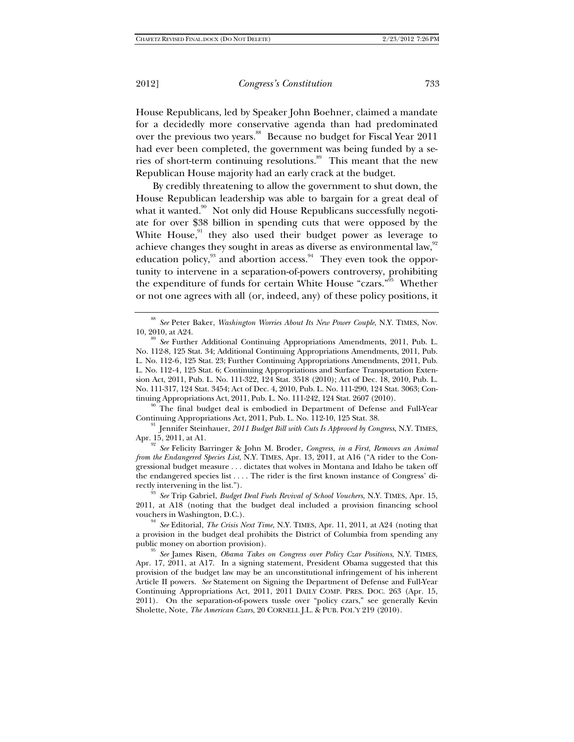House Republicans, led by Speaker John Boehner, claimed a mandate for a decidedly more conservative agenda than had predominated over the previous two years.<sup>88</sup> Because no budget for Fiscal Year 2011 had ever been completed, the government was being funded by a series of short-term continuing resolutions.<sup>89</sup> This meant that the new Republican House majority had an early crack at the budget.

By credibly threatening to allow the government to shut down, the House Republican leadership was able to bargain for a great deal of what it wanted.<sup>90</sup> Not only did House Republicans successfully negotiate for over \$38 billion in spending cuts that were opposed by the White House, $91$  they also used their budget power as leverage to achieve changes they sought in areas as diverse as environmental law,<sup>92</sup> education policy, $93$  and abortion access. $94$  They even took the opportunity to intervene in a separation-of-powers controversy, prohibiting the expenditure of funds for certain White House "czars."95 Whether or not one agrees with all (or, indeed, any) of these policy positions, it

Continuing Appropriations Act, 2011, Pub. L. No. 112-10, 125 Stat. 38.<br><sup>91</sup> Jennifer Steinhauer, *2011 Budget Bill with Cuts Is Approved by Congress*, N.Y. TIMES, Apr. 15, 2011, at A1.

<sup>92</sup> See Felicity Barringer & John M. Broder, *Congress, in a First, Removes an Animal from the Endangered Species List*, N.Y. TIMES, Apr. 13, 2011, at A16 ("A rider to the Congressional budget measure . . . dictates that wolves in Montana and Idaho be taken off the endangered species list . . . . The rider is the first known instance of Congress' directly intervening in the list."). 93 *See* Trip Gabriel, *Budget Deal Fuels Revival of School Vouchers*, N.Y. TIMES, Apr. 15,

2011, at A18 (noting that the budget deal included a provision financing school vouchers in Washington, D.C.). 94 *See* Editorial, *The Crisis Next Time*, N.Y. TIMES, Apr. 11, 2011, at A24 (noting that

a provision in the budget deal prohibits the District of Columbia from spending any public money on abortion provision). 95 *See* James Risen, *Obama Takes on Congress over Policy Czar Positions*, N.Y. TIMES,

Apr. 17, 2011, at A17. In a signing statement, President Obama suggested that this provision of the budget law may be an unconstitutional infringement of his inherent Article II powers. *See* Statement on Signing the Department of Defense and Full-Year Continuing Appropriations Act, 2011, 2011 DAILY COMP. PRES. DOC. 263 (Apr. 15, 2011). On the separation-of-powers tussle over "policy czars," see generally Kevin Sholette, Note, *The American Czars*, 20 CORNELL J.L. & PUB. POL'Y 219 (2010).

<sup>88</sup> *See* Peter Baker, *Washington Worries About Its New Power Couple*, N.Y. TIMES, Nov.

<sup>10, 2010,</sup> at A24. 89 *See* Further Additional Continuing Appropriations Amendments, 2011, Pub. L. No. 112-8, 125 Stat. 34; Additional Continuing Appropriations Amendments, 2011, Pub. L. No. 112-6, 125 Stat. 23; Further Continuing Appropriations Amendments, 2011, Pub. L. No. 112-4, 125 Stat. 6; Continuing Appropriations and Surface Transportation Extension Act, 2011, Pub. L. No. 111-322, 124 Stat. 3518 (2010); Act of Dec. 18, 2010, Pub. L. No. 111-317, 124 Stat. 3454; Act of Dec. 4, 2010, Pub. L. No. 111-290, 124 Stat. 3063; Continuing Appropriations Act, 2011, Pub. L. No. 111-242, 124 Stat. 2607 (2010).<br><sup>90</sup> The final budget deal is embodied in Department of Defense and Full-Year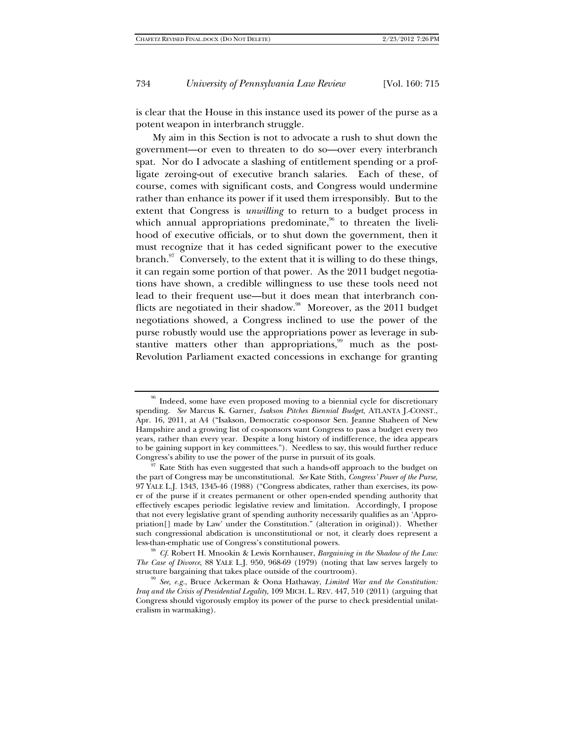is clear that the House in this instance used its power of the purse as a potent weapon in interbranch struggle.

My aim in this Section is not to advocate a rush to shut down the government—or even to threaten to do so—over every interbranch spat. Nor do I advocate a slashing of entitlement spending or a profligate zeroing-out of executive branch salaries. Each of these, of course, comes with significant costs, and Congress would undermine rather than enhance its power if it used them irresponsibly. But to the extent that Congress is *unwilling* to return to a budget process in which annual appropriations predominate, $96$  to threaten the livelihood of executive officials, or to shut down the government, then it must recognize that it has ceded significant power to the executive branch. $\frac{97}{10}$  Conversely, to the extent that it is willing to do these things, it can regain some portion of that power. As the 2011 budget negotiations have shown, a credible willingness to use these tools need not lead to their frequent use—but it does mean that interbranch conflicts are negotiated in their shadow.<sup>98</sup> Moreover, as the 2011 budget negotiations showed, a Congress inclined to use the power of the purse robustly would use the appropriations power as leverage in substantive matters other than appropriations, $99$  much as the post-Revolution Parliament exacted concessions in exchange for granting

<sup>&</sup>lt;sup>96</sup> Indeed, some have even proposed moving to a biennial cycle for discretionary spending. *See* Marcus K. Garner, *Isakson Pitches Biennial Budget*, ATLANTA J.-CONST., Apr. 16, 2011, at A4 ("Isakson, Democratic co-sponsor Sen. Jeanne Shaheen of New Hampshire and a growing list of co-sponsors want Congress to pass a budget every two years, rather than every year. Despite a long history of indifference, the idea appears to be gaining support in key committees."). Needless to say, this would further reduce

 $^{97}$  Kate Stith has even suggested that such a hands-off approach to the budget on the part of Congress may be unconstitutional. *See* Kate Stith, *Congress' Power of the Purse*, 97 YALE L.J. 1343, 1345-46 (1988) ("Congress abdicates, rather than exercises, its power of the purse if it creates permanent or other open-ended spending authority that effectively escapes periodic legislative review and limitation. Accordingly, I propose that not every legislative grant of spending authority necessarily qualifies as an 'Appropriation[] made by Law' under the Constitution." (alteration in original)). Whether such congressional abdication is unconstitutional or not, it clearly does represent a less-than-emphatic use of Congress's constitutional powers. 98 *Cf.* Robert H. Mnookin & Lewis Kornhauser, *Bargaining in the Shadow of the Law:* 

*The Case of Divorce*, 88 YALE L.J. 950, 968-69 (1979) (noting that law serves largely to structure bargaining that takes place outside of the courtroom).<br><sup>99</sup> *See, e.g.*, Bruce Ackerman & Oona Hathaway, *Limited War and the Constitution:* 

*Iraq and the Crisis of Presidential Legality*, 109 MICH. L. REV. 447, 510 (2011) (arguing that Congress should vigorously employ its power of the purse to check presidential unilateralism in warmaking).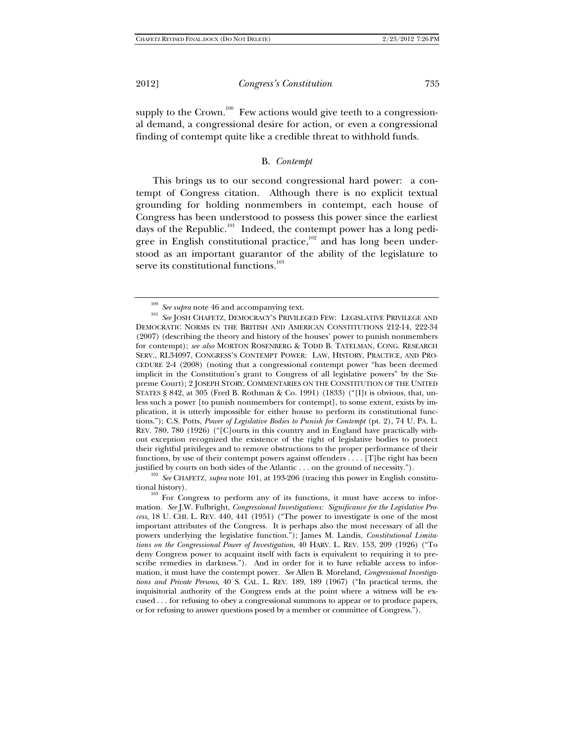supply to the Crown.<sup>100</sup> Few actions would give teeth to a congressional demand, a congressional desire for action, or even a congressional finding of contempt quite like a credible threat to withhold funds.

#### B. *Contempt*

This brings us to our second congressional hard power: a contempt of Congress citation. Although there is no explicit textual grounding for holding nonmembers in contempt, each house of Congress has been understood to possess this power since the earliest days of the Republic.<sup>101</sup> Indeed, the contempt power has a long pedigree in English constitutional practice, $102$  and has long been understood as an important guarantor of the ability of the legislature to serve its constitutional functions.<sup>103</sup>

 $^{100}$   $\,See$   $supra$  note 46 and accompanying text.  $^{101}$   $\,See$  JOSH CHAFETZ, DEMOCRACY'S PRIVILEGED FEW: LEGISLATIVE PRIVILEGE AND DEMOCRATIC NORMS IN THE BRITISH AND AMERICAN CONSTITUTIONS 212-14, 222-34 (2007) (describing the theory and history of the houses' power to punish nonmembers for contempt); *see also* MORTON ROSENBERG & TODD B. TATELMAN, CONG. RESEARCH SERV., RL34097, CONGRESS'S CONTEMPT POWER: LAW, HISTORY, PRACTICE, AND PRO-CEDURE 2-4 (2008) (noting that a congressional contempt power "has been deemed implicit in the Constitution's grant to Congress of all legislative powers" by the Supreme Court); 2 JOSEPH STORY, COMMENTARIES ON THE CONSTITUTION OF THE UNITED STATES § 842, at 305 (Fred B. Rothman & Co. 1991) (1833) ("[I]t is obvious, that, unless such a power [to punish nonmembers for contempt], to some extent, exists by implication, it is utterly impossible for either house to perform its constitutional functions."); C.S. Potts, *Power of Legislative Bodies to Punish for Contempt* (pt. 2), 74 U. PA. L. REV. 780, 780 (1926) ("[C]ourts in this country and in England have practically without exception recognized the existence of the right of legislative bodies to protect their rightful privileges and to remove obstructions to the proper performance of their functions, by use of their contempt powers against offenders . . . . [T]he right has been

justified by courts on both sides of the Atlantic . . . on the ground of necessity."). <sup>102</sup> *See* CHAFETZ, *supra* note 101, at 193-206 (tracing this power in English constitutional history).

 $103$  For Congress to perform any of its functions, it must have access to information. *See* J.W. Fulbright, *Congressional Investigations: Significance for the Legislative Process*, 18 U. CHI. L. REV. 440, 441 (1951) ("The power to investigate is one of the most important attributes of the Congress. It is perhaps also the most necessary of all the powers underlying the legislative function."); James M. Landis, *Constitutional Limitations on the Congressional Power of Investigation*, 40 HARV. L. REV. 153, 209 (1926) ("To deny Congress power to acquaint itself with facts is equivalent to requiring it to prescribe remedies in darkness."). And in order for it to have reliable access to information, it must have the contempt power. *See* Allen B. Moreland, *Congressional Investigations and Private Persons*, 40 S. CAL. L. REV. 189, 189 (1967) ("In practical terms, the inquisitorial authority of the Congress ends at the point where a witness will be excused . . . for refusing to obey a congressional summons to appear or to produce papers, or for refusing to answer questions posed by a member or committee of Congress.").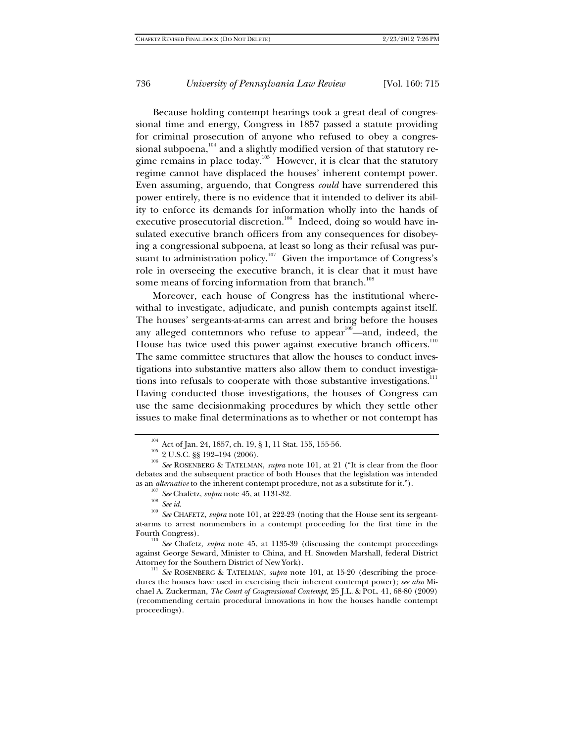Because holding contempt hearings took a great deal of congressional time and energy, Congress in 1857 passed a statute providing for criminal prosecution of anyone who refused to obey a congressional subpoena, $104$  and a slightly modified version of that statutory regime remains in place today.<sup>105</sup> However, it is clear that the statutory regime cannot have displaced the houses' inherent contempt power. Even assuming, arguendo, that Congress *could* have surrendered this power entirely, there is no evidence that it intended to deliver its ability to enforce its demands for information wholly into the hands of executive prosecutorial discretion.<sup>106</sup> Indeed, doing so would have insulated executive branch officers from any consequences for disobeying a congressional subpoena, at least so long as their refusal was pursuant to administration policy.<sup>107</sup> Given the importance of Congress's role in overseeing the executive branch, it is clear that it must have some means of forcing information from that branch.<sup>108</sup>

Moreover, each house of Congress has the institutional wherewithal to investigate, adjudicate, and punish contempts against itself. The houses' sergeants-at-arms can arrest and bring before the houses any alleged contemnors who refuse to appear<sup>109</sup>—and, indeed, the House has twice used this power against executive branch officers. $110$ The same committee structures that allow the houses to conduct investigations into substantive matters also allow them to conduct investigations into refusals to cooperate with those substantive investigations.<sup>111</sup> Having conducted those investigations, the houses of Congress can use the same decisionmaking procedures by which they settle other issues to make final determinations as to whether or not contempt has

against George Seward, Minister to China, and H. Snowden Marshall, federal District

<sup>111</sup> See ROSENBERG & TATELMAN, *supra* note 101, at 15-20 (describing the procedures the houses have used in exercising their inherent contempt power); *see also* Michael A. Zuckerman, *The Court of Congressional Contempt*, 25 J.L. & POL. 41, 68-80 (2009) (recommending certain procedural innovations in how the houses handle contempt proceedings).

<sup>&</sup>lt;sup>104</sup> Act of Jan. 24, 1857, ch. 19, § 1, 11 Stat. 155, 155-56.<br><sup>105</sup> 2 U.S.C. §§ 192–194 (2006).<br><sup>106</sup> *See* ROSENBERG & TATELMAN, *supra* note 101, at 21 ("It is clear from the floor debates and the subsequent practice of both Houses that the legislation was intended

as an *alternative* to the inherent contempt procedure, not as a substitute for it.").<br>
<sup>107</sup> See Chafetz, *supra* note 45, at 1131-32.<br>
<sup>108</sup> See id.<br>
<sup>109</sup> See CHAFETZ, *supra* note 101, at 222-23 (noting that the House at-arms to arrest nonmembers in a contempt proceeding for the first time in the Fourth Congress).<br><sup>110</sup> *See* Chafetz, *supra* note 45, at 1135-39 (discussing the contempt proceedings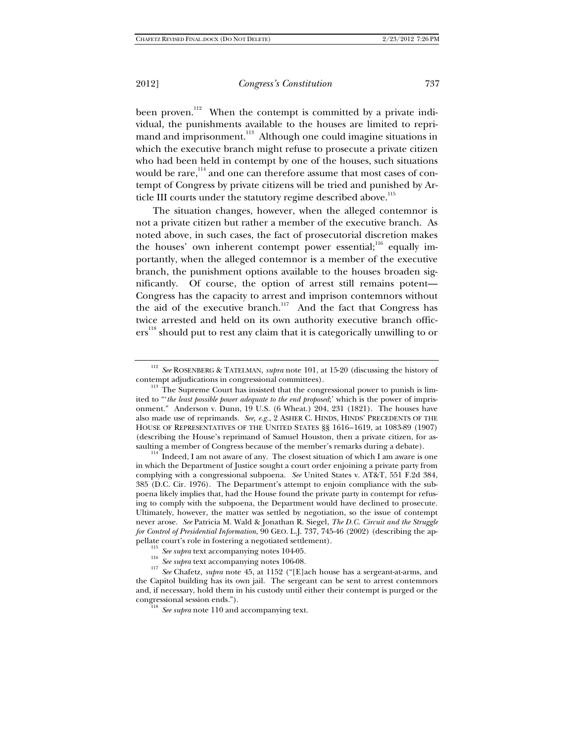been proven.<sup>112</sup> When the contempt is committed by a private individual, the punishments available to the houses are limited to reprimand and imprisonment.<sup>113</sup> Although one could imagine situations in which the executive branch might refuse to prosecute a private citizen who had been held in contempt by one of the houses, such situations would be rare,<sup>114</sup> and one can therefore assume that most cases of contempt of Congress by private citizens will be tried and punished by Article III courts under the statutory regime described above.<sup>115</sup>

The situation changes, however, when the alleged contemnor is not a private citizen but rather a member of the executive branch. As noted above, in such cases, the fact of prosecutorial discretion makes the houses' own inherent contempt power essential;<sup>116</sup> equally importantly, when the alleged contemnor is a member of the executive branch, the punishment options available to the houses broaden significantly. Of course, the option of arrest still remains potent— Congress has the capacity to arrest and imprison contemnors without the aid of the executive branch.<sup>117</sup> And the fact that Congress has twice arrested and held on its own authority executive branch officers<sup>118</sup> should put to rest any claim that it is categorically unwilling to or

<sup>112</sup> *See* ROSENBERG & TATELMAN, *supra* note 101, at 15-20 (discussing the history of

contempt adjudications in congressional committees). <sup>113</sup> The Supreme Court has insisted that the congressional power to punish is limited to "'*the least possible power adequate to the end proposed*;' which is the power of imprisonment." Anderson v. Dunn, 19 U.S. (6 Wheat.) 204, 231 (1821). The houses have also made use of reprimands. *See, e.g.*, 2 ASHER C. HINDS, HINDS' PRECEDENTS OF THE HOUSE OF REPRESENTATIVES OF THE UNITED STATES §§ 1616–1619, at 1083-89 (1907) (describing the House's reprimand of Samuel Houston, then a private citizen, for assaulting a member of Congress because of the member's remarks during a debate).  $114$  Indeed, I am not aware of any. The closest situation of which I am aware is one

in which the Department of Justice sought a court order enjoining a private party from complying with a congressional subpoena. *See* United States v. AT&T, 551 F.2d 384, 385 (D.C. Cir. 1976). The Department's attempt to enjoin compliance with the subpoena likely implies that, had the House found the private party in contempt for refusing to comply with the subpoena, the Department would have declined to prosecute. Ultimately, however, the matter was settled by negotiation, so the issue of contempt never arose. *See* Patricia M. Wald & Jonathan R. Siegel, *The D.C. Circuit and the Struggle for Control of Presidential Information*, 90 GEO. L.J. 737, 745-46 (2002) (describing the appellate court's role in fostering a negotiated settlement).

<sup>&</sup>lt;sup>115</sup> See supra text accompanying notes 104-05.<br><sup>116</sup> See supra text accompanying notes 106-08.<br><sup>117</sup> See Chafetz, *supra* note 45, at 1152 ("[E]ach house has a sergeant-at-arms, and the Capitol building has its own jail. The sergeant can be sent to arrest contemnors and, if necessary, hold them in his custody until either their contempt is purged or the

<sup>&</sup>lt;sup>18</sup> See supra note 110 and accompanying text.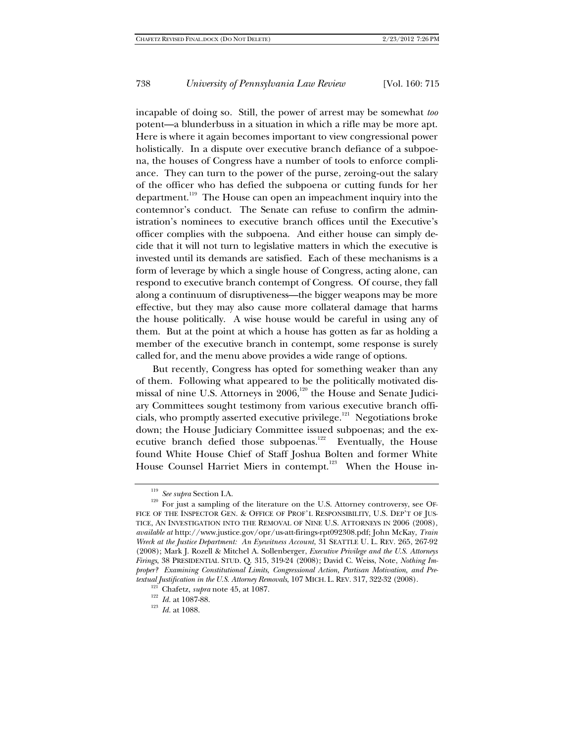incapable of doing so. Still, the power of arrest may be somewhat *too* potent—a blunderbuss in a situation in which a rifle may be more apt. Here is where it again becomes important to view congressional power holistically. In a dispute over executive branch defiance of a subpoena, the houses of Congress have a number of tools to enforce compliance. They can turn to the power of the purse, zeroing-out the salary of the officer who has defied the subpoena or cutting funds for her department.119 The House can open an impeachment inquiry into the contemnor's conduct. The Senate can refuse to confirm the administration's nominees to executive branch offices until the Executive's officer complies with the subpoena. And either house can simply decide that it will not turn to legislative matters in which the executive is invested until its demands are satisfied. Each of these mechanisms is a form of leverage by which a single house of Congress, acting alone, can respond to executive branch contempt of Congress. Of course, they fall along a continuum of disruptiveness—the bigger weapons may be more effective, but they may also cause more collateral damage that harms the house politically. A wise house would be careful in using any of them. But at the point at which a house has gotten as far as holding a member of the executive branch in contempt, some response is surely called for, and the menu above provides a wide range of options.

But recently, Congress has opted for something weaker than any of them. Following what appeared to be the politically motivated dismissal of nine U.S. Attorneys in 2006,<sup>120</sup> the House and Senate Judiciary Committees sought testimony from various executive branch officials, who promptly asserted executive privilege.121 Negotiations broke down; the House Judiciary Committee issued subpoenas; and the executive branch defied those subpoenas.<sup>122</sup> Eventually, the House found White House Chief of Staff Joshua Bolten and former White House Counsel Harriet Miers in contempt.<sup>123</sup> When the House in-

<sup>&</sup>lt;sup>119</sup> *See supra* Section I.A. <sup>120</sup> For just a sampling of the literature on the U.S. Attorney controversy, see OF-FICE OF THE INSPECTOR GEN. & OFFICE OF PROF'L RESPONSIBILITY, U.S. DEP'T OF JUS-TICE, AN INVESTIGATION INTO THE REMOVAL OF NINE U.S. ATTORNEYS IN 2006 (2008), *available at* http://www.justice.gov/opr/us-att-firings-rpt092308.pdf; John McKay, *Train Wreck at the Justice Department: An Eyewitness Account*, 31 SEATTLE U. L. REV. 265, 267-92 (2008); Mark J. Rozell & Mitchel A. Sollenberger, *Executive Privilege and the U.S. Attorneys Firings*, 38 PRESIDENTIAL STUD. Q. 315, 319-24 (2008); David C. Weiss, Note, *Nothing Improper? Examining Constitutional Limits, Congressional Action, Partisan Motivation, and Pretextual Justification in the U.S. Attorney Removals*, 107 MICH. L. REV. 317, 322-32 (2008). <sup>121</sup> Chafetz, *supra* note 45, at 1087.<br><sup>122</sup> *Id.* at 1087-88. <sup>123</sup> *Id.* at 1088.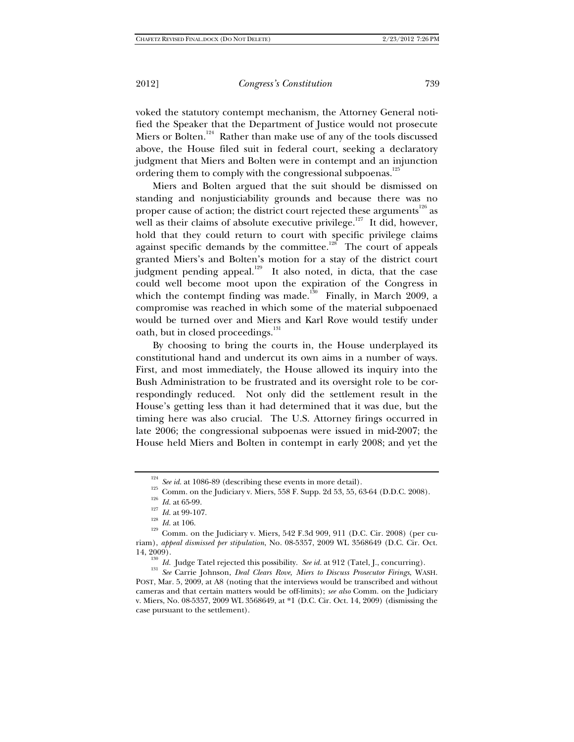voked the statutory contempt mechanism, the Attorney General notified the Speaker that the Department of Justice would not prosecute Miers or Bolten.<sup>124</sup> Rather than make use of any of the tools discussed above, the House filed suit in federal court, seeking a declaratory judgment that Miers and Bolten were in contempt and an injunction ordering them to comply with the congressional subpoenas.<sup>125</sup>

Miers and Bolten argued that the suit should be dismissed on standing and nonjusticiability grounds and because there was no proper cause of action; the district court rejected these arguments $^{126}$  as well as their claims of absolute executive privilege.<sup>127</sup> It did, however, hold that they could return to court with specific privilege claims against specific demands by the committee.<sup>128</sup> The court of appeals granted Miers's and Bolten's motion for a stay of the district court judgment pending appeal.<sup>129</sup> It also noted, in dicta, that the case could well become moot upon the expiration of the Congress in which the contempt finding was made.<sup>130</sup> Finally, in March 2009, a compromise was reached in which some of the material subpoenaed would be turned over and Miers and Karl Rove would testify under oath, but in closed proceedings.<sup>131</sup>

By choosing to bring the courts in, the House underplayed its constitutional hand and undercut its own aims in a number of ways. First, and most immediately, the House allowed its inquiry into the Bush Administration to be frustrated and its oversight role to be correspondingly reduced. Not only did the settlement result in the House's getting less than it had determined that it was due, but the timing here was also crucial. The U.S. Attorney firings occurred in late 2006; the congressional subpoenas were issued in mid-2007; the House held Miers and Bolten in contempt in early 2008; and yet the

<sup>&</sup>lt;sup>124</sup> See id. at 1086-89 (describing these events in more detail).<br><sup>125</sup> Comm. on the Judiciary v. Miers, 558 F. Supp. 2d 53, 55, 63-64 (D.D.C. 2008).<br><sup>126</sup> *Id.* at 65-99.<br><sup>127</sup> *Id.* at 99-107.<br><sup>128</sup> *Id.* at 106.<br><sup>129</sup>

riam), *appeal dismissed per stipulation*, No. 08-5357, 2009 WL 3568649 (D.C. Cir. Oct.

<sup>14, 2009). 130</sup> *Id.* Judge Tatel rejected this possibility. *See id.* at 912 (Tatel, J., concurring). 131 *See* Carrie Johnson, *Deal Clears Rove, Miers to Discuss Prosecutor Firings*, WASH. POST, Mar. 5, 2009, at A8 (noting that the interviews would be transcribed and without cameras and that certain matters would be off-limits); *see also* Comm. on the Judiciary v. Miers, No. 08-5357, 2009 WL 3568649, at \*1 (D.C. Cir. Oct. 14, 2009) (dismissing the case pursuant to the settlement).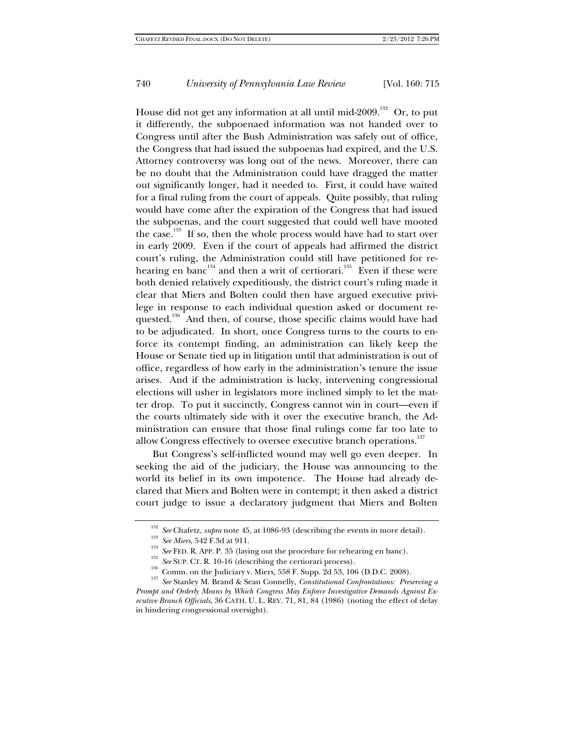House did not get any information at all until mid-2009.<sup>132</sup> Or, to put it differently, the subpoenaed information was not handed over to Congress until after the Bush Administration was safely out of office, the Congress that had issued the subpoenas had expired, and the U.S. Attorney controversy was long out of the news. Moreover, there can be no doubt that the Administration could have dragged the matter out significantly longer, had it needed to. First, it could have waited for a final ruling from the court of appeals. Quite possibly, that ruling would have come after the expiration of the Congress that had issued the subpoenas, and the court suggested that could well have mooted the case.<sup>133</sup> If so, then the whole process would have had to start over in early 2009. Even if the court of appeals had affirmed the district court's ruling, the Administration could still have petitioned for rehearing en banc<sup>134</sup> and then a writ of certiorari.<sup>135</sup> Even if these were both denied relatively expeditiously, the district court's ruling made it clear that Miers and Bolten could then have argued executive privilege in response to each individual question asked or document requested.<sup>136</sup> And then, of course, those specific claims would have had to be adjudicated. In short, once Congress turns to the courts to enforce its contempt finding, an administration can likely keep the House or Senate tied up in litigation until that administration is out of office, regardless of how early in the administration's tenure the issue arises. And if the administration is lucky, intervening congressional elections will usher in legislators more inclined simply to let the matter drop. To put it succinctly, Congress cannot win in court—even if the courts ultimately side with it over the executive branch, the Administration can ensure that those final rulings come far too late to allow Congress effectively to oversee executive branch operations.<sup>137</sup>

But Congress's self-inflicted wound may well go even deeper. In seeking the aid of the judiciary, the House was announcing to the world its belief in its own impotence. The House had already declared that Miers and Bolten were in contempt; it then asked a district court judge to issue a declaratory judgment that Miers and Bolten

<sup>&</sup>lt;sup>132</sup> See Chafetz, *supra* note 45, at 1086-93 (describing the events in more detail).<br><sup>133</sup> See Miers, 542 F.3d at 911.<br><sup>134</sup> See FED. R. APP. P. 35 (laying out the procedure for rehearing en banc).<br><sup>135</sup> See SUP. CT. R. *Prompt and Orderly Means by Which Congress May Enforce Investigative Demands Against Executive Branch Officials*, 36 CATH. U. L. REV. 71, 81, 84 (1986) (noting the effect of delay in hindering congressional oversight).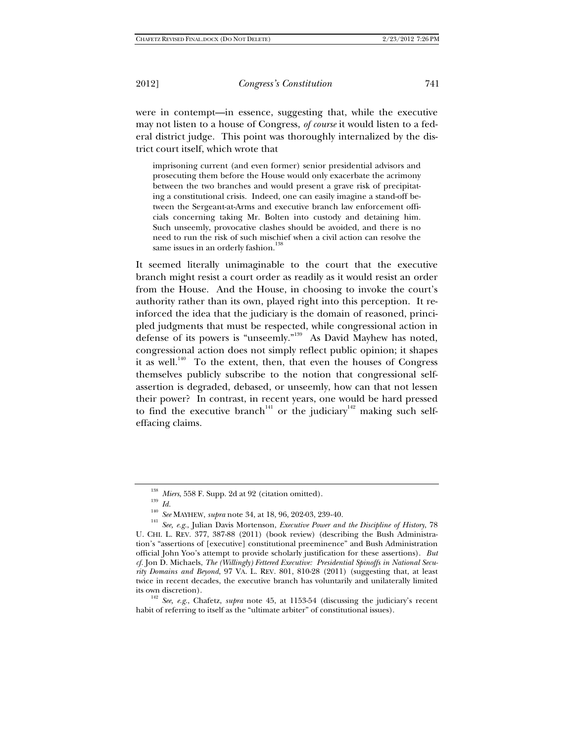were in contempt—in essence, suggesting that, while the executive may not listen to a house of Congress, *of course* it would listen to a federal district judge. This point was thoroughly internalized by the district court itself, which wrote that

imprisoning current (and even former) senior presidential advisors and prosecuting them before the House would only exacerbate the acrimony between the two branches and would present a grave risk of precipitating a constitutional crisis. Indeed, one can easily imagine a stand-off between the Sergeant-at-Arms and executive branch law enforcement officials concerning taking Mr. Bolten into custody and detaining him. Such unseemly, provocative clashes should be avoided, and there is no need to run the risk of such mischief when a civil action can resolve the same issues in an orderly fashion.<sup>1</sup>

It seemed literally unimaginable to the court that the executive branch might resist a court order as readily as it would resist an order from the House. And the House, in choosing to invoke the court's authority rather than its own, played right into this perception. It reinforced the idea that the judiciary is the domain of reasoned, principled judgments that must be respected, while congressional action in defense of its powers is "unseemly."<sup>139</sup> As David Mayhew has noted, congressional action does not simply reflect public opinion; it shapes it as well.<sup>140</sup> To the extent, then, that even the houses of Congress themselves publicly subscribe to the notion that congressional selfassertion is degraded, debased, or unseemly, how can that not lessen their power? In contrast, in recent years, one would be hard pressed to find the executive branch<sup>141</sup> or the judiciary<sup>142</sup> making such selfeffacing claims.

its own discretion). 142 *See, e.g.*, Chafetz, *supra* note 45, at 1153-54 (discussing the judiciary's recent habit of referring to itself as the "ultimate arbiter" of constitutional issues).

<sup>&</sup>lt;sup>138</sup> Miers, 558 F. Supp. 2d at 92 (citation omitted).<br><sup>139</sup> Id.<br><sup>140</sup> See MAYHEW, *supra* note 34, at 18, 96, 202-03, 239-40.<br><sup>141</sup> See, e.g., Julian Davis Mortenson, *Executive Power and the Discipline of History*, 78 U. CHI. L. REV. 377, 387-88 (2011) (book review) (describing the Bush Administration's "assertions of [executive] constitutional preeminence" and Bush Administration official John Yoo's attempt to provide scholarly justification for these assertions). *But cf.* Jon D. Michaels, *The (Willingly) Fettered Executive: Presidential Spinoffs in National Security Domains and Beyond*, 97 VA. L. REV. 801, 810-28 (2011) (suggesting that, at least twice in recent decades, the executive branch has voluntarily and unilaterally limited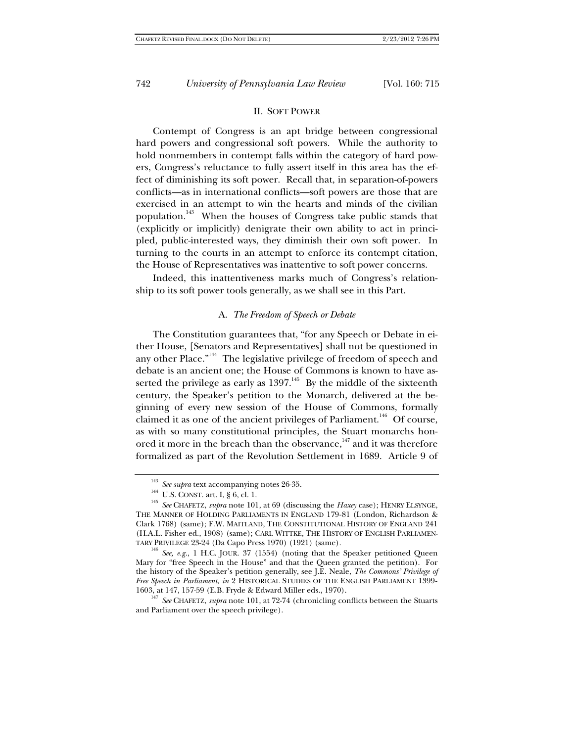## II. SOFT POWER

Contempt of Congress is an apt bridge between congressional hard powers and congressional soft powers. While the authority to hold nonmembers in contempt falls within the category of hard powers, Congress's reluctance to fully assert itself in this area has the effect of diminishing its soft power. Recall that, in separation-of-powers conflicts—as in international conflicts—soft powers are those that are exercised in an attempt to win the hearts and minds of the civilian population.143 When the houses of Congress take public stands that (explicitly or implicitly) denigrate their own ability to act in principled, public-interested ways, they diminish their own soft power. In turning to the courts in an attempt to enforce its contempt citation, the House of Representatives was inattentive to soft power concerns.

Indeed, this inattentiveness marks much of Congress's relationship to its soft power tools generally, as we shall see in this Part.

#### A. *The Freedom of Speech or Debate*

The Constitution guarantees that, "for any Speech or Debate in either House, [Senators and Representatives] shall not be questioned in any other Place."<sup>144</sup> The legislative privilege of freedom of speech and debate is an ancient one; the House of Commons is known to have asserted the privilege as early as  $1397<sup>145</sup>$  By the middle of the sixteenth century, the Speaker's petition to the Monarch, delivered at the beginning of every new session of the House of Commons, formally claimed it as one of the ancient privileges of Parliament.<sup>146</sup> Of course, as with so many constitutional principles, the Stuart monarchs honored it more in the breach than the observance,<sup>147</sup> and it was therefore formalized as part of the Revolution Settlement in 1689. Article 9 of

<sup>&</sup>lt;sup>143</sup> *See supra* text accompanying notes 26-35.<br><sup>144</sup> U.S. CONST. art. I, § 6, cl. 1.<br><sup>145</sup> *See* CHAFETZ, *supra* note 101, at 69 (discussing the *Haxey* case); HENRY ELSYNGE, THE MANNER OF HOLDING PARLIAMENTS IN ENGLAND 179-81 (London, Richardson & Clark 1768) (same); F.W. MAITLAND, THE CONSTITUTIONAL HISTORY OF ENGLAND 241 (H.A.L. Fisher ed., 1908) (same); CARL WITTKE, THE HISTORY OF ENGLISH PARLIAMEN-TARY PRIVILEGE 23-24 (Da Capo Press 1970) (1921) (same). 146 *See, e.g.*, 1 H.C. JOUR. 37 (1554) (noting that the Speaker petitioned Queen

Mary for "free Speech in the House" and that the Queen granted the petition). For the history of the Speaker's petition generally, see J.E. Neale, *The Commons' Privilege of Free Speech in Parliament*, *in* 2 HISTORICAL STUDIES OF THE ENGLISH PARLIAMENT 1399- 1603, at 147, 157-59 (E.B. Fryde & Edward Miller eds., 1970). 147 *See* CHAFETZ, *supra* note 101, at 72-74 (chronicling conflicts between the Stuarts

and Parliament over the speech privilege).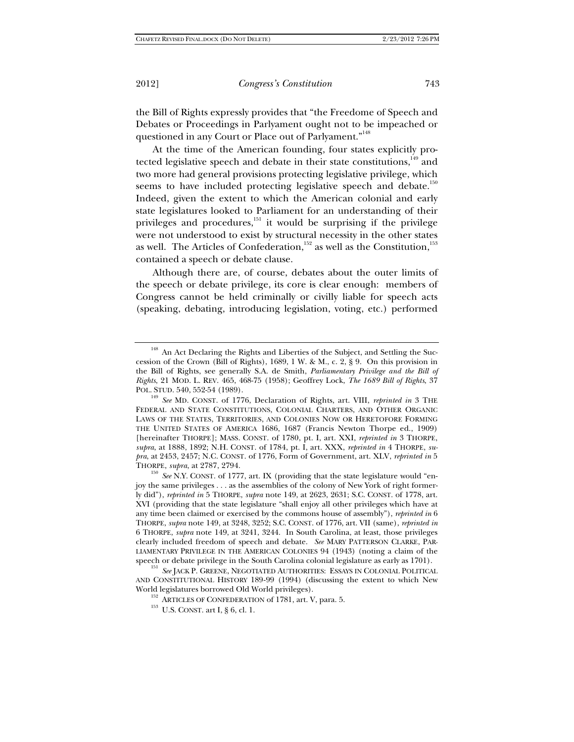the Bill of Rights expressly provides that "the Freedome of Speech and Debates or Proceedings in Parlyament ought not to be impeached or questioned in any Court or Place out of Parlyament."<sup>148</sup>

At the time of the American founding, four states explicitly protected legislative speech and debate in their state constitutions,  $149$  and two more had general provisions protecting legislative privilege, which seems to have included protecting legislative speech and debate.<sup>150</sup> Indeed, given the extent to which the American colonial and early state legislatures looked to Parliament for an understanding of their privileges and procedures,<sup>151</sup> it would be surprising if the privilege were not understood to exist by structural necessity in the other states as well. The Articles of Confederation,<sup>152</sup> as well as the Constitution,<sup>153</sup> contained a speech or debate clause.

Although there are, of course, debates about the outer limits of the speech or debate privilege, its core is clear enough: members of Congress cannot be held criminally or civilly liable for speech acts (speaking, debating, introducing legislation, voting, etc.) performed

<sup>&</sup>lt;sup>148</sup> An Act Declaring the Rights and Liberties of the Subject, and Settling the Succession of the Crown (Bill of Rights), 1689, 1 W. & M., c. 2, § 9. On this provision in the Bill of Rights, see generally S.A. de Smith, *Parliamentary Privilege and the Bill of Rights*, 21 MOD. L. REV. 465, 468-75 (1958); Geoffrey Lock, *The 1689 Bill of Rights*, 37 POL. STUD. 540, 552-54 (1989). 149 *See* MD. CONST. of 1776, Declaration of Rights, art. VIII, *reprinted in* 3 THE

FEDERAL AND STATE CONSTITUTIONS, COLONIAL CHARTERS, AND OTHER ORGANIC LAWS OF THE STATES, TERRITORIES, AND COLONIES NOW OR HERETOFORE FORMING THE UNITED STATES OF AMERICA 1686, 1687 (Francis Newton Thorpe ed., 1909) [hereinafter THORPE]; MASS. CONST. of 1780, pt. I, art. XXI, *reprinted in* 3 THORPE, *supra*, at 1888, 1892; N.H. CONST. of 1784, pt. I, art. XXX, *reprinted in* 4 THORPE, *supra*, at 2453, 2457; N.C. CONST. of 1776, Form of Government, art. XLV, *reprinted in* 5

THORPE, *supra*, at 2787, 2794.<br><sup>150</sup> *See* N.Y. CONST. of 1777, art. IX (providing that the state legislature would "enjoy the same privileges . . . as the assemblies of the colony of New York of right formerly did"), *reprinted in* 5 THORPE, *supra* note 149, at 2623, 2631; S.C. CONST. of 1778, art. XVI (providing that the state legislature "shall enjoy all other privileges which have at any time been claimed or exercised by the commons house of assembly"), *reprinted in* 6 THORPE, *supra* note 149, at 3248, 3252; S.C. CONST. of 1776, art. VII (same), *reprinted in* 6 THORPE, *supra* note 149, at 3241, 3244. In South Carolina, at least, those privileges clearly included freedom of speech and debate. *See* MARY PATTERSON CLARKE, PAR-LIAMENTARY PRIVILEGE IN THE AMERICAN COLONIES 94 (1943) (noting a claim of the speech or debate privilege in the South Carolina colonial legislature as early as 1701). 151 *See* JACK P. GREENE, NEGOTIATED AUTHORITIES: ESSAYS IN COLONIAL POLITICAL

AND CONSTITUTIONAL HISTORY 189-99 (1994) (discussing the extent to which New World legislatures borrowed Old World privileges).<br><sup>152</sup> ARTICLES OF CONFEDERATION of 1781, art. V, para. 5.<br><sup>153</sup> U.S. CONST. art I, § 6, cl. 1.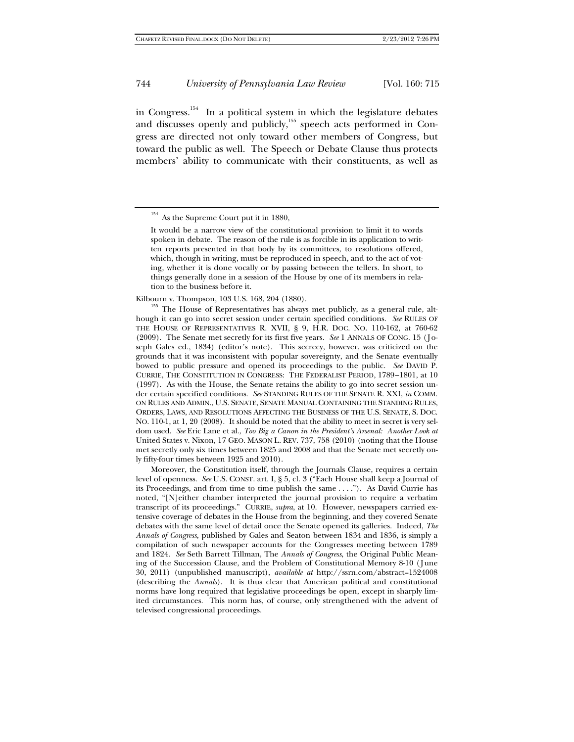in Congress.154 In a political system in which the legislature debates and discusses openly and publicly,<sup>155</sup> speech acts performed in Congress are directed not only toward other members of Congress, but toward the public as well. The Speech or Debate Clause thus protects members' ability to communicate with their constituents, as well as

Kilbourn v. Thompson, 103 U.S. 168, 204 (1880). <sup>155</sup> The House of Representatives has always met publicly, as a general rule, although it can go into secret session under certain specified conditions. *See* RULES OF THE HOUSE OF REPRESENTATIVES R. XVII, § 9, H.R. DOC. NO. 110-162, at 760-62 (2009). The Senate met secretly for its first five years. *See* 1 ANNALS OF CONG. 15 (Joseph Gales ed., 1834) (editor's note). This secrecy, however, was criticized on the grounds that it was inconsistent with popular sovereignty, and the Senate eventually bowed to public pressure and opened its proceedings to the public. *See* DAVID P. CURRIE, THE CONSTITUTION IN CONGRESS: THE FEDERALIST PERIOD, 1789–1801, at 10 (1997). As with the House, the Senate retains the ability to go into secret session under certain specified conditions. *See* STANDING RULES OF THE SENATE R. XXI, *in* COMM. ON RULES AND ADMIN., U.S. SENATE, SENATE MANUAL CONTAINING THE STANDING RULES, ORDERS, LAWS, AND RESOLUTIONS AFFECTING THE BUSINESS OF THE U.S. SENATE, S. DOC. NO. 110-1, at 1, 20 (2008). It should be noted that the ability to meet in secret is very seldom used. *See* Eric Lane et al., *Too Big a Canon in the President's Arsenal: Another Look at*  United States v. Nixon, 17 GEO. MASON L. REV. 737, 758 (2010) (noting that the House met secretly only six times between 1825 and 2008 and that the Senate met secretly only fifty-four times between 1925 and 2010).

 Moreover, the Constitution itself, through the Journals Clause, requires a certain level of openness. *See* U.S. CONST. art. I, § 5, cl. 3 ("Each House shall keep a Journal of its Proceedings, and from time to time publish the same . . . ."). As David Currie has noted, "[N]either chamber interpreted the journal provision to require a verbatim transcript of its proceedings." CURRIE, *supra*, at 10. However, newspapers carried extensive coverage of debates in the House from the beginning, and they covered Senate debates with the same level of detail once the Senate opened its galleries. Indeed, *The Annals of Congress*, published by Gales and Seaton between 1834 and 1836, is simply a compilation of such newspaper accounts for the Congresses meeting between 1789 and 1824. *See* Seth Barrett Tillman, The *Annals of Congress*, the Original Public Meaning of the Succession Clause, and the Problem of Constitutional Memory 8-10 (June 30, 2011) (unpublished manuscript), *available at* http://ssrn.com/abstract=1524008 (describing the *Annals*). It is thus clear that American political and constitutional norms have long required that legislative proceedings be open, except in sharply limited circumstances. This norm has, of course, only strengthened with the advent of televised congressional proceedings.

 $154$  As the Supreme Court put it in 1880,

It would be a narrow view of the constitutional provision to limit it to words spoken in debate. The reason of the rule is as forcible in its application to written reports presented in that body by its committees, to resolutions offered, which, though in writing, must be reproduced in speech, and to the act of voting, whether it is done vocally or by passing between the tellers. In short, to things generally done in a session of the House by one of its members in relation to the business before it.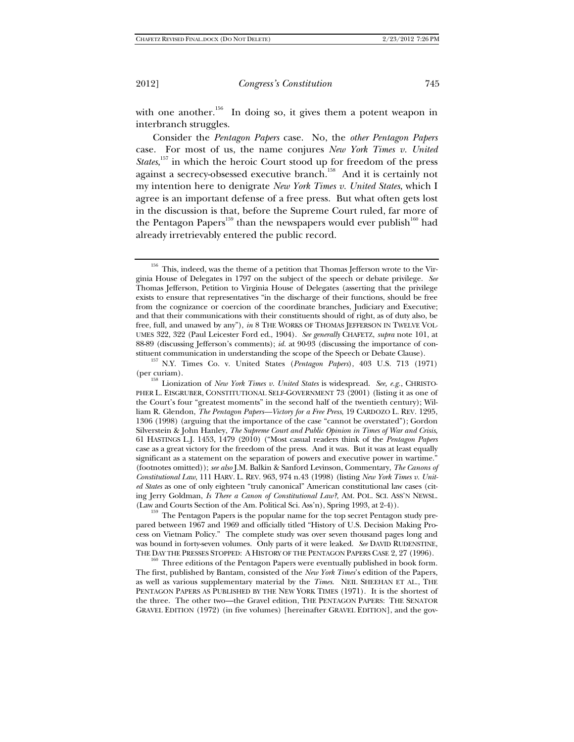with one another.<sup>156</sup> In doing so, it gives them a potent weapon in interbranch struggles.

Consider the *Pentagon Papers* case. No, the *other Pentagon Papers* case. For most of us, the name conjures *New York Times v. United States*,<sup>157</sup> in which the heroic Court stood up for freedom of the press against a secrecy-obsessed executive branch.<sup>158</sup> And it is certainly not my intention here to denigrate *New York Times v. United States*, which I agree is an important defense of a free press. But what often gets lost in the discussion is that, before the Supreme Court ruled, far more of the Pentagon Papers<sup>159</sup> than the newspapers would ever publish<sup>160</sup> had already irretrievably entered the public record.

(Law and Courts Section of the Am. Political Sci. Ass'n), Spring 1993, at 2-4)).<br><sup>159</sup> The Pentagon Papers is the popular name for the top secret Pentagon study prepared between 1967 and 1969 and officially titled "History of U.S. Decision Making Process on Vietnam Policy." The complete study was over seven thousand pages long and was bound in forty-seven volumes. Only parts of it were leaked. *See* DAVID RUDENSTINE, THE DAY THE PRESSES STOPPED: A HISTORY OF THE PENTAGON PAPERS CASE 2, 27 (1996). <sup>160</sup> Three editions of the Pentagon Papers were eventually published in book form.

 $^{156}\,$  This, indeed, was the theme of a petition that Thomas Jefferson wrote to the Virginia House of Delegates in 1797 on the subject of the speech or debate privilege. *See* Thomas Jefferson, Petition to Virginia House of Delegates (asserting that the privilege exists to ensure that representatives "in the discharge of their functions, should be free from the cognizance or coercion of the coordinate branches, Judiciary and Executive; and that their communications with their constituents should of right, as of duty also, be free, full, and unawed by any"), *in* 8 THE WORKS OF THOMAS JEFFERSON IN TWELVE VOL-UMES 322, 322 (Paul Leicester Ford ed., 1904). *See generally* CHAFETZ, *supra* note 101, at 88-89 (discussing Jefferson's comments); *id.* at 90-93 (discussing the importance of con-

stituent communication in understanding the scope of the Speech or Debate Clause). 157 N.Y. Times Co. v. United States (*Pentagon Papers*), 403 U.S. 713 (1971)

<sup>(</sup>per curiam). 158 Lionization of *New York Times v. United States* is widespread. *See, e.g.*, CHRISTO-PHER L. EISGRUBER, CONSTITUTIONAL SELF-GOVERNMENT 73 (2001) (listing it as one of the Court's four "greatest moments" in the second half of the twentieth century); William R. Glendon, *The Pentagon Papers—Victory for a Free Press*, 19 CARDOZO L. REV. 1295, 1306 (1998) (arguing that the importance of the case "cannot be overstated"); Gordon Silverstein & John Hanley, *The Supreme Court and Public Opinion in Times of War and Crisis*, 61 HASTINGS L.J. 1453, 1479 (2010) ("Most casual readers think of the *Pentagon Papers* case as a great victory for the freedom of the press. And it was. But it was at least equally significant as a statement on the separation of powers and executive power in wartime." (footnotes omitted)); *see also* J.M. Balkin & Sanford Levinson, Commentary, *The Canons of Constitutional Law*, 111 HARV. L. REV. 963, 974 n.43 (1998) (listing *New York Times v. United States* as one of only eighteen "truly canonical" American constitutional law cases (citing Jerry Goldman, *Is There a Canon of Constitutional Law?*, AM. POL. SCI. ASS'N NEWSL.

The first, published by Bantam, consisted of the *New York Times*'s edition of the Papers, as well as various supplementary material by the *Times*. NEIL SHEEHAN ET AL., THE PENTAGON PAPERS AS PUBLISHED BY THE NEW YORK TIMES (1971). It is the shortest of the three. The other two—the Gravel edition, THE PENTAGON PAPERS: THE SENATOR GRAVEL EDITION (1972) (in five volumes) [hereinafter GRAVEL EDITION], and the gov-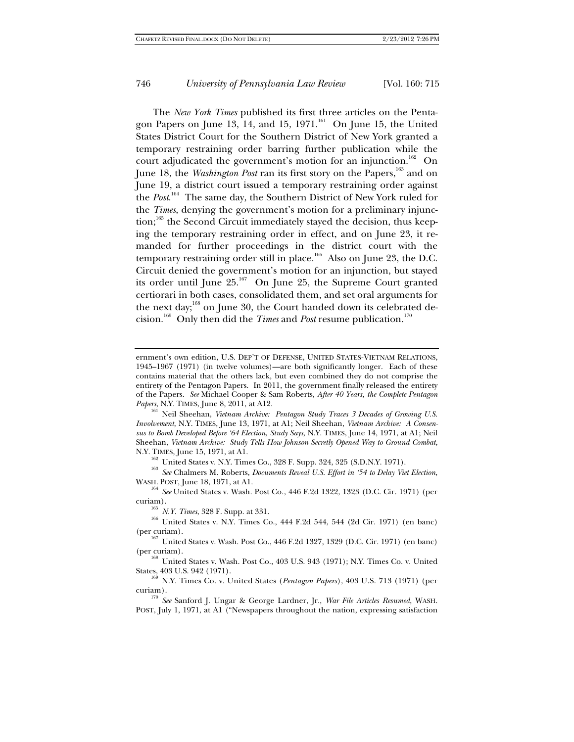The *New York Times* published its first three articles on the Pentagon Papers on June 13, 14, and 15,  $1971$ <sup>161</sup> On June 15, the United States District Court for the Southern District of New York granted a temporary restraining order barring further publication while the court adjudicated the government's motion for an injunction.<sup>162</sup> On June 18, the *Washington Post* ran its first story on the Papers,<sup>163</sup> and on June 19, a district court issued a temporary restraining order against the *Post*. 164 The same day, the Southern District of New York ruled for the *Times*, denying the government's motion for a preliminary injunc- $\mu$ <sub>165</sub> the Second Circuit immediately stayed the decision, thus keeping the temporary restraining order in effect, and on June 23, it remanded for further proceedings in the district court with the temporary restraining order still in place.<sup>166</sup> Also on June 23, the D.C. Circuit denied the government's motion for an injunction, but stayed its order until June  $25.^{167}$  On June 25, the Supreme Court granted certiorari in both cases, consolidated them, and set oral arguments for the next day;<sup>168</sup> on June 30, the Court handed down its celebrated decision.169 Only then did the *Times* and *Post* resume publication.170

*Involvement*, N.Y. TIMES, June 13, 1971, at A1; Neil Sheehan, *Vietnam Archive: A Consensus to Bomb Developed Before '64 Election, Study Says*, N.Y. TIMES, June 14, 1971, at A1; Neil Sheehan, *Vietnam Archive: Study Tells How Johnson Secretly Opened Way to Ground Combat*,

N.Y. TIMES, June 15, 1971, at A1.<br><sup>162</sup> United States v. N.Y. Times Co., 328 F. Supp. 324, 325 (S.D.N.Y. 1971).<br><sup>163</sup> *See* Chalmers M. Roberts, *Documents Reveal U.S. Effort in '54 to Delay Viet Election*,<br>WASH. POST, Jun

<sup>164</sup> See United States v. Wash. Post Co., 446 F.2d 1322, 1323 (D.C. Cir. 1971) (per

curiam). 165 *N.Y. Times*, 328 F. Supp. at 331. 166 United States v. N.Y. Times Co., 444 F.2d 544, 544 (2d Cir. 1971) (en banc)

(per curiam).<br><sup>167</sup> United States v. Wash. Post Co., 446 F.2d 1327, 1329 (D.C. Cir. 1971) (en banc)<br>(per curiam).

 $^{168}$  United States v. Wash. Post Co., 403 U.S. 943 (1971); N.Y. Times Co. v. United States, 403 U.S. 942 (1971). 169 N.Y. Times Co. v. United States (*Pentagon Papers*), 403 U.S. 713 (1971) (per

curiam). 170 *See* Sanford J. Ungar & George Lardner, Jr., *War File Articles Resumed*, WASH. POST, July 1, 1971, at A1 ("Newspapers throughout the nation, expressing satisfaction

ernment's own edition, U.S. DEP'T OF DEFENSE, UNITED STATES-VIETNAM RELATIONS, 1945–1967 (1971) (in twelve volumes)—are both significantly longer. Each of these contains material that the others lack, but even combined they do not comprise the entirety of the Pentagon Papers. In 2011, the government finally released the entirety of the Papers. *See* Michael Cooper & Sam Roberts, *After 40 Years, the Complete Pentagon Papers*, N.Y. TIMES, June 8, 2011, at A12.<br><sup>161</sup> Neil Sheehan, *Vietnam Archive: Pentagon Study Traces 3 Decades of Growing U.S.*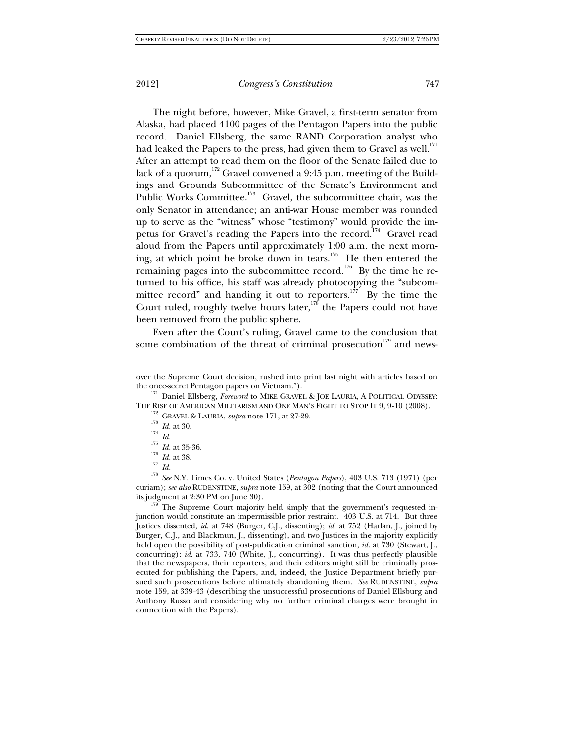The night before, however, Mike Gravel, a first-term senator from Alaska, had placed 4100 pages of the Pentagon Papers into the public record. Daniel Ellsberg, the same RAND Corporation analyst who had leaked the Papers to the press, had given them to Gravel as well. $^{171}$ After an attempt to read them on the floor of the Senate failed due to lack of a quorum,<sup>172</sup> Gravel convened a 9:45 p.m. meeting of the Buildings and Grounds Subcommittee of the Senate's Environment and Public Works Committee.<sup>173</sup> Gravel, the subcommittee chair, was the only Senator in attendance; an anti-war House member was rounded up to serve as the "witness" whose "testimony" would provide the impetus for Gravel's reading the Papers into the record.<sup>174</sup> Gravel read aloud from the Papers until approximately 1:00 a.m. the next morning, at which point he broke down in tears.175 He then entered the remaining pages into the subcommittee record.<sup>176</sup> By the time he returned to his office, his staff was already photocopying the "subcommittee record" and handing it out to reporters.<sup>177</sup> By the time the Court ruled, roughly twelve hours later,  $178$  the Papers could not have been removed from the public sphere.

Even after the Court's ruling, Gravel came to the conclusion that some combination of the threat of criminal prosecution<sup>179</sup> and news-

junction would constitute an impermissible prior restraint. 403 U.S. at 714. But three Justices dissented, *id.* at 748 (Burger, C.J., dissenting); *id.* at 752 (Harlan, J., joined by Burger, C.J., and Blackmun, J., dissenting), and two Justices in the majority explicitly held open the possibility of post-publication criminal sanction, *id.* at 730 (Stewart, J., concurring); *id.* at 733, 740 (White, J., concurring). It was thus perfectly plausible that the newspapers, their reporters, and their editors might still be criminally prosecuted for publishing the Papers, and, indeed, the Justice Department briefly pursued such prosecutions before ultimately abandoning them. *See* RUDENSTINE, *supra* note 159, at 339-43 (describing the unsuccessful prosecutions of Daniel Ellsburg and Anthony Russo and considering why no further criminal charges were brought in connection with the Papers).

over the Supreme Court decision, rushed into print last night with articles based on the once-secret Pentagon papers on Vietnam.").

<sup>&</sup>lt;sup>171</sup> Daniel Ellsberg, *Foreword* to MIKE GRAVEL & JOE LAURIA, A POLITICAL ODYSSEY:<br>THE RISE OF AMERICAN MILITARISM AND ONE MAN'S FIGHT TO STOP IT 9, 9-10 (2008).

<sup>&</sup>lt;sup>172</sup> GRAVEL & LAURIA, *supra* note 171, at 27-29.<br><sup>173</sup> *Id.* at 30.<br><sup>174</sup> *Id.*<br>*II Id.* at 35-36.<br><sup>176</sup> *Id.* at 38.<br><sup>176</sup> *Id.* at 38.<br><sup>176</sup> *Id.* at 38.<br><sup>177</sup> *Id.* 278 *See* N.Y. Times Co. v. United States (*Penta* curiam); *see also* RUDENSTINE, *supra* note 159, at 302 (noting that the Court announced its judgment at 2:30 PM on June 30).<br><sup>179</sup> The Supreme Court majority held simply that the government's requested in-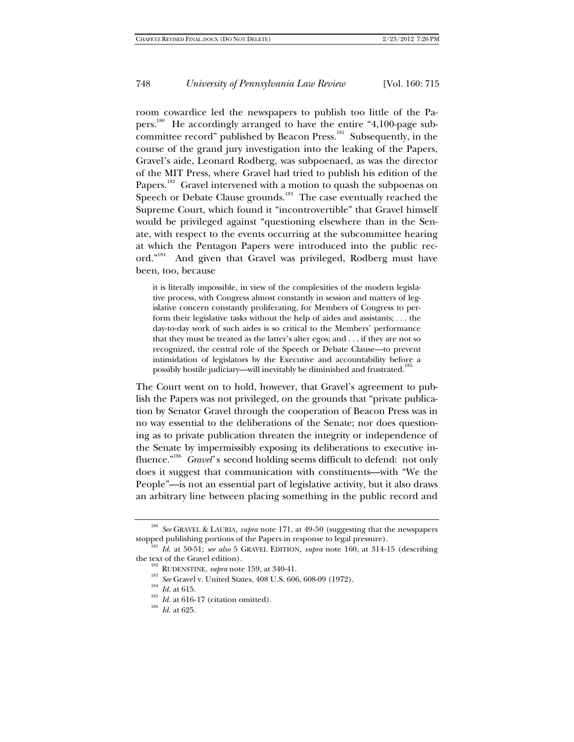room cowardice led the newspapers to publish too little of the Papers.<sup>180</sup> He accordingly arranged to have the entire "4,100-page subcommittee record" published by Beacon Press.<sup>181</sup> Subsequently, in the course of the grand jury investigation into the leaking of the Papers, Gravel's aide, Leonard Rodberg, was subpoenaed, as was the director of the MIT Press, where Gravel had tried to publish his edition of the Papers.<sup>182</sup> Gravel intervened with a motion to quash the subpoenas on Speech or Debate Clause grounds.<sup>183</sup> The case eventually reached the Supreme Court, which found it "incontrovertible" that Gravel himself would be privileged against "questioning elsewhere than in the Senate, with respect to the events occurring at the subcommittee hearing at which the Pentagon Papers were introduced into the public record."184 And given that Gravel was privileged, Rodberg must have been, too, because

it is literally impossible, in view of the complexities of the modern legislative process, with Congress almost constantly in session and matters of legislative concern constantly proliferating, for Members of Congress to perform their legislative tasks without the help of aides and assistants; . . . the day-to-day work of such aides is so critical to the Members' performance that they must be treated as the latter's alter egos; and . . . if they are not so recognized, the central role of the Speech or Debate Clause—to prevent intimidation of legislators by the Executive and accountability before a possibly hostile judiciary—will inevitably be diminished and frustrated.<sup>185</sup>

The Court went on to hold, however, that Gravel's agreement to publish the Papers was not privileged, on the grounds that "private publication by Senator Gravel through the cooperation of Beacon Press was in no way essential to the deliberations of the Senate; nor does questioning as to private publication threaten the integrity or independence of the Senate by impermissibly exposing its deliberations to executive influence."<sup>186</sup> *Gravel*'s second holding seems difficult to defend: not only does it suggest that communication with constituents—with "We the People"—is not an essential part of legislative activity, but it also draws an arbitrary line between placing something in the public record and

<sup>180</sup> *See* GRAVEL & LAURIA, *supra* note 171, at 49-50 (suggesting that the newspapers stopped publishing portions of the Papers in response to legal pressure). 181 *Id.* at 50-51; *see also* 5 GRAVEL EDITION, *supra* note 160, at 314-15 (describing

the text of the Gravel edition).<br>
<sup>182</sup> RUDENSTINE, *supra* note 159, at 340-41.<br>
<sup>183</sup> *See* Gravel v. United States, 408 U.S. 606, 608-09 (1972).<br>
<sup>184</sup> *Id.* at 615.<br>
<sup>185</sup> *Id.* at 616-17 (citation omitted).<br>
<sup>186</sup> *I*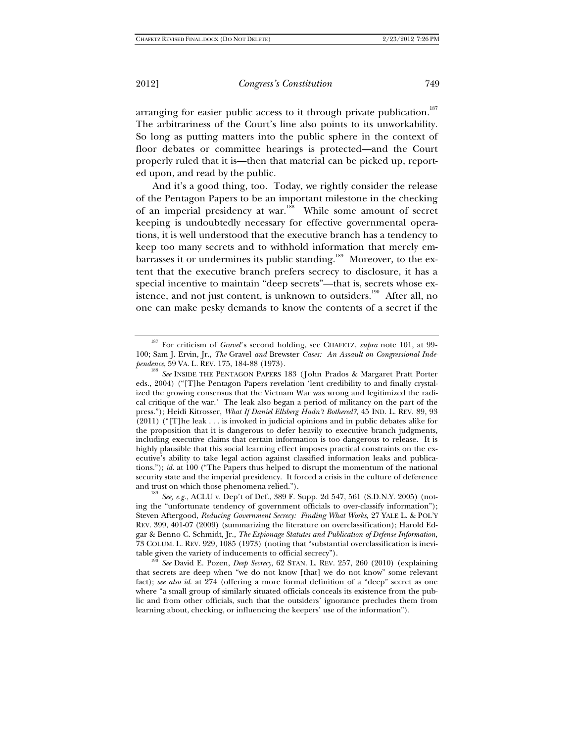arranging for easier public access to it through private publication.<sup>187</sup> The arbitrariness of the Court's line also points to its unworkability. So long as putting matters into the public sphere in the context of floor debates or committee hearings is protected—and the Court properly ruled that it is—then that material can be picked up, reported upon, and read by the public.

And it's a good thing, too. Today, we rightly consider the release of the Pentagon Papers to be an important milestone in the checking of an imperial presidency at war.<sup>188</sup> While some amount of secret keeping is undoubtedly necessary for effective governmental operations, it is well understood that the executive branch has a tendency to keep too many secrets and to withhold information that merely embarrasses it or undermines its public standing.<sup>189</sup> Moreover, to the extent that the executive branch prefers secrecy to disclosure, it has a special incentive to maintain "deep secrets"—that is, secrets whose existence, and not just content, is unknown to outsiders.<sup>190</sup> After all, no one can make pesky demands to know the contents of a secret if the

and trust on which those phenomena relied."). <sup>189</sup> *See, e.g.*, ACLU v. Dep't of Def., 389 F. Supp. 2d 547, 561 (S.D.N.Y. 2005) (noting the "unfortunate tendency of government officials to over-classify information"); Steven Aftergood, *Reducing Government Secrecy: Finding What Works*, 27 YALE L. & POL'Y REV. 399, 401-07 (2009) (summarizing the literature on overclassification); Harold Edgar & Benno C. Schmidt, Jr., *The Espionage Statutes and Publication of Defense Information*, 73 COLUM. L. REV. 929, 1085 (1973) (noting that "substantial overclassification is inevi-

<sup>187</sup> For criticism of *Gravel*'s second holding, see CHAFETZ, *supra* note 101, at 99- 100; Sam J. Ervin, Jr., *The* Gravel *and* Brewster *Cases: An Assault on Congressional Inde-*

<sup>&</sup>lt;sup>188</sup> See INSIDE THE PENTAGON PAPERS 183 (John Prados & Margaret Pratt Porter eds., 2004) ("[T]he Pentagon Papers revelation 'lent credibility to and finally crystalized the growing consensus that the Vietnam War was wrong and legitimized the radical critique of the war.' The leak also began a period of militancy on the part of the press."); Heidi Kitrosser, *What If Daniel Ellsberg Hadn't Bothered?*, 45 IND. L. REV. 89, 93 (2011) ("[T]he leak . . . is invoked in judicial opinions and in public debates alike for the proposition that it is dangerous to defer heavily to executive branch judgments, including executive claims that certain information is too dangerous to release. It is highly plausible that this social learning effect imposes practical constraints on the executive's ability to take legal action against classified information leaks and publications."); *id.* at 100 ("The Papers thus helped to disrupt the momentum of the national security state and the imperial presidency. It forced a crisis in the culture of deference

table given the variety of inducements to official secrecy").<br><sup>190</sup> *See* David E. Pozen, *Deep Secrecy*, 62 STAN. L. REV. 257, 260 (2010) (explaining that secrets are deep when "we do not know [that] we do not know" some relevant fact); *see also id*. at 274 (offering a more formal definition of a "deep" secret as one where "a small group of similarly situated officials conceals its existence from the public and from other officials, such that the outsiders' ignorance precludes them from learning about, checking, or influencing the keepers' use of the information").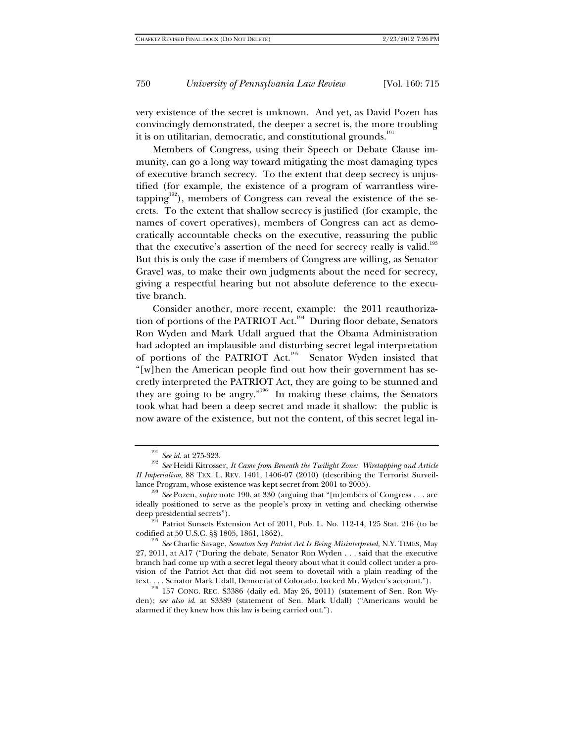very existence of the secret is unknown. And yet, as David Pozen has convincingly demonstrated, the deeper a secret is, the more troubling it is on utilitarian, democratic, and constitutional grounds.<sup>191</sup>

Members of Congress, using their Speech or Debate Clause immunity, can go a long way toward mitigating the most damaging types of executive branch secrecy. To the extent that deep secrecy is unjustified (for example, the existence of a program of warrantless wiretapping $192)$ , members of Congress can reveal the existence of the secrets. To the extent that shallow secrecy is justified (for example, the names of covert operatives), members of Congress can act as democratically accountable checks on the executive, reassuring the public that the executive's assertion of the need for secrecy really is valid.<sup>193</sup> But this is only the case if members of Congress are willing, as Senator Gravel was, to make their own judgments about the need for secrecy, giving a respectful hearing but not absolute deference to the executive branch.

Consider another, more recent, example: the 2011 reauthorization of portions of the PATRIOT Act.<sup>194</sup> During floor debate, Senators Ron Wyden and Mark Udall argued that the Obama Administration had adopted an implausible and disturbing secret legal interpretation of portions of the PATRIOT Act.<sup>195</sup> Senator Wyden insisted that "[w]hen the American people find out how their government has secretly interpreted the PATRIOT Act, they are going to be stunned and they are going to be angry."196 In making these claims, the Senators took what had been a deep secret and made it shallow: the public is now aware of the existence, but not the content, of this secret legal in-

<sup>191</sup> *See id*. at 275-323. 192 *See* Heidi Kitrosser, *It Came from Beneath the Twilight Zone: Wiretapping and Article II Imperialism*, 88 TEX. L. REV. 1401, 1406-07 (2010) (describing the Terrorist Surveillance Program, whose existence was kept secret from 2001 to 2005).

<sup>&</sup>lt;sup>193</sup> *See* Pozen, *supra* note 190, at 330 (arguing that "[m]embers of Congress . . . are ideally positioned to serve as the people's proxy in vetting and checking otherwise

deep presidential secrets").<br>
<sup>194</sup> Patriot Sunsets Extension Act of 2011, Pub. L. No. 112-14, 125 Stat. 216 (to be codified at 50 U.S.C. §§ 1805, 1861, 1862).

<sup>&</sup>lt;sup>195</sup> See Charlie Savage, *Senators Say Patriot Act Is Being Misinterpreted*, N.Y. TIMES, May 27, 2011, at A17 ("During the debate, Senator Ron Wyden . . . said that the executive branch had come up with a secret legal theory about what it could collect under a provision of the Patriot Act that did not seem to dovetail with a plain reading of the text. . . . Senator Mark Udall, Democrat of Colorado, backed Mr. Wyden's account."). 196 157 CONG. REC. S3386 (daily ed. May 26, 2011) (statement of Sen. Ron Wy-

den); *see also id*. at S3389 (statement of Sen. Mark Udall) ("Americans would be alarmed if they knew how this law is being carried out.").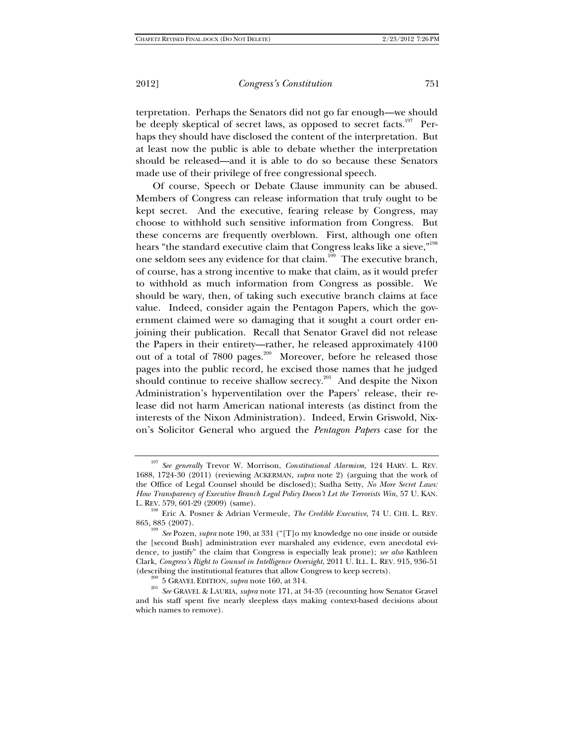terpretation. Perhaps the Senators did not go far enough—we should be deeply skeptical of secret laws, as opposed to secret facts.<sup>197</sup> Perhaps they should have disclosed the content of the interpretation. But at least now the public is able to debate whether the interpretation should be released—and it is able to do so because these Senators made use of their privilege of free congressional speech.

Of course, Speech or Debate Clause immunity can be abused. Members of Congress can release information that truly ought to be kept secret. And the executive, fearing release by Congress, may choose to withhold such sensitive information from Congress. But these concerns are frequently overblown. First, although one often hears "the standard executive claim that Congress leaks like a sieve,"<sup>198</sup> one seldom sees any evidence for that claim.<sup>199</sup> The executive branch, of course, has a strong incentive to make that claim, as it would prefer to withhold as much information from Congress as possible. We should be wary, then, of taking such executive branch claims at face value. Indeed, consider again the Pentagon Papers, which the government claimed were so damaging that it sought a court order enjoining their publication. Recall that Senator Gravel did not release the Papers in their entirety—rather, he released approximately 4100 out of a total of 7800 pages.<sup>200</sup> Moreover, before he released those pages into the public record, he excised those names that he judged should continue to receive shallow secrecy.<sup>201</sup> And despite the Nixon Administration's hyperventilation over the Papers' release, their release did not harm American national interests (as distinct from the interests of the Nixon Administration). Indeed, Erwin Griswold, Nixon's Solicitor General who argued the *Pentagon Papers* case for the

<sup>197</sup> *See generally* Trevor W. Morrison, *Constitutional Alarmism*, 124 HARV. L. REV. 1688, 1724-30 (2011) (reviewing ACKERMAN, *supra* note 2) (arguing that the work of the Office of Legal Counsel should be disclosed); Sudha Setty, *No More Secret Laws: How Transparency of Executive Branch Legal Policy Doesn't Let the Terrorists Win*, 57 U. KAN.

L. REV. 579, 601-29 (2009) (same). 198 Eric A. Posner & Adrian Vermeule, *The Credible Executive*, 74 U. CHI. L. REV.

<sup>865, 885 (2007). 199</sup> *See* Pozen, *supra* note 190, at 331 ("[T]o my knowledge no one inside or outside the [second Bush] administration ever marshaled any evidence, even anecdotal evidence, to justify" the claim that Congress is especially leak prone); *see also* Kathleen Clark, *Congress's Right to Counsel in Intelligence Oversight*, 2011 U. ILL. L. REV. 915, 936-51 (describing the institutional features that allow Congress to keep secrets). 200 5 GRAVEL EDITION, *supra* note 160, at 314. 201 *See* GRAVEL & LAURIA, *supra* note 171, at 34-35 (recounting how Senator Gravel

and his staff spent five nearly sleepless days making context-based decisions about which names to remove).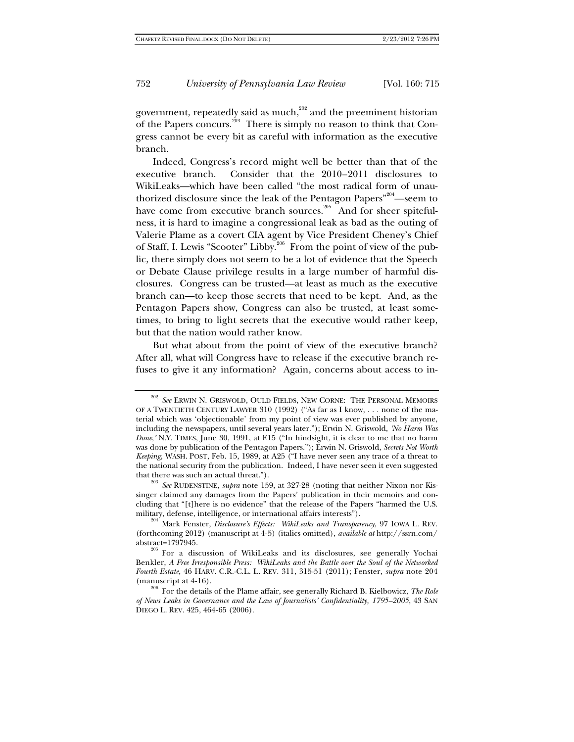government, repeatedly said as much, $202$  and the preeminent historian of the Papers concurs.<sup>203</sup> There is simply no reason to think that Congress cannot be every bit as careful with information as the executive branch.

Indeed, Congress's record might well be better than that of the executive branch. Consider that the 2010–2011 disclosures to WikiLeaks—which have been called "the most radical form of unauthorized disclosure since the leak of the Pentagon Papers<sup>"204</sup>—seem to have come from executive branch sources.<sup>205</sup> And for sheer spitefulness, it is hard to imagine a congressional leak as bad as the outing of Valerie Plame as a covert CIA agent by Vice President Cheney's Chief of Staff, I. Lewis "Scooter" Libby.206 From the point of view of the public, there simply does not seem to be a lot of evidence that the Speech or Debate Clause privilege results in a large number of harmful disclosures. Congress can be trusted—at least as much as the executive branch can—to keep those secrets that need to be kept. And, as the Pentagon Papers show, Congress can also be trusted, at least sometimes, to bring to light secrets that the executive would rather keep, but that the nation would rather know.

But what about from the point of view of the executive branch? After all, what will Congress have to release if the executive branch refuses to give it any information? Again, concerns about access to in-

<sup>&</sup>lt;sup>202</sup> See ERWIN N. GRISWOLD, OULD FIELDS, NEW CORNE: THE PERSONAL MEMOIRS OF A TWENTIETH CENTURY LAWYER 310 (1992) ("As far as I know, . . . none of the material which was 'objectionable' from my point of view was ever published by anyone, including the newspapers, until several years later."); Erwin N. Griswold, *'No Harm Was Done*,*'* N.Y. TIMES, June 30, 1991, at E15 ("In hindsight, it is clear to me that no harm was done by publication of the Pentagon Papers."); Erwin N. Griswold, *Secrets Not Worth Keeping*, WASH. POST, Feb. 15, 1989, at A25 ("I have never seen any trace of a threat to the national security from the publication. Indeed, I have never seen it even suggested that there was such an actual threat.").<br><sup>203</sup> *See* RUDENSTINE, *supra* note 159, at 327-28 (noting that neither Nixon nor Kis-

singer claimed any damages from the Papers' publication in their memoirs and concluding that "[t]here is no evidence" that the release of the Papers "harmed the U.S. military, defense, intelligence, or international affairs interests"). 204 Mark Fenster, *Disclosure's Effects: WikiLeaks and Transparency*, 97 IOWA L. REV.

<sup>(</sup>forthcoming 2012) (manuscript at 4-5) (italics omitted), *available at* http://ssrn.com/

<sup>&</sup>lt;sup>205</sup> For a discussion of WikiLeaks and its disclosures, see generally Yochai Benkler, *A Free Irresponsible Press: WikiLeaks and the Battle over the Soul of the Networked Fourth Estate*, 46 HARV. C.R.-C.L. L. REV. 311, 315-51 (2011); Fenster, *supra* note 204

<sup>(</sup>manuscript at 4-16). 206 For the details of the Plame affair, see generally Richard B. Kielbowicz, *The Role of News Leaks in Governance and the Law of Journalists' Confidentiality, 1795–2005*, 43 SAN DIEGO L. REV. 425, 464-65 (2006).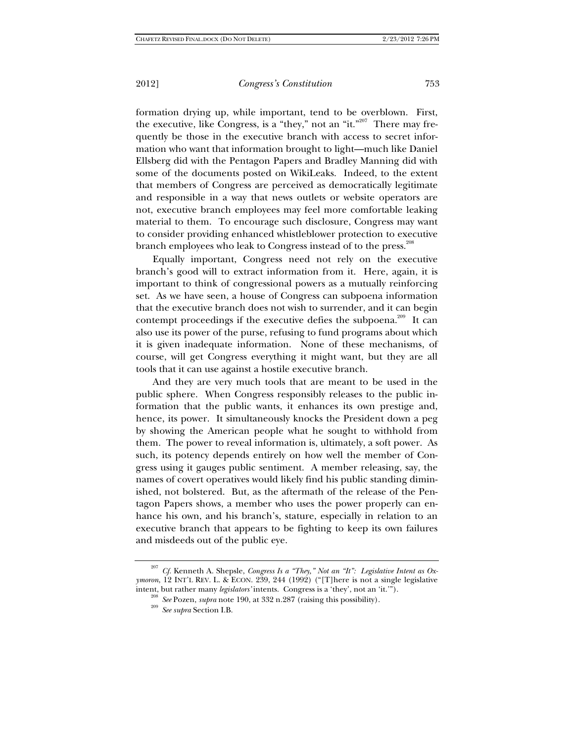formation drying up, while important, tend to be overblown. First, the executive, like Congress, is a "they," not an "it."<sup>207</sup> There may frequently be those in the executive branch with access to secret information who want that information brought to light—much like Daniel Ellsberg did with the Pentagon Papers and Bradley Manning did with some of the documents posted on WikiLeaks. Indeed, to the extent that members of Congress are perceived as democratically legitimate and responsible in a way that news outlets or website operators are not, executive branch employees may feel more comfortable leaking material to them. To encourage such disclosure, Congress may want to consider providing enhanced whistleblower protection to executive branch employees who leak to Congress instead of to the press.<sup>208</sup>

Equally important, Congress need not rely on the executive branch's good will to extract information from it. Here, again, it is important to think of congressional powers as a mutually reinforcing set. As we have seen, a house of Congress can subpoena information that the executive branch does not wish to surrender, and it can begin contempt proceedings if the executive defies the subpoena.<sup>209</sup> It can also use its power of the purse, refusing to fund programs about which it is given inadequate information. None of these mechanisms, of course, will get Congress everything it might want, but they are all tools that it can use against a hostile executive branch.

And they are very much tools that are meant to be used in the public sphere. When Congress responsibly releases to the public information that the public wants, it enhances its own prestige and, hence, its power. It simultaneously knocks the President down a peg by showing the American people what he sought to withhold from them. The power to reveal information is, ultimately, a soft power. As such, its potency depends entirely on how well the member of Congress using it gauges public sentiment. A member releasing, say, the names of covert operatives would likely find his public standing diminished, not bolstered. But, as the aftermath of the release of the Pentagon Papers shows, a member who uses the power properly can enhance his own, and his branch's, stature, especially in relation to an executive branch that appears to be fighting to keep its own failures and misdeeds out of the public eye.

<sup>207</sup> *Cf.* Kenneth A. Shepsle, *Congress Is a "They," Not an "It": Legislative Intent as Oxymoron*, 12 INT'L REV. L. & ECON. 239, 244 (1992) ("[T]here is not a single legislative intent, but rather many *legislators'* intents. Congress is a 'they', not an 'it.'"). 208 *See* Pozen, *supra* note 190, at 332 n.287 (raising this possibility). 209 *See supra* Section I.B.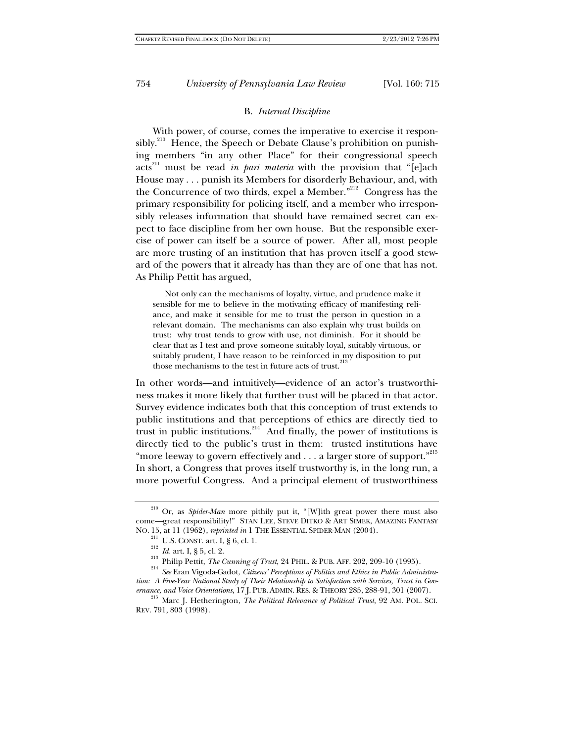#### B. *Internal Discipline*

With power, of course, comes the imperative to exercise it responsibly.<sup>210</sup> Hence, the Speech or Debate Clause's prohibition on punishing members "in any other Place" for their congressional speech acts<sup>211</sup> must be read *in pari materia* with the provision that "[e]ach House may . . . punish its Members for disorderly Behaviour, and, with the Concurrence of two thirds, expel a Member."212 Congress has the primary responsibility for policing itself, and a member who irresponsibly releases information that should have remained secret can expect to face discipline from her own house. But the responsible exercise of power can itself be a source of power. After all, most people are more trusting of an institution that has proven itself a good steward of the powers that it already has than they are of one that has not. As Philip Pettit has argued,

 Not only can the mechanisms of loyalty, virtue, and prudence make it sensible for me to believe in the motivating efficacy of manifesting reliance, and make it sensible for me to trust the person in question in a relevant domain. The mechanisms can also explain why trust builds on trust: why trust tends to grow with use, not diminish. For it should be clear that as I test and prove someone suitably loyal, suitably virtuous, or suitably prudent, I have reason to be reinforced in my disposition to put those mechanisms to the test in future acts of trust.<sup>2</sup>

In other words—and intuitively—evidence of an actor's trustworthiness makes it more likely that further trust will be placed in that actor. Survey evidence indicates both that this conception of trust extends to public institutions and that perceptions of ethics are directly tied to trust in public institutions. $214$  And finally, the power of institutions is directly tied to the public's trust in them: trusted institutions have "more leeway to govern effectively and . . . a larger store of support."<sup>215</sup> In short, a Congress that proves itself trustworthy is, in the long run, a more powerful Congress. And a principal element of trustworthiness

<sup>&</sup>lt;sup>210</sup> Or, as *Spider-Man* more pithily put it, "[W]ith great power there must also come—great responsibility!" STAN LEE, STEVE DITKO & ART SIMEK, AMAZING FANTASY NO. 15, at 11 (1962), *reprinted in* 1 THE ESSENTIAL SPIDER-MAN (2004).<br><sup>211</sup> U.S. CONST. art. I, § 6, cl. 1.<br><sup>212</sup> Id. art. I, § 5, cl. 2.<br><sup>213</sup> Philip Pettit, *The Cunning of Trust*, 24 PHIL. & PUB. AFF. 202, 209-10 (19

*tion: A Five-Year National Study of Their Relationship to Satisfaction with Services, Trust in Gov-*

*ernance, and Voice Orientations*, 17 J. PUB. ADMIN. RES. & THEORY 285, 288-91, 301 (2007). 215 Marc J. Hetherington, *The Political Relevance of Political Trust*, 92 AM. POL. SCI. REV. 791, 803 (1998).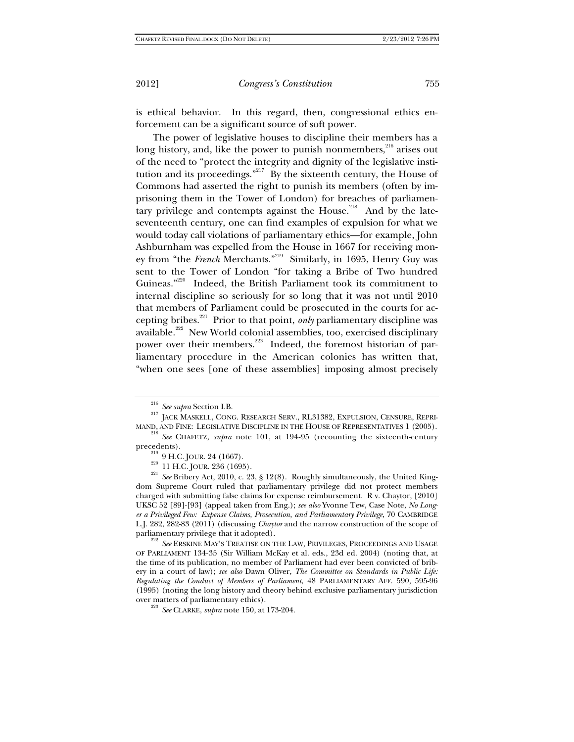is ethical behavior. In this regard, then, congressional ethics enforcement can be a significant source of soft power.

The power of legislative houses to discipline their members has a long history, and, like the power to punish nonmembers,<sup>216</sup> arises out of the need to "protect the integrity and dignity of the legislative institution and its proceedings."<sup>217</sup> By the sixteenth century, the House of Commons had asserted the right to punish its members (often by imprisoning them in the Tower of London) for breaches of parliamentary privilege and contempts against the House.<sup>218</sup> And by the lateseventeenth century, one can find examples of expulsion for what we would today call violations of parliamentary ethics—for example, John Ashburnham was expelled from the House in 1667 for receiving money from "the French Merchants."<sup>219</sup> Similarly, in 1695, Henry Guy was sent to the Tower of London "for taking a Bribe of Two hundred Guineas."220 Indeed, the British Parliament took its commitment to internal discipline so seriously for so long that it was not until 2010 that members of Parliament could be prosecuted in the courts for accepting bribes.221 Prior to that point, *only* parliamentary discipline was available.<sup>222</sup> New World colonial assemblies, too, exercised disciplinary power over their members.<sup>223</sup> Indeed, the foremost historian of parliamentary procedure in the American colonies has written that, "when one sees [one of these assemblies] imposing almost precisely

<sup>&</sup>lt;sup>216</sup> *See supra* Section I.B. <br><sup>217</sup> JACK MASKELL, CONG. RESEARCH SERV., RL31382, EXPULSION, CENSURE, REPRI-MAND, AND FINE: LEGISLATIVE DISCIPLINE IN THE HOUSE OF REPRESENTATIVES 1 (2005). 218 *See* CHAFETZ, *supra* note 101, at 194-95 (recounting the sixteenth-century

precedents).<br><sup>219</sup> 9 H.C. JOUR. 24 (1667).<br><sup>220</sup> 11 H.C. JOUR. 236 (1695).<br><sup>221</sup> *See* Bribery Act, 2010, c. 23, § 12(8). Roughly simultaneously, the United Kingdom Supreme Court ruled that parliamentary privilege did not protect members charged with submitting false claims for expense reimbursement. R v. Chaytor, [2010] UKSC 52 [89]-[93] (appeal taken from Eng.); *see also* Yvonne Tew, Case Note, *No Longer a Privileged Few: Expense Claims, Prosecution, and Parliamentary Privilege*, 70 CAMBRIDGE L.J. 282, 282-83 (2011) (discussing *Chaytor* and the narrow construction of the scope of parliamentary privilege that it adopted). 222 *See* ERSKINE MAY'S TREATISE ON THE LAW, PRIVILEGES, PROCEEDINGS AND USAGE

OF PARLIAMENT 134-35 (Sir William McKay et al. eds., 23d ed. 2004) (noting that, at the time of its publication, no member of Parliament had ever been convicted of bribery in a court of law); *see also* Dawn Oliver, *The Committee on Standards in Public Life: Regulating the Conduct of Members of Parliament*, 48 PARLIAMENTARY AFF. 590, 595-96 (1995) (noting the long history and theory behind exclusive parliamentary jurisdiction

<sup>&</sup>lt;sup>223</sup> See CLARKE, *supra* note 150, at 173-204.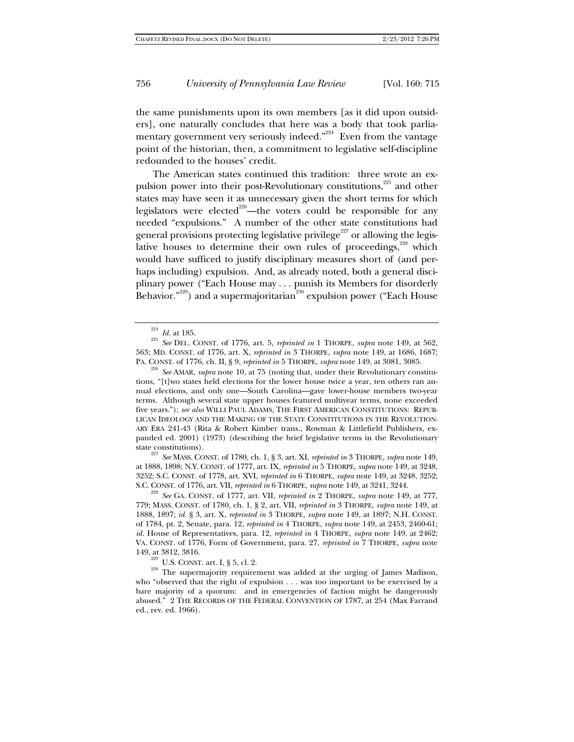the same punishments upon its own members [as it did upon outsiders], one naturally concludes that here was a body that took parliamentary government very seriously indeed."<sup>224</sup> Even from the vantage point of the historian, then, a commitment to legislative self-discipline redounded to the houses' credit.

The American states continued this tradition: three wrote an expulsion power into their post-Revolutionary constitutions,<sup>225</sup> and other states may have seen it as unnecessary given the short terms for which legislators were elected<sup>226</sup>—the voters could be responsible for any needed "expulsions." A number of the other state constitutions had general provisions protecting legislative privilege<sup>227</sup> or allowing the legislative houses to determine their own rules of proceedings, $228$  which would have sufficed to justify disciplinary measures short of (and perhaps including) expulsion. And, as already noted, both a general disciplinary power ("Each House may . . . punish its Members for disorderly Behavior."<sup>229</sup>) and a supermajoritarian<sup>230</sup> expulsion power ("Each House

state constitutions). 227 *See* MASS. CONST. of 1780, ch. 1, § 3, art. XI, *reprinted in* 3 THORPE, *supra* note 149, at 1888, 1898; N.Y. CONST. of 1777, art. IX, *reprinted in* 5 THORPE, *supra* note 149, at 3248, 3252; S.C. CONST. of 1778, art. XVI, *reprinted in* 6 THORPE, *supra* note 149, at 3248, 3252;

S.C. CONST. of 1776, art. VII, *reprinted in* 6 THORPE, *supra* note 149, at 3241, 3244. <sup>228</sup> *See* GA. CONST. of 1777, art. VII, *reprinted in* 2 THORPE, *supra* note 149, at 777, 779; MASS. CONST. of 1780, ch. 1, § 2, art. VII, *reprinted in* 3 THORPE, *supra* note 149, at 1888, 1897; *id.* § 3, art. X, *reprinted in* 3 THORPE, *supra* note 149, at 1897; N.H. CONST. of 1784, pt. 2, Senate, para. 12, *reprinted in* 4 THORPE, *supra* note 149, at 2453, 2460-61; *id.* House of Representatives, para. 12, *reprinted in* 4 THORPE, *supra* note 149, at 2462; VA. CONST. of 1776, Form of Government, para. 27, *reprinted in* 7 THORPE, *supra* note

149, at 3812, 3816. 229 U.S. CONST. art. I, § 5, cl. 2. 230 The supermajority requirement was added at the urging of James Madison, who "observed that the right of expulsion . . . was too important to be exercised by a bare majority of a quorum: and in emergencies of faction might be dangerously abused." 2 THE RECORDS OF THE FEDERAL CONVENTION OF 1787, at 254 (Max Farrand ed., rev. ed. 1966).

<sup>224</sup> *Id.* at 185. 225 *See* DEL. CONST. of 1776, art. 5, *reprinted in* 1 THORPE, *supra* note 149, at 562, 563; MD. CONST. of 1776, art. X, *reprinted in* 3 THORPE, *supra* note 149, at 1686, 1687; PA. CONST. of 1776, ch. II, § 9, *reprinted in* 5 THORPE, *supra* note 149, at 3081, 3085. 226 *See* AMAR, *supra* note 10, at 75 (noting that, under their Revolutionary constitu-

tions, "[t]wo states held elections for the lower house twice a year, ten others ran annual elections, and only one—South Carolina—gave lower-house members two-year terms. Although several state upper houses featured multiyear terms, none exceeded five years."); *see also* WILLI PAUL ADAMS, THE FIRST AMERICAN CONSTITUTIONS: REPUB-LICAN IDEOLOGY AND THE MAKING OF THE STATE CONSTITUTIONS IN THE REVOLUTION-ARY ERA 241-43 (Rita & Robert Kimber trans., Rowman & Littlefield Publishers, expanded ed. 2001) (1973) (describing the brief legislative terms in the Revolutionary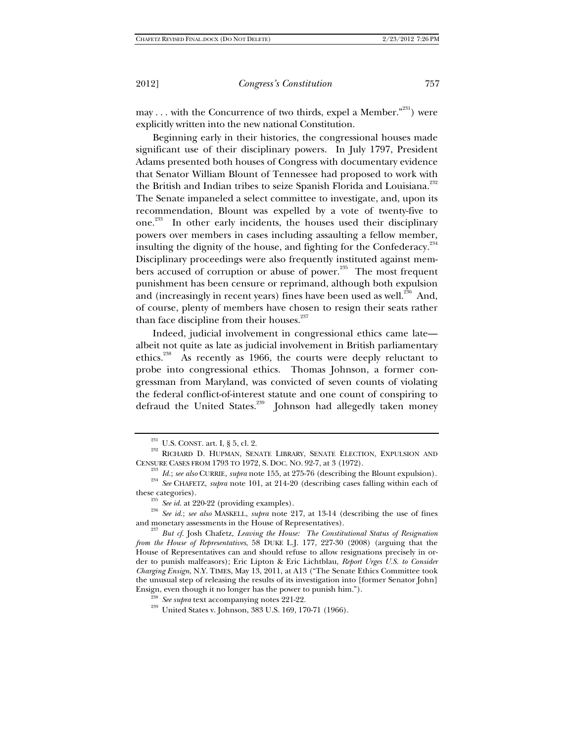may . . . with the Concurrence of two thirds, expel a Member."<sup>231</sup>) were explicitly written into the new national Constitution.

Beginning early in their histories, the congressional houses made significant use of their disciplinary powers. In July 1797, President Adams presented both houses of Congress with documentary evidence that Senator William Blount of Tennessee had proposed to work with the British and Indian tribes to seize Spanish Florida and Louisiana.<sup>232</sup> The Senate impaneled a select committee to investigate, and, upon its recommendation, Blount was expelled by a vote of twenty-five to one.233 In other early incidents, the houses used their disciplinary powers over members in cases including assaulting a fellow member, insulting the dignity of the house, and fighting for the Confederacy.<sup>234</sup> Disciplinary proceedings were also frequently instituted against members accused of corruption or abuse of power.<sup>235</sup> The most frequent punishment has been censure or reprimand, although both expulsion and (increasingly in recent years) fines have been used as well.<sup>236</sup> And, of course, plenty of members have chosen to resign their seats rather than face discipline from their houses.<sup>237</sup>

Indeed, judicial involvement in congressional ethics came late albeit not quite as late as judicial involvement in British parliamentary ethics.<sup>238</sup> As recently as 1966, the courts were deeply reluctant to probe into congressional ethics. Thomas Johnson, a former congressman from Maryland, was convicted of seven counts of violating the federal conflict-of-interest statute and one count of conspiring to defraud the United States.<sup>239</sup> Johnson had allegedly taken money

 $^{231}$  U.S. CONST. art. I, § 5, cl. 2. 232 RICHARD D. HUPMAN, SENATE LIBRARY, SENATE ELECTION, EXPULSION AND

CENSURE CASES FROM 1793 TO 1972, S. DOC. NO. 92-7, at 3 (1972).<br><sup>233</sup> *Id.; see also* CURRIE, *supra* note 155, at 275-76 (describing the Blount expulsion).<br><sup>234</sup> *See* CHAFETZ, *supra* note 101, at 214-20 (describing cas

these categories). 235 *See id.* at 220-22 (providing examples). 236 *See id.*; *see also* MASKELL, *supra* note 217, at 13-14 (describing the use of fines and monetary assessments in the House of Representatives). 237 *But cf.* Josh Chafetz, *Leaving the House: The Constitutional Status of Resignation* 

*from the House of Representatives*, 58 DUKE L.J. 177, 227-30 (2008) (arguing that the House of Representatives can and should refuse to allow resignations precisely in order to punish malfeasors); Eric Lipton & Eric Lichtblau, *Report Urges U.S. to Consider Charging Ensign*, N.Y. TIMES, May 13, 2011, at A13 ("The Senate Ethics Committee took the unusual step of releasing the results of its investigation into [former Senator John] Ensign, even though it no longer has the power to punish him.").<br><sup>238</sup> *See supra* text accompanying notes 221-22.<br><sup>239</sup> United States v. Johnson, 383 U.S. 169, 170-71 (1966).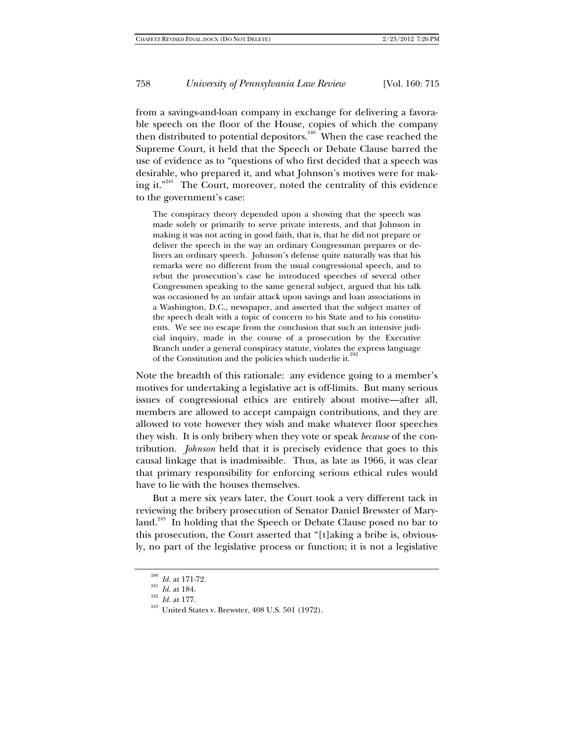from a savings-and-loan company in exchange for delivering a favorable speech on the floor of the House, copies of which the company then distributed to potential depositors.<sup>240</sup> When the case reached the Supreme Court, it held that the Speech or Debate Clause barred the use of evidence as to "questions of who first decided that a speech was desirable, who prepared it, and what Johnson's motives were for making it."241 The Court, moreover, noted the centrality of this evidence to the government's case:

The conspiracy theory depended upon a showing that the speech was made solely or primarily to serve private interests, and that Johnson in making it was not acting in good faith, that is, that he did not prepare or deliver the speech in the way an ordinary Congressman prepares or delivers an ordinary speech. Johnson's defense quite naturally was that his remarks were no different from the usual congressional speech, and to rebut the prosecution's case he introduced speeches of several other Congressmen speaking to the same general subject, argued that his talk was occasioned by an unfair attack upon savings and loan associations in a Washington, D.C., newspaper, and asserted that the subject matter of the speech dealt with a topic of concern to his State and to his constituents. We see no escape from the conclusion that such an intensive judicial inquiry, made in the course of a prosecution by the Executive Branch under a general conspiracy statute, violates the express language of the Constitution and the policies which underlie it.<sup>242</sup>

Note the breadth of this rationale: any evidence going to a member's motives for undertaking a legislative act is off-limits. But many serious issues of congressional ethics are entirely about motive—after all, members are allowed to accept campaign contributions, and they are allowed to vote however they wish and make whatever floor speeches they wish. It is only bribery when they vote or speak *because* of the contribution. *Johnson* held that it is precisely evidence that goes to this causal linkage that is inadmissible. Thus, as late as 1966, it was clear that primary responsibility for enforcing serious ethical rules would have to lie with the houses themselves.

But a mere six years later, the Court took a very different tack in reviewing the bribery prosecution of Senator Daniel Brewster of Maryland.<sup>243</sup> In holding that the Speech or Debate Clause posed no bar to this prosecution, the Court asserted that "[t]aking a bribe is, obviously, no part of the legislative process or function; it is not a legislative

<sup>&</sup>lt;sup>240</sup> *Id.* at 171-72.<br><sup>241</sup> *Id.* at 184.<br><sup>242</sup> *Id.* at 177.<br><sup>243</sup> United States v. Brewster, 408 U.S. 501 (1972).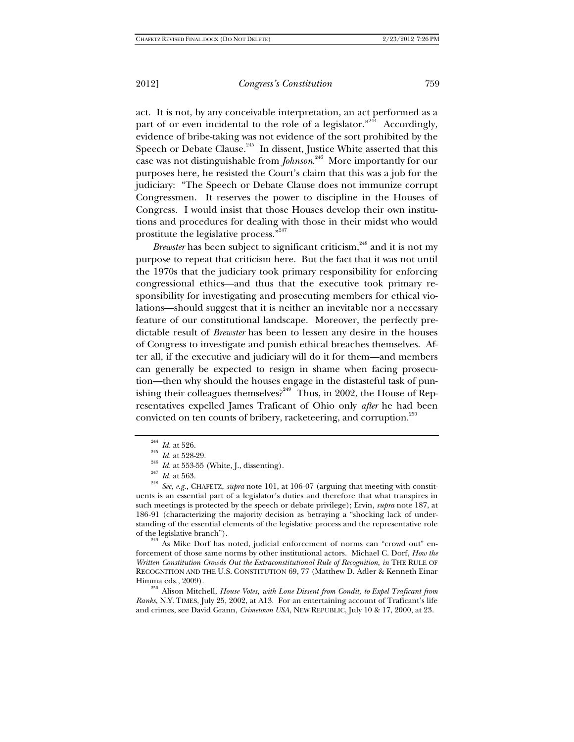act. It is not, by any conceivable interpretation, an act performed as a part of or even incidental to the role of a legislator.<sup> $n^{244}$ </sup> Accordingly, evidence of bribe-taking was not evidence of the sort prohibited by the Speech or Debate Clause.<sup>245</sup> In dissent, Justice White asserted that this case was not distinguishable from *Johnson*. 246 More importantly for our purposes here, he resisted the Court's claim that this was a job for the judiciary: "The Speech or Debate Clause does not immunize corrupt Congressmen. It reserves the power to discipline in the Houses of Congress. I would insist that those Houses develop their own institutions and procedures for dealing with those in their midst who would prostitute the legislative process."<sup>247</sup>

*Brewster* has been subject to significant criticism,<sup>248</sup> and it is not my purpose to repeat that criticism here. But the fact that it was not until the 1970s that the judiciary took primary responsibility for enforcing congressional ethics—and thus that the executive took primary responsibility for investigating and prosecuting members for ethical violations—should suggest that it is neither an inevitable nor a necessary feature of our constitutional landscape. Moreover, the perfectly predictable result of *Brewster* has been to lessen any desire in the houses of Congress to investigate and punish ethical breaches themselves. After all, if the executive and judiciary will do it for them—and members can generally be expected to resign in shame when facing prosecution—then why should the houses engage in the distasteful task of punishing their colleagues themselves?<sup>249</sup> Thus, in 2002, the House of Representatives expelled James Traficant of Ohio only *after* he had been convicted on ten counts of bribery, racketeering, and corruption.<sup>250</sup>

<sup>244</sup> *Id.* at 526.<br><sup>246</sup> *Id.* at 528-29.<br><sup>246</sup> *Id.* at 553-55 (White, J., dissenting).<br><sup>247</sup> *Id.* at 563.<br><sup>248</sup> *See, e.g.*, CHAFETZ, *supra* note 101, at 106-07 (arguing that meeting with constituents is an essential part of a legislator's duties and therefore that what transpires in such meetings is protected by the speech or debate privilege); Ervin, *supra* note 187, at 186-91 (characterizing the majority decision as betraying a "shocking lack of understanding of the essential elements of the legislative process and the representative role of the legislative branch").

<sup>249</sup> As Mike Dorf has noted, judicial enforcement of norms can "crowd out" enforcement of those same norms by other institutional actors. Michael C. Dorf, *How the Written Constitution Crowds Out the Extraconstitutional Rule of Recognition*, *in* THE RULE OF RECOGNITION AND THE U.S. CONSTITUTION 69, 77 (Matthew D. Adler & Kenneth Einar

Himma eds., 2009). 250 Alison Mitchell, *House Votes, with Lone Dissent from Condit, to Expel Traficant from Ranks*, N.Y. TIMES, July 25, 2002, at A13. For an entertaining account of Traficant's life and crimes, see David Grann, *Crimetown USA*, NEW REPUBLIC, July 10 & 17, 2000, at 23.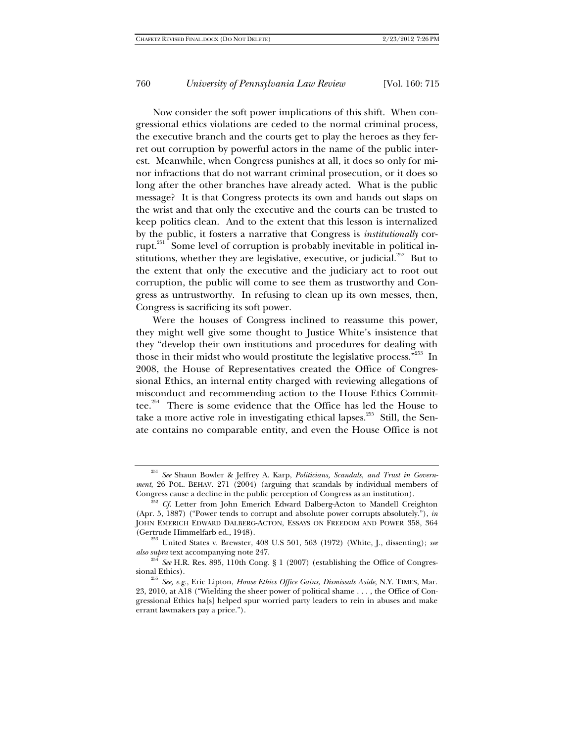Now consider the soft power implications of this shift. When congressional ethics violations are ceded to the normal criminal process, the executive branch and the courts get to play the heroes as they ferret out corruption by powerful actors in the name of the public interest. Meanwhile, when Congress punishes at all, it does so only for minor infractions that do not warrant criminal prosecution, or it does so long after the other branches have already acted. What is the public message? It is that Congress protects its own and hands out slaps on the wrist and that only the executive and the courts can be trusted to keep politics clean. And to the extent that this lesson is internalized by the public, it fosters a narrative that Congress is *institutionally* corrupt. $251$  Some level of corruption is probably inevitable in political institutions, whether they are legislative, executive, or judicial.<sup>252</sup> But to the extent that only the executive and the judiciary act to root out corruption, the public will come to see them as trustworthy and Congress as untrustworthy. In refusing to clean up its own messes, then, Congress is sacrificing its soft power.

Were the houses of Congress inclined to reassume this power, they might well give some thought to Justice White's insistence that they "develop their own institutions and procedures for dealing with those in their midst who would prostitute the legislative process."<sup>253</sup> In 2008, the House of Representatives created the Office of Congressional Ethics, an internal entity charged with reviewing allegations of misconduct and recommending action to the House Ethics Committee.<sup>254</sup> There is some evidence that the Office has led the House to take a more active role in investigating ethical lapses.<sup>255</sup> Still, the Senate contains no comparable entity, and even the House Office is not

<sup>251</sup> *See* Shaun Bowler & Jeffrey A. Karp, *Politicians, Scandals, and Trust in Government*, 26 POL. BEHAV. 271 (2004) (arguing that scandals by individual members of

<sup>&</sup>lt;sup>252</sup> Cf. Letter from John Emerich Edward Dalberg-Acton to Mandell Creighton (Apr. 5, 1887) ("Power tends to corrupt and absolute power corrupts absolutely."), *in* JOHN EMERICH EDWARD DALBERG-ACTON, ESSAYS ON FREEDOM AND POWER 358, 364 (Gertrude Himmelfarb ed., 1948).

 $^{253}$  United States v. Brewster, 408 U.S 501, 563 (1972) (White, J., dissenting); *see* 

*also supra* text accompanying note 247.<br><sup>254</sup> *See* H.R. Res. 895, 110th Cong. § 1 (2007) (establishing the Office of Congressional Ethics).

See, e.g., Eric Lipton, *House Ethics Office Gains, Dismissals Aside*, N.Y. TIMES, Mar. 23, 2010, at A18 ("Wielding the sheer power of political shame . . . , the Office of Congressional Ethics ha[s] helped spur worried party leaders to rein in abuses and make errant lawmakers pay a price.").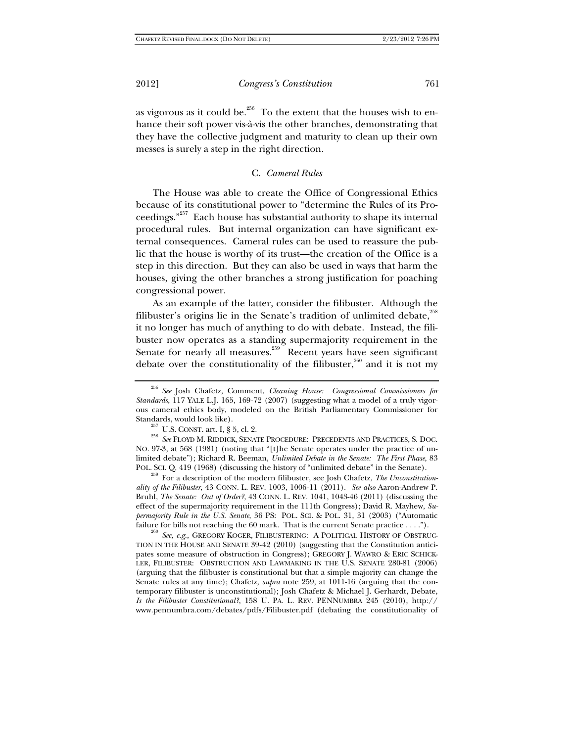as vigorous as it could be.<sup>256</sup> To the extent that the houses wish to enhance their soft power vis-à-vis the other branches, demonstrating that they have the collective judgment and maturity to clean up their own messes is surely a step in the right direction.

## C. *Cameral Rules*

The House was able to create the Office of Congressional Ethics because of its constitutional power to "determine the Rules of its Proceedings."257 Each house has substantial authority to shape its internal procedural rules. But internal organization can have significant external consequences. Cameral rules can be used to reassure the public that the house is worthy of its trust—the creation of the Office is a step in this direction. But they can also be used in ways that harm the houses, giving the other branches a strong justification for poaching congressional power.

As an example of the latter, consider the filibuster. Although the filibuster's origins lie in the Senate's tradition of unlimited debate, $^{258}$ it no longer has much of anything to do with debate. Instead, the filibuster now operates as a standing supermajority requirement in the Senate for nearly all measures.<sup>259</sup> Recent years have seen significant debate over the constitutionality of the filibuster,  $260$  and it is not my

NO. 97-3, at 568 (1981) (noting that "[t]he Senate operates under the practice of unlimited debate"); Richard R. Beeman, *Unlimited Debate in the Senate: The First Phase*, 83

For a description of the modern filibuster, see Josh Chafetz, *The Unconstitutionality of the Filibuster*, 43 CONN. L. REV. 1003, 1006-11 (2011). *See also* Aaron-Andrew P. Bruhl, *The Senate: Out of Order?*, 43 CONN. L. REV. 1041, 1043-46 (2011) (discussing the effect of the supermajority requirement in the 111th Congress); David R. Mayhew, *Supermajority Rule in the U.S. Senate*, 36 PS: POL. SCI. & POL. 31, 31 (2003) ("Automatic failure for bills not reaching the 60 mark. That is the current Senate practice . . . .").

<sup>260</sup> *See, e.g.*, GREGORY KOGER, FILIBUSTERING: A POLITICAL HISTORY OF OBSTRUC-TION IN THE HOUSE AND SENATE 39-42 (2010) (suggesting that the Constitution anticipates some measure of obstruction in Congress); GREGORY J. WAWRO & ERIC SCHICK-LER, FILIBUSTER: OBSTRUCTION AND LAWMAKING IN THE U.S. SENATE 280-81 (2006) (arguing that the filibuster is constitutional but that a simple majority can change the Senate rules at any time); Chafetz, *supra* note 259, at 1011-16 (arguing that the contemporary filibuster is unconstitutional); Josh Chafetz & Michael J. Gerhardt, Debate, *Is the Filibuster Constitutional?*, 158 U. PA. L. REV. PENNUMBRA 245 (2010), http:// www.pennumbra.com/debates/pdfs/Filibuster.pdf (debating the constitutionality of

<sup>256</sup> *See* Josh Chafetz, Comment, *Cleaning House: Congressional Commissioners for Standards*, 117 YALE L.J. 165, 169-72 (2007) (suggesting what a model of a truly vigorous cameral ethics body, modeled on the British Parliamentary Commissioner for Standards, would look like).<br><sup>257</sup> U.S. CONST. art. I, § 5, cl. 2. 2008<br><sup>258</sup> *See* FLOYD M. RIDDICK, SENATE PROCEDURE: PRECEDENTS AND PRACTICES, S. DOC.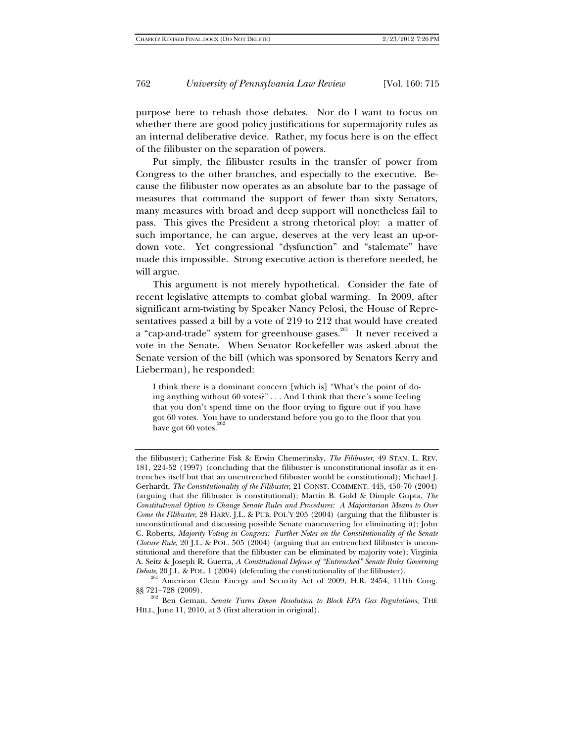purpose here to rehash those debates. Nor do I want to focus on whether there are good policy justifications for supermajority rules as an internal deliberative device. Rather, my focus here is on the effect of the filibuster on the separation of powers.

Put simply, the filibuster results in the transfer of power from Congress to the other branches, and especially to the executive. Because the filibuster now operates as an absolute bar to the passage of measures that command the support of fewer than sixty Senators, many measures with broad and deep support will nonetheless fail to pass. This gives the President a strong rhetorical ploy: a matter of such importance, he can argue, deserves at the very least an up-ordown vote. Yet congressional "dysfunction" and "stalemate" have made this impossible. Strong executive action is therefore needed, he will argue.

This argument is not merely hypothetical. Consider the fate of recent legislative attempts to combat global warming. In 2009, after significant arm-twisting by Speaker Nancy Pelosi, the House of Representatives passed a bill by a vote of 219 to 212 that would have created a "cap-and-trade" system for greenhouse gases.<sup>261</sup> It never received a vote in the Senate. When Senator Rockefeller was asked about the Senate version of the bill (which was sponsored by Senators Kerry and Lieberman), he responded:

I think there is a dominant concern [which is] "What's the point of doing anything without 60 votes?" . . . And I think that there's some feeling that you don't spend time on the floor trying to figure out if you have got 60 votes. You have to understand before you go to the floor that you have got  $60$  votes.<sup>262</sup>

the filibuster); Catherine Fisk & Erwin Chemerinsky, *The Filibuster*, 49 STAN. L. REV. 181, 224-52 (1997) (concluding that the filibuster is unconstitutional insofar as it entrenches itself but that an unentrenched filibuster would be constitutional); Michael J. Gerhardt, *The Constitutionality of the Filibuster*, 21 CONST. COMMENT. 445, 450-70 (2004) (arguing that the filibuster is constitutional); Martin B. Gold & Dimple Gupta, *The Constitutional Option to Change Senate Rules and Procedures: A Majoritarian Means to Over Come the Filibuster*, 28 HARV. J.L. & PUB. POL'Y 205 (2004) (arguing that the filibuster is unconstitutional and discussing possible Senate maneuvering for eliminating it); John C. Roberts, *Majority Voting in Congress: Further Notes on the Constitutionality of the Senate Cloture Rule*, 20 J.L. & POL. 505 (2004) (arguing that an entrenched filibuster is unconstitutional and therefore that the filibuster can be eliminated by majority vote); Virginia A. Seitz & Joseph R. Guerra, *A Constitutional Defense of "Entrenched" Senate Rules Governing Debate*, 20 J.L. & POL. 1 (2004) (defending the constitutionality of the filibuster). 261 American Clean Energy and Security Act of 2009, H.R. 2454, 111th Cong.

<sup>§§ 721–728 (2009). 262</sup> Ben Geman, *Senate Turns Down Resolution to Block EPA Gas Regulations*, THE

HILL, June 11, 2010, at 3 (first alteration in original).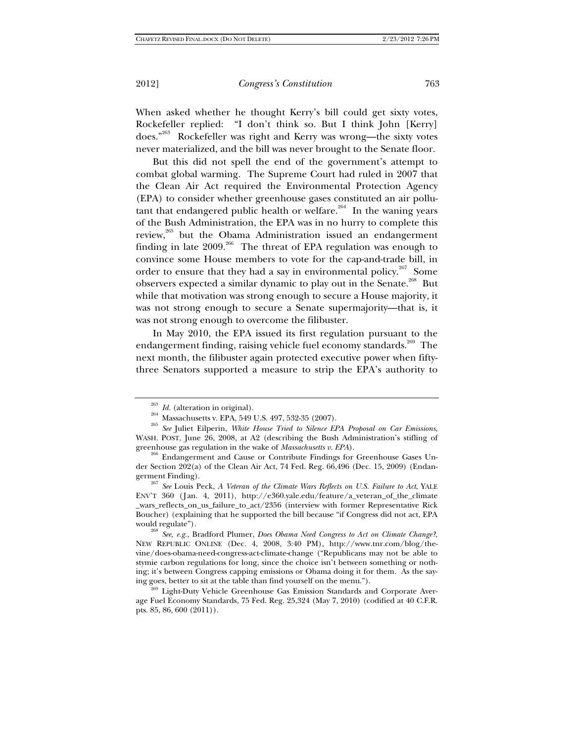When asked whether he thought Kerry's bill could get sixty votes, Rockefeller replied: "I don't think so. But I think John [Kerry] does."263 Rockefeller was right and Kerry was wrong—the sixty votes never materialized, and the bill was never brought to the Senate floor.

But this did not spell the end of the government's attempt to combat global warming. The Supreme Court had ruled in 2007 that the Clean Air Act required the Environmental Protection Agency (EPA) to consider whether greenhouse gases constituted an air pollutant that endangered public health or welfare.<sup>264</sup> In the waning years of the Bush Administration, the EPA was in no hurry to complete this review,265 but the Obama Administration issued an endangerment finding in late  $2009$ .<sup>266</sup> The threat of EPA regulation was enough to convince some House members to vote for the cap-and-trade bill, in order to ensure that they had a say in environmental policy.<sup>267</sup> Some observers expected a similar dynamic to play out in the Senate.<sup>268</sup> But while that motivation was strong enough to secure a House majority, it was not strong enough to secure a Senate supermajority—that is, it was not strong enough to overcome the filibuster.

In May 2010, the EPA issued its first regulation pursuant to the endangerment finding, raising vehicle fuel economy standards.<sup>269</sup> The next month, the filibuster again protected executive power when fiftythree Senators supported a measure to strip the EPA's authority to

<sup>263</sup> *Id.* (alteration in original). 264 Massachusetts v. EPA, 549 U.S. 497, 532-35 (2007). 265 *See* Juliet Eilperin, *White House Tried to Silence EPA Proposal on Car Emissions*, WASH. POST, June 26, 2008, at A2 (describing the Bush Administration's stifling of

greenhouse gas regulation in the wake of *Massachusetts v. EPA*).<br><sup>266</sup> Endangerment and Cause or Contribute Findings for Greenhouse Gases Under Section 202(a) of the Clean Air Act, 74 Fed. Reg. 66,496 (Dec. 15, 2009) (Endan-

germent Finding). 267 *See* Louis Peck, *A Veteran of the Climate Wars Reflects on U.S. Failure to Act*, YALE ENV'T 360 (Jan. 4, 2011), http://e360.yale.edu/feature/a\_veteran\_of\_the\_climate \_wars\_reflects\_on\_us\_failure\_to\_act/2356 (interview with former Representative Rick Boucher) (explaining that he supported the bill because "if Congress did not act, EPA

would regulate"). 268 *See, e.g.*, Bradford Plumer, *Does Obama Need Congress to Act on Climate Change?*, NEW REPUBLIC ONLINE (Dec. 4, 2008, 3:40 PM), http://www.tnr.com/blog/thevine/does-obama-need-congress-act-climate-change ("Republicans may not be able to stymie carbon regulations for long, since the choice isn't between something or nothing; it's between Congress capping emissions or Obama doing it for them. As the saying goes, better to sit at the table than find yourself on the menu.").<br><sup>269</sup> Light-Duty Vehicle Greenhouse Gas Emission Standards and Corporate Aver-

age Fuel Economy Standards, 75 Fed. Reg. 25,324 (May 7, 2010) (codified at 40 C.F.R. pts. 85, 86, 600 (2011)).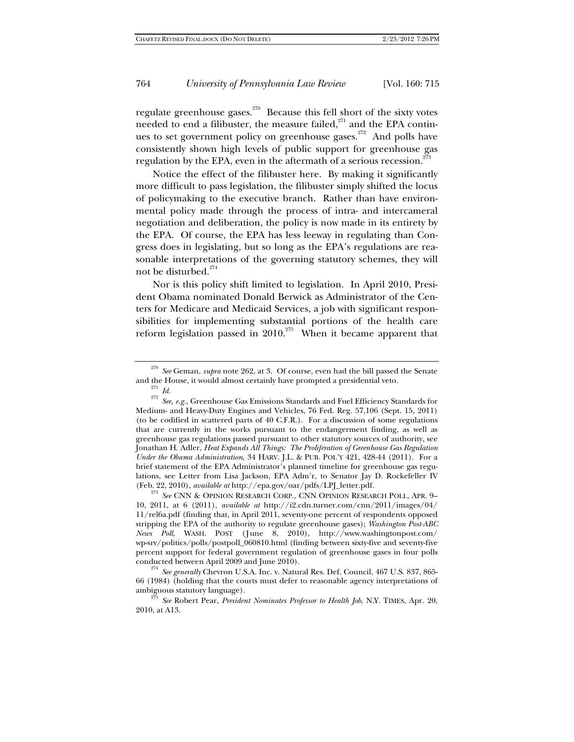regulate greenhouse gases.<sup>270</sup> Because this fell short of the sixty votes needed to end a filibuster, the measure failed, $^{271}$  and the EPA continues to set government policy on greenhouse gases.<sup>272</sup> And polls have consistently shown high levels of public support for greenhouse gas regulation by the EPA, even in the aftermath of a serious recession.<sup>2</sup>

Notice the effect of the filibuster here. By making it significantly more difficult to pass legislation, the filibuster simply shifted the locus of policymaking to the executive branch. Rather than have environmental policy made through the process of intra- and intercameral negotiation and deliberation, the policy is now made in its entirety by the EPA. Of course, the EPA has less leeway in regulating than Congress does in legislating, but so long as the EPA's regulations are reasonable interpretations of the governing statutory schemes, they will not be disturbed.<sup>274</sup>

Nor is this policy shift limited to legislation. In April 2010, President Obama nominated Donald Berwick as Administrator of the Centers for Medicare and Medicaid Services, a job with significant responsibilities for implementing substantial portions of the health care reform legislation passed in  $2010$ <sup>275</sup> When it became apparent that

<sup>&</sup>lt;sup>270</sup> *See* Geman, *supra* note 262, at 3. Of course, even had the bill passed the Senate and the House, it would almost certainly have prompted a presidential veto.

and *Id.*<br><sup>271</sup> *Id.*<br><sup>272</sup> *See, e.g.*, Greenhouse Gas Emissions Standards and Fuel Efficiency Standards for Medium- and Heavy-Duty Engines and Vehicles, 76 Fed. Reg. 57,106 (Sept. 15, 2011) (to be codified in scattered parts of 40 C.F.R.). For a discussion of some regulations that are currently in the works pursuant to the endangerment finding, as well as greenhouse gas regulations passed pursuant to other statutory sources of authority, see Jonathan H. Adler, *Heat Expands All Things: The Proliferation of Greenhouse Gas Regulation Under the Obama Administration*, 34 HARV. J.L. & PUB. POL'Y 421, 428-44 (2011). For a brief statement of the EPA Administrator's planned timeline for greenhouse gas regulations, see Letter from Lisa Jackson, EPA Adm'r, to Senator Jay D. Rockefeller IV

<sup>(</sup>Feb. 22, 2010), *available at* http://epa.gov/oar/pdfs/LPJ\_letter.pdf. 273 *See* CNN & OPINION RESEARCH CORP., CNN OPINION RESEARCH POLL, APR. 9– 10, 2011, at 6 (2011), *available at* http://i2.cdn.turner.com/cnn/2011/images/04/ 11/rel6a.pdf (finding that, in April 2011, seventy-one percent of respondents opposed stripping the EPA of the authority to regulate greenhouse gases); *Washington Post-ABC News Poll*, WASH. POST (June 8, 2010), http://www.washingtonpost.com/ wp-srv/politics/polls/postpoll\_060810.html (finding between sixty-five and seventy-five percent support for federal government regulation of greenhouse gases in four polls conducted between April 2009 and June 2010). 274 *See generally* Chevron U.S.A. Inc. v. Natural Res. Def. Council, 467 U.S. 837, 865-

<sup>66 (1984) (</sup>holding that the courts must defer to reasonable agency interpretations of ambiguous statutory language). 275 *See* Robert Pear, *President Nominates Professor to Health Job*, N.Y. TIMES, Apr. 20,

<sup>2010,</sup> at A13.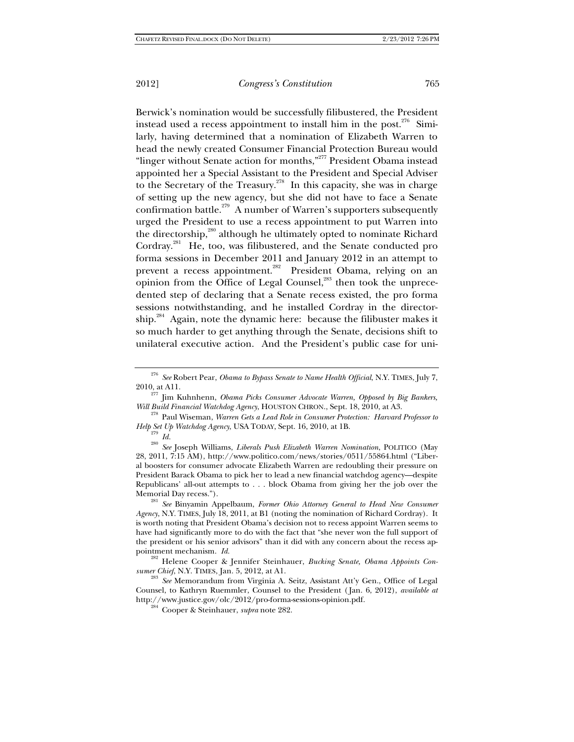Berwick's nomination would be successfully filibustered, the President instead used a recess appointment to install him in the post.<sup>276</sup> Similarly, having determined that a nomination of Elizabeth Warren to head the newly created Consumer Financial Protection Bureau would "linger without Senate action for months,"<sup>277</sup> President Obama instead appointed her a Special Assistant to the President and Special Adviser to the Secretary of the Treasury.<sup>278</sup> In this capacity, she was in charge of setting up the new agency, but she did not have to face a Senate confirmation battle.<sup>279</sup> A number of Warren's supporters subsequently urged the President to use a recess appointment to put Warren into the directorship,<sup>280</sup> although he ultimately opted to nominate Richard Cordray.<sup>281</sup> He, too, was filibustered, and the Senate conducted pro forma sessions in December 2011 and January 2012 in an attempt to prevent a recess appointment.<sup>282</sup> President Obama, relying on an opinion from the Office of Legal Counsel,<sup>283</sup> then took the unprecedented step of declaring that a Senate recess existed, the pro forma sessions notwithstanding, and he installed Cordray in the directorship.<sup>284</sup> Again, note the dynamic here: because the filibuster makes it so much harder to get anything through the Senate, decisions shift to unilateral executive action. And the President's public case for uni-

28, 2011, 7:15 AM), http://www.politico.com/news/stories/0511/55864.html ("Liberal boosters for consumer advocate Elizabeth Warren are redoubling their pressure on President Barack Obama to pick her to lead a new financial watchdog agency—despite Republicans' all-out attempts to . . . block Obama from giving her the job over the

Memorial Day recess."). 281 *See* Binyamin Appelbaum, *Former Ohio Attorney General to Head New Consumer Agency*, N.Y. TIMES, July 18, 2011, at B1 (noting the nomination of Richard Cordray). It is worth noting that President Obama's decision not to recess appoint Warren seems to have had significantly more to do with the fact that "she never won the full support of the president or his senior advisors" than it did with any concern about the recess ap-

pointment mechanism. *Id.* <sup>282</sup> Helene Cooper & Jennifer Steinhauer, *Bucking Senate, Obama Appoints Con-*

*sumer Chief*, N.Y. TIMES, Jan. 5, 2012, at A1. 283 *See* Memorandum from Virginia A. Seitz, Assistant Att'y Gen., Office of Legal Counsel, to Kathryn Ruemmler, Counsel to the President ( Jan. 6, 2012), *available at* http://www.justice.gov/olc/2012/pro-forma-sessions-opinion.pdf. 284 Cooper & Steinhauer, *supra* note 282.

<sup>276</sup> *See* Robert Pear, *Obama to Bypass Senate to Name Health Official*, N.Y. TIMES, July 7,

<sup>2010,</sup> at A11. 277 Jim Kuhnhenn, *Obama Picks Consumer Advocate Warren, Opposed by Big Bankers, Will Build Financial Watchdog Agency*, HOUSTON CHRON., Sept. 18, 2010, at A3. 278 Paul Wiseman, *Warren Gets a Lead Role in Consumer Protection: Harvard Professor to* 

*Help Set Up Watchdog Agency*, USA TODAY, Sept. 16, 2010, at 1B.<br><sup>279</sup> *Id.*<br><sup>280</sup> *See* Joseph Williams, *Liberals Push Elizabeth Warren Nomination*, POLITICO (May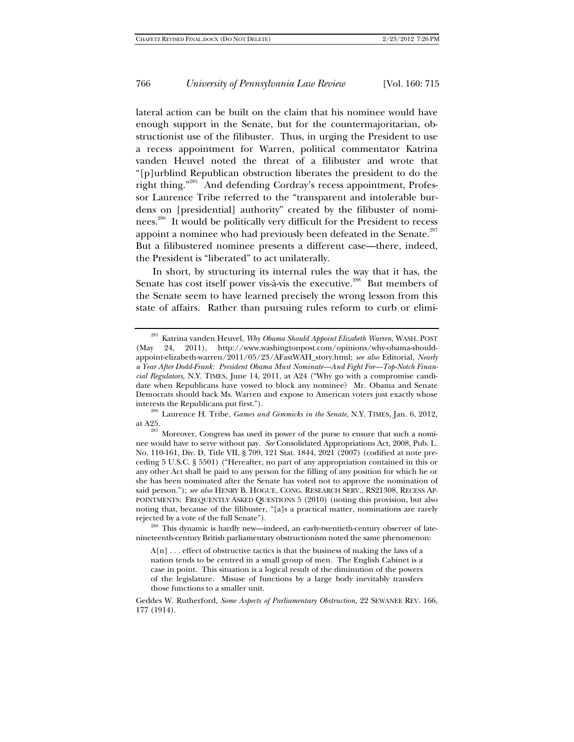lateral action can be built on the claim that his nominee would have enough support in the Senate, but for the countermajoritarian, obstructionist use of the filibuster. Thus, in urging the President to use a recess appointment for Warren, political commentator Katrina vanden Heuvel noted the threat of a filibuster and wrote that "[p]urblind Republican obstruction liberates the president to do the right thing."<sup>285</sup> And defending Cordray's recess appointment, Professor Laurence Tribe referred to the "transparent and intolerable burdens on [presidential] authority" created by the filibuster of nominees.<sup>286</sup> It would be politically very difficult for the President to recess appoint a nominee who had previously been defeated in the Senate. $^{287}$ But a filibustered nominee presents a different case—there, indeed, the President is "liberated" to act unilaterally.

In short, by structuring its internal rules the way that it has, the Senate has cost itself power vis-à-vis the executive.<sup>288</sup> But members of the Senate seem to have learned precisely the wrong lesson from this state of affairs. Rather than pursuing rules reform to curb or elimi-

at A25. <sup>287</sup> Moreover, Congress has used its power of the purse to ensure that such a nominee would have to serve without pay. *See* Consolidated Appropriations Act, 2008, Pub. L. No. 110-161, Div. D, Title VII, § 709, 121 Stat. 1844, 2021 (2007) (codified at note preceding 5 U.S.C. § 5501) ("Hereafter, no part of any appropriation contained in this or any other Act shall be paid to any person for the filling of any position for which he or she has been nominated after the Senate has voted not to approve the nomination of said person."); *see also* HENRY B. HOGUE, CONG. RESEARCH SERV., RS21308, RECESS AP-POINTMENTS: FREQUENTLY ASKED QUESTIONS 5 (2010) (noting this provision, but also noting that, because of the filibuster, "[a]s a practical matter, nominations are rarely

rejected by a vote of the full Senate").<br><sup>288</sup> This dynamic is hardly new—indeed, an early-twentieth-century observer of latenineteenth-century British parliamentary obstructionism noted the same phenomenon:

A[n] . . . effect of obstructive tactics is that the business of making the laws of a nation tends to be centred in a small group of men. The English Cabinet is a case in point. This situation is a logical result of the diminution of the powers of the legislature. Misuse of functions by a large body inevitably transfers those functions to a smaller unit.

Geddes W. Rutherford, *Some Aspects of Parliamentary Obstruction*, 22 SEWANEE REV. 166, 177 (1914).

<sup>285</sup> Katrina vanden Heuvel, *Why Obama Should Appoint Elizabeth Warren*, WASH. POST (May 24, 2011), http://www.washingtonpost.com/opinions/why-obama-shouldappoint-elizabeth-warren/2011/05/23/AFastWAH\_story.html; *see also* Editorial, *Nearly a Year After Dodd-Frank: President Obama Must Nominate—And Fight For—Top-Notch Financial Regulators*, N.Y. TIMES, June 14, 2011, at A24 ("Why go with a compromise candidate when Republicans have vowed to block any nominee? Mr. Obama and Senate Democrats should back Ms. Warren and expose to American voters just exactly whose interests the Republicans put first."). 286 Laurence H. Tribe, *Games and Gimmicks in the Senate*, N.Y. TIMES, Jan. 6, 2012,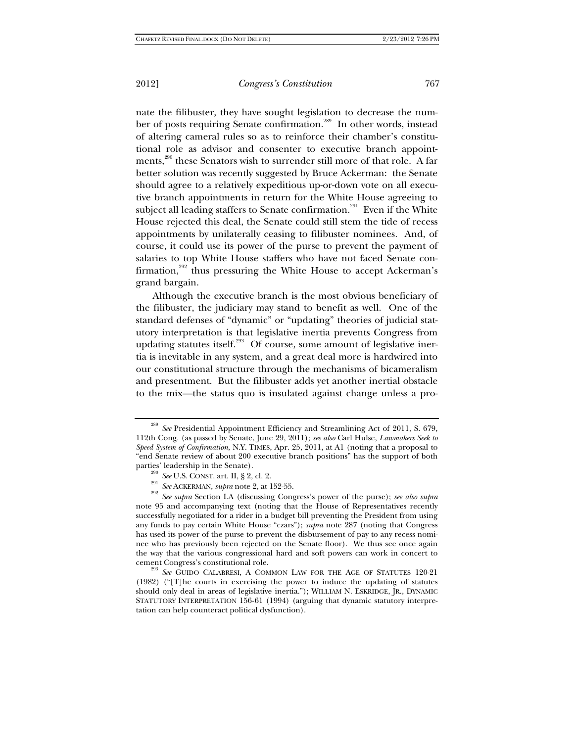nate the filibuster, they have sought legislation to decrease the number of posts requiring Senate confirmation.<sup>289</sup> In other words, instead of altering cameral rules so as to reinforce their chamber's constitutional role as advisor and consenter to executive branch appointments,<sup>290</sup> these Senators wish to surrender still more of that role. A far better solution was recently suggested by Bruce Ackerman: the Senate should agree to a relatively expeditious up-or-down vote on all executive branch appointments in return for the White House agreeing to subject all leading staffers to Senate confirmation.<sup>291</sup> Even if the White House rejected this deal, the Senate could still stem the tide of recess appointments by unilaterally ceasing to filibuster nominees. And, of course, it could use its power of the purse to prevent the payment of salaries to top White House staffers who have not faced Senate confirmation,<sup>292</sup> thus pressuring the White House to accept Ackerman's grand bargain.

Although the executive branch is the most obvious beneficiary of the filibuster, the judiciary may stand to benefit as well. One of the standard defenses of "dynamic" or "updating" theories of judicial statutory interpretation is that legislative inertia prevents Congress from updating statutes itself.<sup>293</sup> Of course, some amount of legislative inertia is inevitable in any system, and a great deal more is hardwired into our constitutional structure through the mechanisms of bicameralism and presentment. But the filibuster adds yet another inertial obstacle to the mix—the status quo is insulated against change unless a pro-

<sup>289</sup> *See* Presidential Appointment Efficiency and Streamlining Act of 2011, S. 679, 112th Cong. (as passed by Senate, June 29, 2011); *see also* Carl Hulse, *Lawmakers Seek to Speed System of Confirmation*, N.Y. TIMES, Apr. 25, 2011, at A1 (noting that a proposal to "end Senate review of about 200 executive branch positions" has the support of both

parties' leadership in the Senate).<br>
<sup>290</sup> See U.S. CONST. art. II, § 2, cl. 2.<br>
<sup>291</sup> See ACKERMAN, *supra* note 2, at 152-55.<br>
<sup>292</sup> See supra Section I.A (discussing Congress's power of the purse); *see also supra* note 95 and accompanying text (noting that the House of Representatives recently successfully negotiated for a rider in a budget bill preventing the President from using any funds to pay certain White House "czars"); *supra* note 287 (noting that Congress has used its power of the purse to prevent the disbursement of pay to any recess nominee who has previously been rejected on the Senate floor). We thus see once again the way that the various congressional hard and soft powers can work in concert to

cement Congress's constitutional role. 293 *See* GUIDO CALABRESI, <sup>A</sup> COMMON LAW FOR THE AGE OF STATUTES 120-21 (1982) ("[T]he courts in exercising the power to induce the updating of statutes should only deal in areas of legislative inertia."); WILLIAM N. ESKRIDGE, JR., DYNAMIC STATUTORY INTERPRETATION 156-61 (1994) (arguing that dynamic statutory interpretation can help counteract political dysfunction).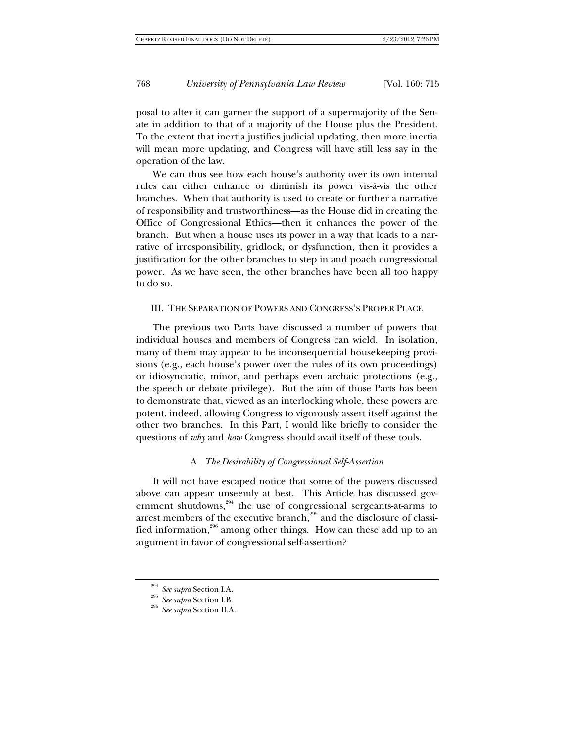posal to alter it can garner the support of a supermajority of the Senate in addition to that of a majority of the House plus the President. To the extent that inertia justifies judicial updating, then more inertia will mean more updating, and Congress will have still less say in the operation of the law.

We can thus see how each house's authority over its own internal rules can either enhance or diminish its power vis-à-vis the other branches. When that authority is used to create or further a narrative of responsibility and trustworthiness—as the House did in creating the Office of Congressional Ethics—then it enhances the power of the branch. But when a house uses its power in a way that leads to a narrative of irresponsibility, gridlock, or dysfunction, then it provides a justification for the other branches to step in and poach congressional power. As we have seen, the other branches have been all too happy to do so.

#### III. THE SEPARATION OF POWERS AND CONGRESS'S PROPER PLACE

The previous two Parts have discussed a number of powers that individual houses and members of Congress can wield. In isolation, many of them may appear to be inconsequential housekeeping provisions (e.g., each house's power over the rules of its own proceedings) or idiosyncratic, minor, and perhaps even archaic protections (e.g., the speech or debate privilege). But the aim of those Parts has been to demonstrate that, viewed as an interlocking whole, these powers are potent, indeed, allowing Congress to vigorously assert itself against the other two branches. In this Part, I would like briefly to consider the questions of *why* and *how* Congress should avail itself of these tools.

## A. *The Desirability of Congressional Self-Assertion*

It will not have escaped notice that some of the powers discussed above can appear unseemly at best. This Article has discussed government shutdowns, $294$  the use of congressional sergeants-at-arms to arrest members of the executive branch, $2^{95}$  and the disclosure of classified information,<sup>296</sup> among other things. How can these add up to an argument in favor of congressional self-assertion?

<sup>294</sup> *See supra* Section I.A. 295 *See supra* Section I.B. 296 *See supra* Section II.A.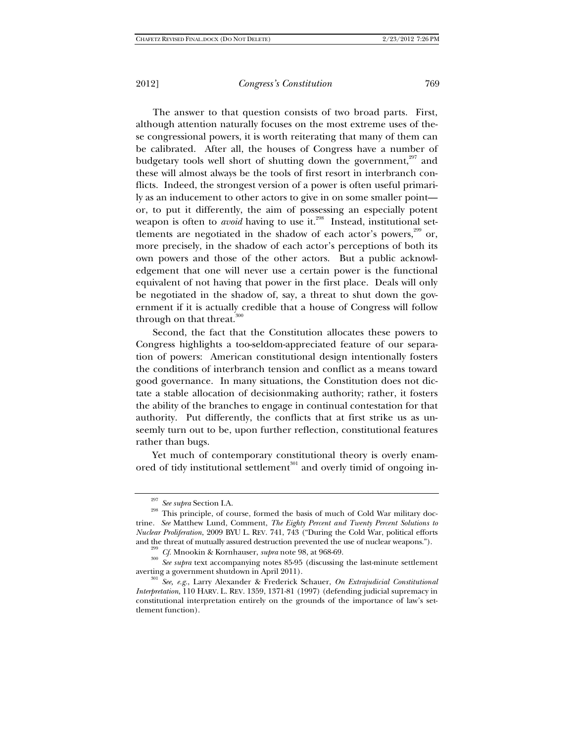The answer to that question consists of two broad parts. First, although attention naturally focuses on the most extreme uses of these congressional powers, it is worth reiterating that many of them can be calibrated. After all, the houses of Congress have a number of budgetary tools well short of shutting down the government, $297$  and these will almost always be the tools of first resort in interbranch conflicts. Indeed, the strongest version of a power is often useful primarily as an inducement to other actors to give in on some smaller point or, to put it differently, the aim of possessing an especially potent weapon is often to *avoid* having to use it.<sup>298</sup> Instead, institutional settlements are negotiated in the shadow of each actor's powers,<sup>299</sup> or, more precisely, in the shadow of each actor's perceptions of both its own powers and those of the other actors. But a public acknowledgement that one will never use a certain power is the functional equivalent of not having that power in the first place. Deals will only be negotiated in the shadow of, say, a threat to shut down the government if it is actually credible that a house of Congress will follow through on that threat. $300$ 

Second, the fact that the Constitution allocates these powers to Congress highlights a too-seldom-appreciated feature of our separation of powers: American constitutional design intentionally fosters the conditions of interbranch tension and conflict as a means toward good governance. In many situations, the Constitution does not dictate a stable allocation of decisionmaking authority; rather, it fosters the ability of the branches to engage in continual contestation for that authority. Put differently, the conflicts that at first strike us as unseemly turn out to be, upon further reflection, constitutional features rather than bugs.

Yet much of contemporary constitutional theory is overly enamored of tidy institutional settlement<sup>301</sup> and overly timid of ongoing in-

<sup>297</sup> *See supra* Section I.A. 298 This principle, of course, formed the basis of much of Cold War military doctrine. *See* Matthew Lund, Comment, *The Eighty Percent and Twenty Percent Solutions to Nuclear Proliferation*, 2009 BYU L. REV. 741, 743 ("During the Cold War, political efforts

and the threat of mutually assured destruction prevented the use of nuclear weapons.").<br><sup>299</sup> *Cf*. Mnookin & Kornhauser, *supra* note 98, at 968-69.<br><sup>300</sup> *See supra* text accompanying notes 85-95 (discussing the last-mi averting a government shutdown in April 2011).<br><sup>301</sup> *See, e.g.*, Larry Alexander & Frederick Schauer, *On Extrajudicial Constitutional* 

*Interpretation*, 110 HARV. L. REV. 1359, 1371-81 (1997) (defending judicial supremacy in constitutional interpretation entirely on the grounds of the importance of law's settlement function).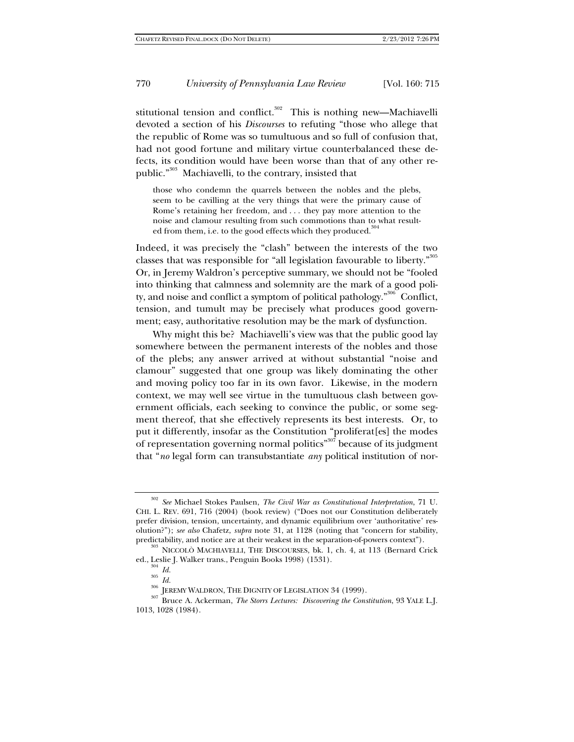stitutional tension and conflict.<sup>302</sup> This is nothing new—Machiavelli devoted a section of his *Discourses* to refuting "those who allege that the republic of Rome was so tumultuous and so full of confusion that, had not good fortune and military virtue counterbalanced these defects, its condition would have been worse than that of any other republic."303 Machiavelli, to the contrary, insisted that

those who condemn the quarrels between the nobles and the plebs, seem to be cavilling at the very things that were the primary cause of Rome's retaining her freedom, and . . . they pay more attention to the noise and clamour resulting from such commotions than to what resulted from them, i.e. to the good effects which they produced.<sup>3</sup>

Indeed, it was precisely the "clash" between the interests of the two classes that was responsible for "all legislation favourable to liberty."<sup>305</sup> Or, in Jeremy Waldron's perceptive summary, we should not be "fooled into thinking that calmness and solemnity are the mark of a good polity, and noise and conflict a symptom of political pathology."<sup>306</sup> Conflict, tension, and tumult may be precisely what produces good government; easy, authoritative resolution may be the mark of dysfunction.

Why might this be? Machiavelli's view was that the public good lay somewhere between the permanent interests of the nobles and those of the plebs; any answer arrived at without substantial "noise and clamour" suggested that one group was likely dominating the other and moving policy too far in its own favor. Likewise, in the modern context, we may well see virtue in the tumultuous clash between government officials, each seeking to convince the public, or some segment thereof, that she effectively represents its best interests. Or, to put it differently, insofar as the Constitution "proliferat[es] the modes of representation governing normal politics"<sup>307</sup> because of its judgment that "*no* legal form can transubstantiate *any* political institution of nor-

<sup>302</sup> *See* Michael Stokes Paulsen, *The Civil War as Constitutional Interpretation*, 71 U. CHI. L. REV. 691, 716 (2004) (book review) ("Does not our Constitution deliberately prefer division, tension, uncertainty, and dynamic equilibrium over 'authoritative' resolution?"); *see also* Chafetz, *supra* note 31, at 1128 (noting that "concern for stability,

predictability, and notice are at their weakest in the separation-of-powers context").<br><sup>303</sup> NICCOLÒ MACHIAVELLI, THE DISCOURSES, bk. 1, ch. 4, at 113 (Bernard Crick ed., Leslie J. Walker trans., Penguin Books 1998) (1531)

<sup>&</sup>lt;sup>304</sup> *Id.*<br><sup>305</sup> *Id.*<br><sup>306</sup> JEREMY WALDRON, THE DIGNITY OF LEGISLATION 34 (1999).<br><sup>307</sup> Bruce A. Ackerman, *The Storrs Lectures: Discovering the Constitution*, 93 YALE L.J. 1013, 1028 (1984).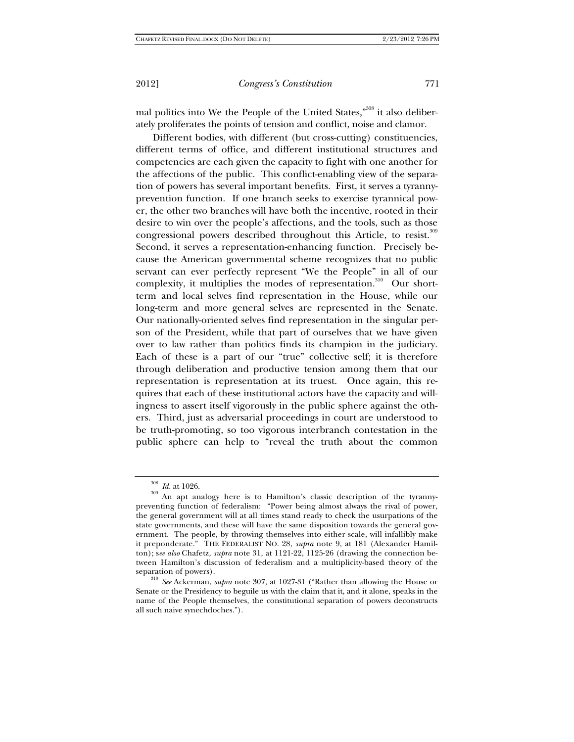mal politics into We the People of the United States,"<sup>308</sup> it also deliberately proliferates the points of tension and conflict, noise and clamor.

Different bodies, with different (but cross-cutting) constituencies, different terms of office, and different institutional structures and competencies are each given the capacity to fight with one another for the affections of the public. This conflict-enabling view of the separation of powers has several important benefits. First, it serves a tyrannyprevention function. If one branch seeks to exercise tyrannical power, the other two branches will have both the incentive, rooted in their desire to win over the people's affections, and the tools, such as those congressional powers described throughout this Article, to resist.<sup>309</sup> Second, it serves a representation-enhancing function. Precisely because the American governmental scheme recognizes that no public servant can ever perfectly represent "We the People" in all of our complexity, it multiplies the modes of representation.<sup>310</sup> Our shortterm and local selves find representation in the House, while our long-term and more general selves are represented in the Senate. Our nationally-oriented selves find representation in the singular person of the President, while that part of ourselves that we have given over to law rather than politics finds its champion in the judiciary. Each of these is a part of our "true" collective self; it is therefore through deliberation and productive tension among them that our representation is representation at its truest. Once again, this requires that each of these institutional actors have the capacity and willingness to assert itself vigorously in the public sphere against the others. Third, just as adversarial proceedings in court are understood to be truth-promoting, so too vigorous interbranch contestation in the public sphere can help to "reveal the truth about the common

<sup>&</sup>lt;sup>308</sup> *Id.* at 1026.<br><sup>309</sup> An apt analogy here is to Hamilton's classic description of the tyrannypreventing function of federalism: "Power being almost always the rival of power, the general government will at all times stand ready to check the usurpations of the state governments, and these will have the same disposition towards the general government. The people, by throwing themselves into either scale, will infallibly make it preponderate." THE FEDERALIST NO. 28, *supra* note 9, at 181 (Alexander Hamilton); s*ee also* Chafetz, *supra* note 31, at 1121-22, 1125-26 (drawing the connection between Hamilton's discussion of federalism and a multiplicity-based theory of the

separation of powers). 310 *See* Ackerman, *supra* note 307, at 1027-31 ("Rather than allowing the House or Senate or the Presidency to beguile us with the claim that it, and it alone, speaks in the name of the People themselves, the constitutional separation of powers deconstructs all such naive synechdoches.").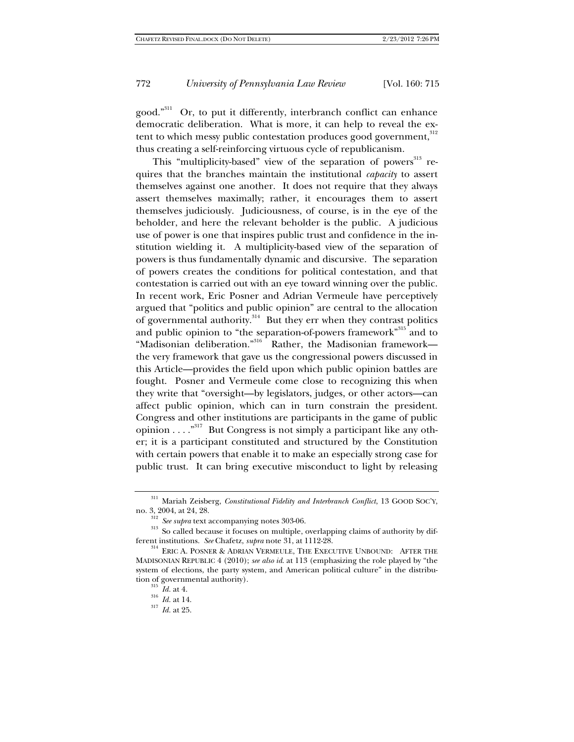good."311 Or, to put it differently, interbranch conflict can enhance democratic deliberation. What is more, it can help to reveal the extent to which messy public contestation produces good government, 312 thus creating a self-reinforcing virtuous cycle of republicanism.

This "multiplicity-based" view of the separation of powers<sup>313</sup> requires that the branches maintain the institutional *capacity* to assert themselves against one another. It does not require that they always assert themselves maximally; rather, it encourages them to assert themselves judiciously. Judiciousness, of course, is in the eye of the beholder, and here the relevant beholder is the public. A judicious use of power is one that inspires public trust and confidence in the institution wielding it. A multiplicity-based view of the separation of powers is thus fundamentally dynamic and discursive. The separation of powers creates the conditions for political contestation, and that contestation is carried out with an eye toward winning over the public. In recent work, Eric Posner and Adrian Vermeule have perceptively argued that "politics and public opinion" are central to the allocation of governmental authority.<sup>314</sup> But they err when they contrast politics and public opinion to "the separation-of-powers framework"<sup>315</sup> and to "Madisonian deliberation."316 Rather, the Madisonian framework the very framework that gave us the congressional powers discussed in this Article—provides the field upon which public opinion battles are fought. Posner and Vermeule come close to recognizing this when they write that "oversight—by legislators, judges, or other actors—can affect public opinion, which can in turn constrain the president. Congress and other institutions are participants in the game of public opinion . . . ."317 But Congress is not simply a participant like any other; it is a participant constituted and structured by the Constitution with certain powers that enable it to make an especially strong case for public trust. It can bring executive misconduct to light by releasing

 $\,$ <sup>311</sup> Mariah Zeisberg, *Constitutional Fidelity and Interbranch Conflict*, 13 GOOD SOC'Y, no. 3, 2004, at 24, 28.

<sup>&</sup>lt;sup>312</sup> *See supra* text accompanying notes 303-06.<br><sup>313</sup> So called because it focuses on multiple, overlapping claims of authority by dif-<br>ferent institutions. *See* Chafetz, *supra* note 31, at 1112-28.

 $^\mathrm{314}$  ERIC A. POSNER & ADRIAN VERMEULE, THE EXECUTIVE UNBOUND: AFTER THE MADISONIAN REPUBLIC 4 (2010); *see also id*. at 113 (emphasizing the role played by "the system of elections, the party system, and American political culture" in the distribution of governmental authority).<br><sup>315</sup> *Id.* at 4.<br><sup>316</sup> *Id.* at 14.<br>*Id.* at 25.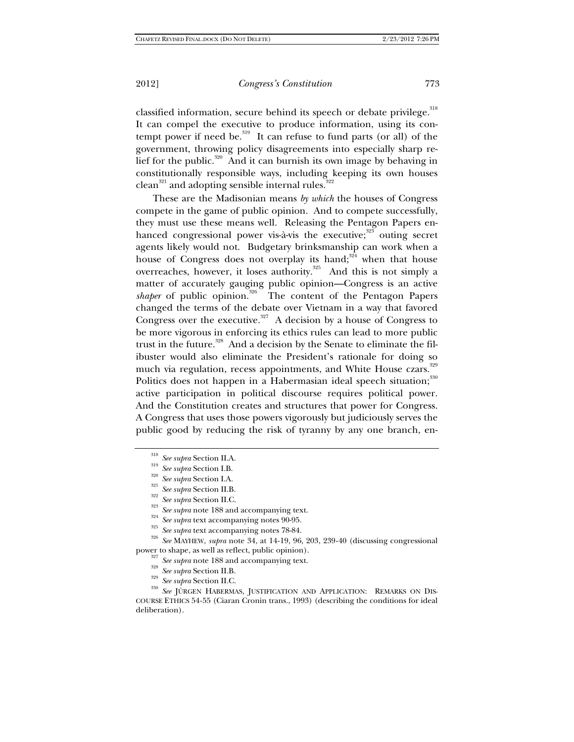classified information, secure behind its speech or debate privilege.<sup>318</sup> It can compel the executive to produce information, using its contempt power if need be.<sup>319</sup> It can refuse to fund parts (or all) of the government, throwing policy disagreements into especially sharp relief for the public.<sup>320</sup> And it can burnish its own image by behaving in constitutionally responsible ways, including keeping its own houses  $clean<sup>321</sup>$  and adopting sensible internal rules.<sup>322</sup>

These are the Madisonian means *by which* the houses of Congress compete in the game of public opinion. And to compete successfully, they must use these means well. Releasing the Pentagon Papers enhanced congressional power vis-à-vis the executive; $323$  outing secret agents likely would not. Budgetary brinksmanship can work when a house of Congress does not overplay its hand; $324$  when that house overreaches, however, it loses authority.<sup>325</sup> And this is not simply a matter of accurately gauging public opinion—Congress is an active *shaper* of public opinion.<sup>326</sup> The content of the Pentagon Papers changed the terms of the debate over Vietnam in a way that favored Congress over the executive.<sup>327</sup> A decision by a house of Congress to be more vigorous in enforcing its ethics rules can lead to more public trust in the future.<sup>328</sup> And a decision by the Senate to eliminate the filibuster would also eliminate the President's rationale for doing so much via regulation, recess appointments, and White House czars.<sup>329</sup> Politics does not happen in a Habermasian ideal speech situation;<sup>330</sup> active participation in political discourse requires political power. And the Constitution creates and structures that power for Congress. A Congress that uses those powers vigorously but judiciously serves the public good by reducing the risk of tyranny by any one branch, en-

- 
- 

<sup>328</sup> See supra Section II.B.<br><sup>329</sup> See supra Section II.C.<br><sup>329</sup> See supra Section II.C.<br><sup>330</sup> See JÜRGEN HABERMAS, JUSTIFICATION AND APPLICATION: REMARKS ON DIS-COURSE ETHICS 54-55 (Ciaran Cronin trans., 1993) (describing the conditions for ideal deliberation).

<sup>&</sup>lt;sup>318</sup> See supra Section I.A.<br>
<sup>319</sup> See supra Section I.B.<br>
<sup>320</sup> See supra Section I.A.<br>
<sup>321</sup> See supra Section II.B.<br>
<sup>322</sup> See supra note 188 and accompanying text.<br>
<sup>324</sup> See supra text accompanying notes 90-95.<br>
<sup>32</sup>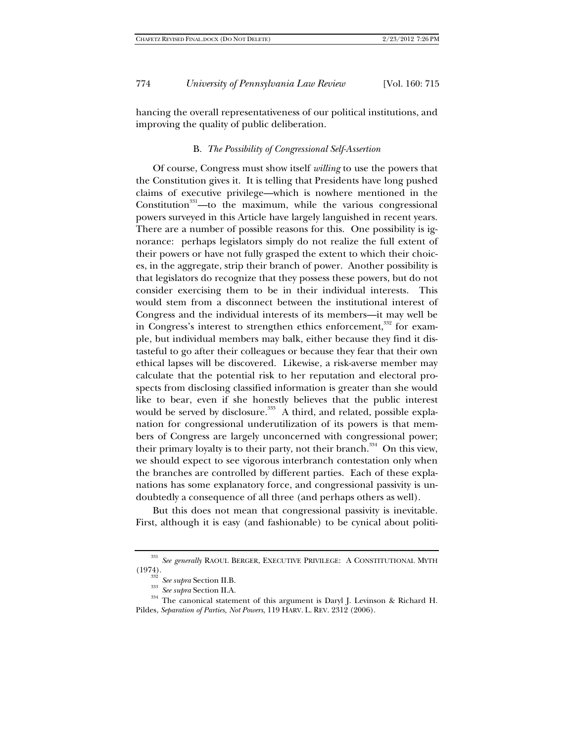hancing the overall representativeness of our political institutions, and improving the quality of public deliberation.

#### B. *The Possibility of Congressional Self-Assertion*

Of course, Congress must show itself *willing* to use the powers that the Constitution gives it. It is telling that Presidents have long pushed claims of executive privilege—which is nowhere mentioned in the Constitution<sup>331</sup>—to the maximum, while the various congressional powers surveyed in this Article have largely languished in recent years. There are a number of possible reasons for this. One possibility is ignorance: perhaps legislators simply do not realize the full extent of their powers or have not fully grasped the extent to which their choices, in the aggregate, strip their branch of power. Another possibility is that legislators do recognize that they possess these powers, but do not consider exercising them to be in their individual interests. This would stem from a disconnect between the institutional interest of Congress and the individual interests of its members—it may well be in Congress's interest to strengthen ethics enforcement,<sup>332</sup> for example, but individual members may balk, either because they find it distasteful to go after their colleagues or because they fear that their own ethical lapses will be discovered. Likewise, a risk-averse member may calculate that the potential risk to her reputation and electoral prospects from disclosing classified information is greater than she would like to bear, even if she honestly believes that the public interest would be served by disclosure.<sup>333</sup> A third, and related, possible explanation for congressional underutilization of its powers is that members of Congress are largely unconcerned with congressional power; their primary loyalty is to their party, not their branch.<sup>334</sup> On this view, we should expect to see vigorous interbranch contestation only when the branches are controlled by different parties. Each of these explanations has some explanatory force, and congressional passivity is undoubtedly a consequence of all three (and perhaps others as well).

But this does not mean that congressional passivity is inevitable. First, although it is easy (and fashionable) to be cynical about politi-

<sup>331</sup> *See generally* RAOUL BERGER, EXECUTIVE PRIVILEGE: A CONSTITUTIONAL MYTH (1974). 332 *See supra* Section II.B. 333 *See supra* Section II.A. 334 The canonical statement of this argument is Daryl J. Levinson & Richard H.

Pildes, *Separation of Parties, Not Powers*, 119 HARV. L. REV. 2312 (2006).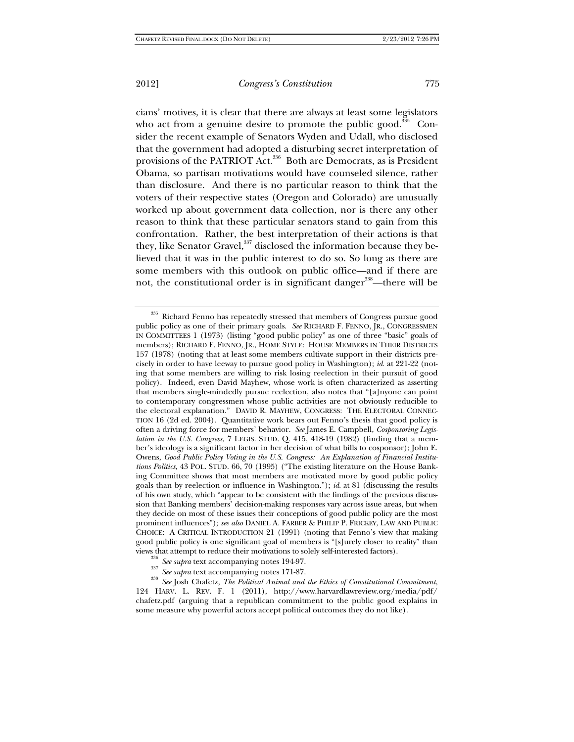cians' motives, it is clear that there are always at least some legislators who act from a genuine desire to promote the public good.<sup>335</sup> Consider the recent example of Senators Wyden and Udall, who disclosed that the government had adopted a disturbing secret interpretation of provisions of the PATRIOT Act.<sup>336</sup> Both are Democrats, as is President Obama, so partisan motivations would have counseled silence, rather than disclosure. And there is no particular reason to think that the voters of their respective states (Oregon and Colorado) are unusually worked up about government data collection, nor is there any other reason to think that these particular senators stand to gain from this confrontation. Rather, the best interpretation of their actions is that they, like Senator Gravel,<sup>337</sup> disclosed the information because they believed that it was in the public interest to do so. So long as there are some members with this outlook on public office—and if there are not, the constitutional order is in significant danger<sup>338</sup>—there will be

views that attempt to reduce their motivations to solely self-interested factors).<br><sup>336</sup> See supra text accompanying notes 194-97.<br><sup>337</sup> See supra text accompanying notes 171-87.<br><sup>338</sup> See Josh Chafetz, *The Political Anim* 124 HARV. L. REV. F. 1 (2011), http://www.harvardlawreview.org/media/pdf/ chafetz.pdf (arguing that a republican commitment to the public good explains in some measure why powerful actors accept political outcomes they do not like).

<sup>&</sup>lt;sup>335</sup> Richard Fenno has repeatedly stressed that members of Congress pursue good public policy as one of their primary goals. *See* RICHARD F. FENNO, JR., CONGRESSMEN IN COMMITTEES 1 (1973) (listing "good public policy" as one of three "basic" goals of members); RICHARD F. FENNO, JR., HOME STYLE: HOUSE MEMBERS IN THEIR DISTRICTS 157 (1978) (noting that at least some members cultivate support in their districts precisely in order to have leeway to pursue good policy in Washington); *id*. at 221-22 (noting that some members are willing to risk losing reelection in their pursuit of good policy). Indeed, even David Mayhew, whose work is often characterized as asserting that members single-mindedly pursue reelection, also notes that "[a]nyone can point to contemporary congressmen whose public activities are not obviously reducible to the electoral explanation." DAVID R. MAYHEW, CONGRESS: THE ELECTORAL CONNEC-TION 16 (2d ed. 2004). Quantitative work bears out Fenno's thesis that good policy is often a driving force for members' behavior. *See* James E. Campbell, *Cosponsoring Legislation in the U.S. Congress*, 7 LEGIS. STUD. Q. 415, 418-19 (1982) (finding that a member's ideology is a significant factor in her decision of what bills to cosponsor); John E. Owens, *Good Public Policy Voting in the U.S. Congress: An Explanation of Financial Institutions Politics*, 43 POL. STUD. 66, 70 (1995) ("The existing literature on the House Banking Committee shows that most members are motivated more by good public policy goals than by reelection or influence in Washington."); *id*. at 81 (discussing the results of his own study, which "appear to be consistent with the findings of the previous discussion that Banking members' decision-making responses vary across issue areas, but when they decide on most of these issues their conceptions of good public policy are the most prominent influences"); *see also* DANIEL A. FARBER & PHILIP P. FRICKEY, LAW AND PUBLIC CHOICE: A CRITICAL INTRODUCTION 21 (1991) (noting that Fenno's view that making good public policy is one significant goal of members is "[s]urely closer to reality" than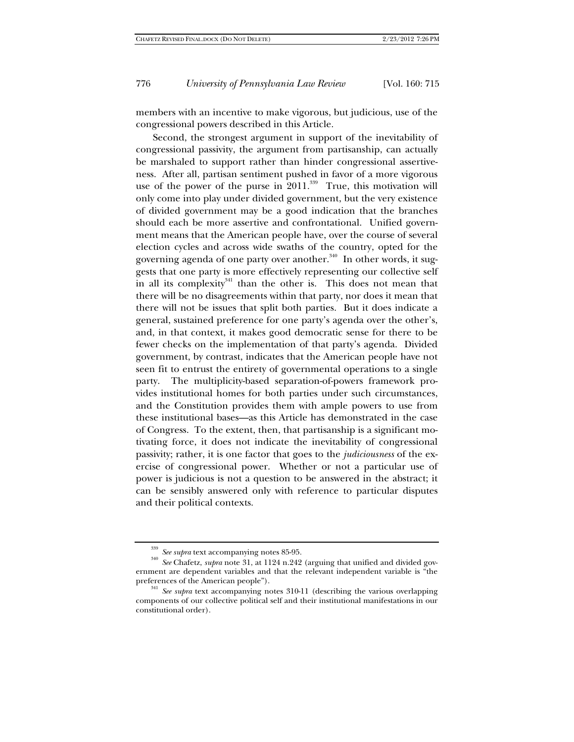members with an incentive to make vigorous, but judicious, use of the congressional powers described in this Article.

Second, the strongest argument in support of the inevitability of congressional passivity, the argument from partisanship, can actually be marshaled to support rather than hinder congressional assertiveness. After all, partisan sentiment pushed in favor of a more vigorous use of the power of the purse in  $2011$ <sup>339</sup> True, this motivation will only come into play under divided government, but the very existence of divided government may be a good indication that the branches should each be more assertive and confrontational. Unified government means that the American people have, over the course of several election cycles and across wide swaths of the country, opted for the governing agenda of one party over another.<sup>340</sup> In other words, it suggests that one party is more effectively representing our collective self in all its complexity $341$  than the other is. This does not mean that there will be no disagreements within that party, nor does it mean that there will not be issues that split both parties. But it does indicate a general, sustained preference for one party's agenda over the other's, and, in that context, it makes good democratic sense for there to be fewer checks on the implementation of that party's agenda. Divided government, by contrast, indicates that the American people have not seen fit to entrust the entirety of governmental operations to a single party. The multiplicity-based separation-of-powers framework provides institutional homes for both parties under such circumstances, and the Constitution provides them with ample powers to use from these institutional bases—as this Article has demonstrated in the case of Congress. To the extent, then, that partisanship is a significant motivating force, it does not indicate the inevitability of congressional passivity; rather, it is one factor that goes to the *judiciousness* of the exercise of congressional power. Whether or not a particular use of power is judicious is not a question to be answered in the abstract; it can be sensibly answered only with reference to particular disputes and their political contexts.

<sup>&</sup>lt;sup>339</sup> *See supra* text accompanying notes 85-95.<br><sup>340</sup> *See* Chafetz, *supra* note 31, at 1124 n.242 (arguing that unified and divided government are dependent variables and that the relevant independent variable is "the preferences of the American people").<br><sup>341</sup> *See supra* text accompanying notes 310-11 (describing the various overlapping

components of our collective political self and their institutional manifestations in our constitutional order).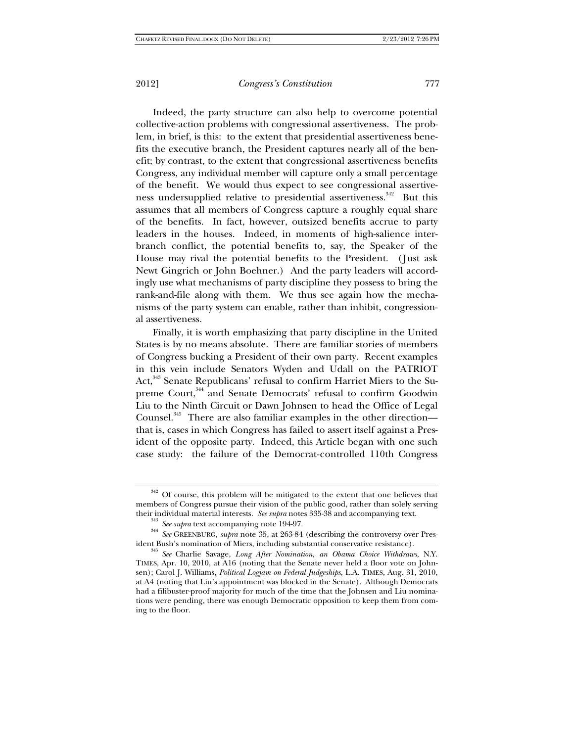Indeed, the party structure can also help to overcome potential collective-action problems with congressional assertiveness. The problem, in brief, is this: to the extent that presidential assertiveness benefits the executive branch, the President captures nearly all of the benefit; by contrast, to the extent that congressional assertiveness benefits Congress, any individual member will capture only a small percentage of the benefit. We would thus expect to see congressional assertiveness undersupplied relative to presidential assertiveness.<sup>342</sup> But this assumes that all members of Congress capture a roughly equal share of the benefits. In fact, however, outsized benefits accrue to party leaders in the houses. Indeed, in moments of high-salience interbranch conflict, the potential benefits to, say, the Speaker of the House may rival the potential benefits to the President. (Just ask Newt Gingrich or John Boehner.) And the party leaders will accordingly use what mechanisms of party discipline they possess to bring the rank-and-file along with them. We thus see again how the mechanisms of the party system can enable, rather than inhibit, congressional assertiveness.

Finally, it is worth emphasizing that party discipline in the United States is by no means absolute. There are familiar stories of members of Congress bucking a President of their own party. Recent examples in this vein include Senators Wyden and Udall on the PATRIOT Act,<sup>343</sup> Senate Republicans' refusal to confirm Harriet Miers to the Supreme Court,<sup>344</sup> and Senate Democrats' refusal to confirm Goodwin Liu to the Ninth Circuit or Dawn Johnsen to head the Office of Legal Counsel.<sup>345</sup> There are also familiar examples in the other direction that is, cases in which Congress has failed to assert itself against a President of the opposite party. Indeed, this Article began with one such case study: the failure of the Democrat-controlled 110th Congress

 $342$  Of course, this problem will be mitigated to the extent that one believes that members of Congress pursue their vision of the public good, rather than solely serving

their individual material interests. See supra notes 335-38 and accompanying text.<br><sup>343</sup> See supra text accompanying note 194-97.<br><sup>344</sup> See GREENBURG, *supra* note 35, at 263-84 (describing the controversy over Pres-<br>ident

<sup>&</sup>lt;sup>345</sup> See Charlie Savage, Long After Nomination, an Obama Choice Withdraws, N.Y. TIMES, Apr. 10, 2010, at A16 (noting that the Senate never held a floor vote on Johnsen); Carol J. Williams, *Political Logjam on Federal Judgeships*, L.A. TIMES, Aug. 31, 2010, at A4 (noting that Liu's appointment was blocked in the Senate). Although Democrats had a filibuster-proof majority for much of the time that the Johnsen and Liu nominations were pending, there was enough Democratic opposition to keep them from coming to the floor.